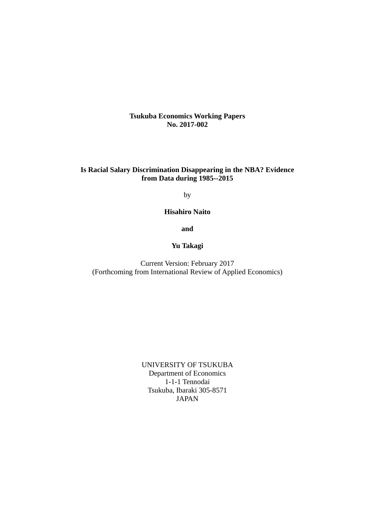**Tsukuba Economics Working Papers No. 2017-002**

## **Is Racial Salary Discrimination Disappearing in the NBA? Evidence from Data during 1985--2015**

by

**Hisahiro Naito** 

**and** 

### **Yu Takagi**

Current Version: February 2017 (Forthcoming from International Review of Applied Economics)

> UNIVERSITY OF TSUKUBA Department of Economics 1-1-1 Tennodai Tsukuba, Ibaraki 305-8571 JAPAN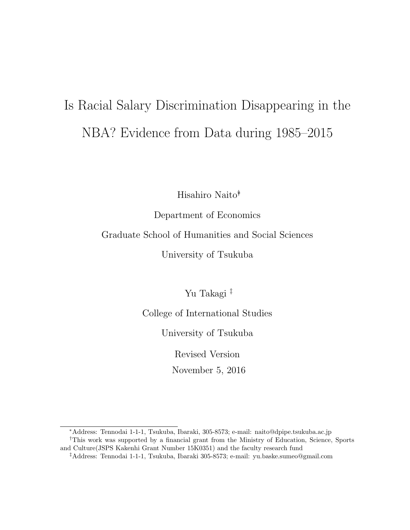# Is Racial Salary Discrimination Disappearing in the NBA? Evidence from Data during 1985–2015

Hisahiro Naito∗†

Department of Economics

Graduate School of Humanities and Social Sciences

University of Tsukuba

Yu Takagi ‡

College of International Studies

University of Tsukuba

Revised Version

November 5, 2016

<sup>∗</sup>Address: Tennodai 1-1-1, Tsukuba, Ibaraki, 305-8573; e-mail: naito@dpipe.tsukuba.ac.jp †This work was supported by a financial grant from the Ministry of Education, Science, Sports and Culture(JSPS Kakenhi Grant Number 15K0351) and the faculty research fund

<sup>‡</sup>Address: Tennodai 1-1-1, Tsukuba, Ibaraki 305-8573; e-mail: yu.baske.sumeo@gmail.com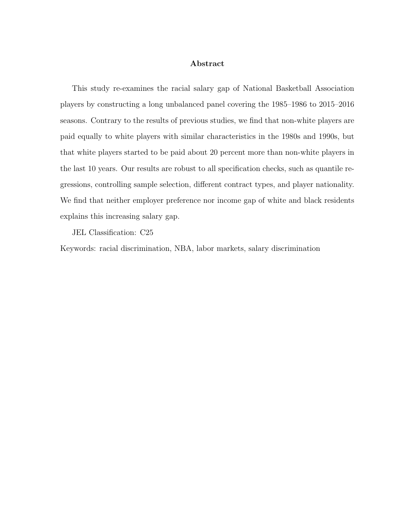#### Abstract

This study re-examines the racial salary gap of National Basketball Association players by constructing a long unbalanced panel covering the 1985–1986 to 2015–2016 seasons. Contrary to the results of previous studies, we find that non-white players are paid equally to white players with similar characteristics in the 1980s and 1990s, but that white players started to be paid about 20 percent more than non-white players in the last 10 years. Our results are robust to all specification checks, such as quantile regressions, controlling sample selection, different contract types, and player nationality. We find that neither employer preference nor income gap of white and black residents explains this increasing salary gap.

JEL Classification: C25

Keywords: racial discrimination, NBA, labor markets, salary discrimination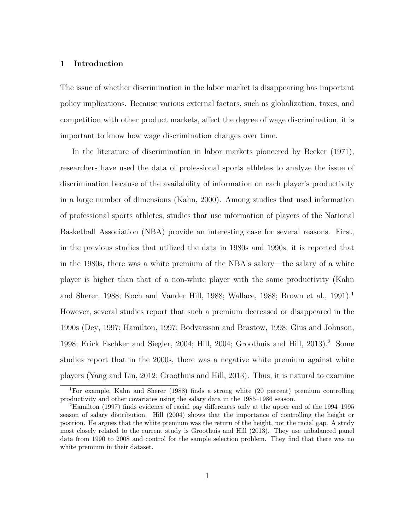#### 1 Introduction

The issue of whether discrimination in the labor market is disappearing has important policy implications. Because various external factors, such as globalization, taxes, and competition with other product markets, affect the degree of wage discrimination, it is important to know how wage discrimination changes over time.

In the literature of discrimination in labor markets pioneered by Becker (1971), researchers have used the data of professional sports athletes to analyze the issue of discrimination because of the availability of information on each player's productivity in a large number of dimensions (Kahn, 2000). Among studies that used information of professional sports athletes, studies that use information of players of the National Basketball Association (NBA) provide an interesting case for several reasons. First, in the previous studies that utilized the data in 1980s and 1990s, it is reported that in the 1980s, there was a white premium of the NBA's salary—the salary of a white player is higher than that of a non-white player with the same productivity (Kahn and Sherer, 1988; Koch and Vander Hill, 1988; Wallace, 1988; Brown et al., 1991).<sup>1</sup> However, several studies report that such a premium decreased or disappeared in the 1990s (Dey, 1997; Hamilton, 1997; Bodvarsson and Brastow, 1998; Gius and Johnson, 1998; Erick Eschker and Siegler, 2004; Hill, 2004; Groothuis and Hill, 2013).<sup>2</sup> Some studies report that in the 2000s, there was a negative white premium against white players (Yang and Lin, 2012; Groothuis and Hill, 2013). Thus, it is natural to examine

<sup>1</sup>For example, Kahn and Sherer (1988) finds a strong white (20 percent) premium controlling productivity and other covariates using the salary data in the 1985–1986 season.

<sup>2</sup>Hamilton (1997) finds evidence of racial pay differences only at the upper end of the 1994–1995 season of salary distribution. Hill (2004) shows that the importance of controlling the height or position. He argues that the white premium was the return of the height, not the racial gap. A study most closely related to the current study is Groothuis and Hill (2013). They use unbalanced panel data from 1990 to 2008 and control for the sample selection problem. They find that there was no white premium in their dataset.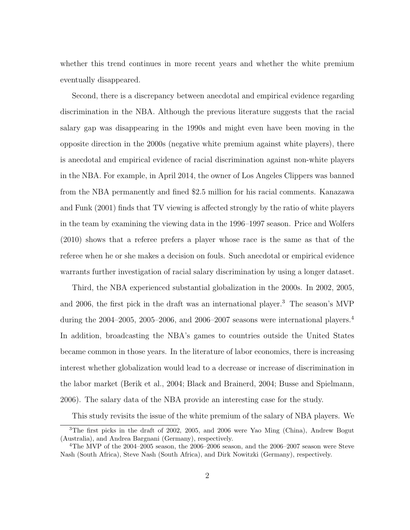whether this trend continues in more recent years and whether the white premium eventually disappeared.

Second, there is a discrepancy between anecdotal and empirical evidence regarding discrimination in the NBA. Although the previous literature suggests that the racial salary gap was disappearing in the 1990s and might even have been moving in the opposite direction in the 2000s (negative white premium against white players), there is anecdotal and empirical evidence of racial discrimination against non-white players in the NBA. For example, in April 2014, the owner of Los Angeles Clippers was banned from the NBA permanently and fined \$2.5 million for his racial comments. Kanazawa and Funk (2001) finds that TV viewing is affected strongly by the ratio of white players in the team by examining the viewing data in the 1996–1997 season. Price and Wolfers (2010) shows that a referee prefers a player whose race is the same as that of the referee when he or she makes a decision on fouls. Such anecdotal or empirical evidence warrants further investigation of racial salary discrimination by using a longer dataset.

Third, the NBA experienced substantial globalization in the 2000s. In 2002, 2005, and 2006, the first pick in the draft was an international player.<sup>3</sup> The season's MVP during the  $2004-2005$ ,  $2005-2006$ , and  $2006-2007$  seasons were international players.<sup>4</sup> In addition, broadcasting the NBA's games to countries outside the United States became common in those years. In the literature of labor economics, there is increasing interest whether globalization would lead to a decrease or increase of discrimination in the labor market (Berik et al., 2004; Black and Brainerd, 2004; Busse and Spielmann, 2006). The salary data of the NBA provide an interesting case for the study.

This study revisits the issue of the white premium of the salary of NBA players. We

<sup>3</sup>The first picks in the draft of 2002, 2005, and 2006 were Yao Ming (China), Andrew Bogut (Australia), and Andrea Bargnani (Germany), respectively.

<sup>4</sup>The MVP of the 2004–2005 season, the 2006–2006 season, and the 2006–2007 season were Steve Nash (South Africa), Steve Nash (South Africa), and Dirk Nowitzki (Germany), respectively.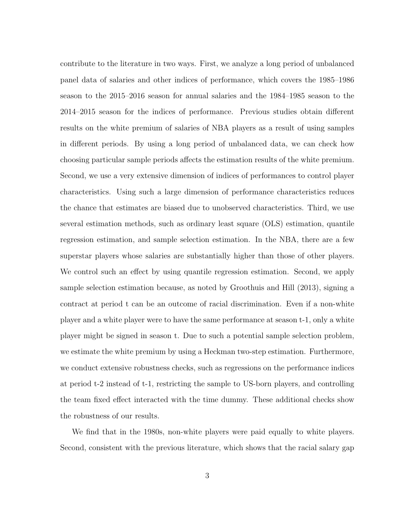contribute to the literature in two ways. First, we analyze a long period of unbalanced panel data of salaries and other indices of performance, which covers the 1985–1986 season to the 2015–2016 season for annual salaries and the 1984–1985 season to the 2014–2015 season for the indices of performance. Previous studies obtain different results on the white premium of salaries of NBA players as a result of using samples in different periods. By using a long period of unbalanced data, we can check how choosing particular sample periods affects the estimation results of the white premium. Second, we use a very extensive dimension of indices of performances to control player characteristics. Using such a large dimension of performance characteristics reduces the chance that estimates are biased due to unobserved characteristics. Third, we use several estimation methods, such as ordinary least square (OLS) estimation, quantile regression estimation, and sample selection estimation. In the NBA, there are a few superstar players whose salaries are substantially higher than those of other players. We control such an effect by using quantile regression estimation. Second, we apply sample selection estimation because, as noted by Groothuis and Hill (2013), signing a contract at period t can be an outcome of racial discrimination. Even if a non-white player and a white player were to have the same performance at season t-1, only a white player might be signed in season t. Due to such a potential sample selection problem, we estimate the white premium by using a Heckman two-step estimation. Furthermore, we conduct extensive robustness checks, such as regressions on the performance indices at period t-2 instead of t-1, restricting the sample to US-born players, and controlling the team fixed effect interacted with the time dummy. These additional checks show the robustness of our results.

We find that in the 1980s, non-white players were paid equally to white players. Second, consistent with the previous literature, which shows that the racial salary gap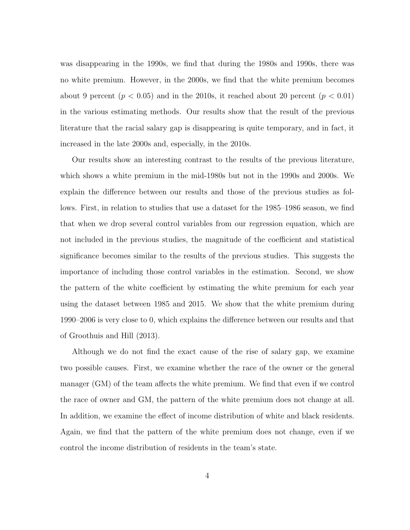was disappearing in the 1990s, we find that during the 1980s and 1990s, there was no white premium. However, in the 2000s, we find that the white premium becomes about 9 percent  $(p < 0.05)$  and in the 2010s, it reached about 20 percent  $(p < 0.01)$ in the various estimating methods. Our results show that the result of the previous literature that the racial salary gap is disappearing is quite temporary, and in fact, it increased in the late 2000s and, especially, in the 2010s.

Our results show an interesting contrast to the results of the previous literature, which shows a white premium in the mid-1980s but not in the 1990s and 2000s. We explain the difference between our results and those of the previous studies as follows. First, in relation to studies that use a dataset for the 1985–1986 season, we find that when we drop several control variables from our regression equation, which are not included in the previous studies, the magnitude of the coefficient and statistical significance becomes similar to the results of the previous studies. This suggests the importance of including those control variables in the estimation. Second, we show the pattern of the white coefficient by estimating the white premium for each year using the dataset between 1985 and 2015. We show that the white premium during 1990–2006 is very close to 0, which explains the difference between our results and that of Groothuis and Hill (2013).

Although we do not find the exact cause of the rise of salary gap, we examine two possible causes. First, we examine whether the race of the owner or the general manager (GM) of the team affects the white premium. We find that even if we control the race of owner and GM, the pattern of the white premium does not change at all. In addition, we examine the effect of income distribution of white and black residents. Again, we find that the pattern of the white premium does not change, even if we control the income distribution of residents in the team's state.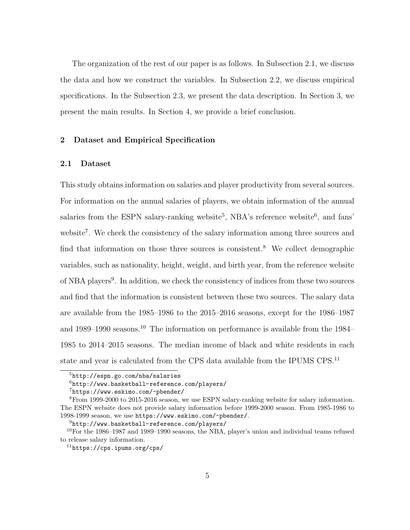The organization of the rest of our paper is as follows. In Subsection 2.1, we discuss the data and how we construct the variables. In Subsection 2.2, we discuss empirical specifications. In the Subsection 2.3, we present the data description. In Section 3, we present the main results. In Section 4, we provide a brief conclusion.

#### 2 Dataset and Empirical Specification

#### 2.1 Dataset

This study obtains information on salaries and player productivity from several sources. For information on the annual salaries of players, we obtain information of the annual salaries from the ESPN salary-ranking website<sup>5</sup>, NBA's reference website<sup>6</sup>, and fans' website<sup>7</sup>. We check the consistency of the salary information among three sources and find that information on those three sources is consistent.<sup>8</sup> We collect demographic variables, such as nationality, height, weight, and birth year, from the reference website of NBA players<sup>9</sup>. In addition, we check the consistency of indices from these two sources and find that the information is consistent between these two sources. The salary data are available from the 1985–1986 to the 2015–2016 seasons, except for the 1986–1987 and 1989–1990 seasons.<sup>10</sup> The information on performance is available from the 1984– 1985 to 2014–2015 seasons. The median income of black and white residents in each state and year is calculated from the CPS data available from the IPUMS CPS.<sup>11</sup>

<sup>5</sup>http://espn.go.com/nba/salaries

 $6$ http://www.basketball-reference.com/players/

<sup>7</sup>https://www.eskimo.com/~pbender/

<sup>8</sup>From 1999-2000 to 2015-2016 season, we use ESPN salary-ranking website for salary information. The ESPN website does not provide salary information before 1999-2000 season. From 1985-1986 to 1998-1999 season, we use https://www.eskimo.com/~pbender/.

<sup>9</sup>http://www.basketball-reference.com/players/

 $10$ For the 1986–1987 and 1989–1990 seasons, the NBA, player's union and individual teams refused to release salary information.

 $11$ https://cps.ipums.org/cps/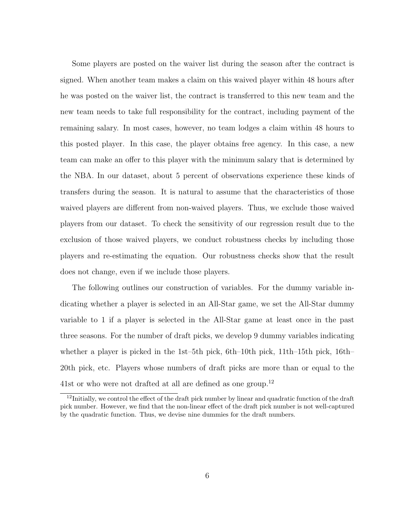Some players are posted on the waiver list during the season after the contract is signed. When another team makes a claim on this waived player within 48 hours after he was posted on the waiver list, the contract is transferred to this new team and the new team needs to take full responsibility for the contract, including payment of the remaining salary. In most cases, however, no team lodges a claim within 48 hours to this posted player. In this case, the player obtains free agency. In this case, a new team can make an offer to this player with the minimum salary that is determined by the NBA. In our dataset, about 5 percent of observations experience these kinds of transfers during the season. It is natural to assume that the characteristics of those waived players are different from non-waived players. Thus, we exclude those waived players from our dataset. To check the sensitivity of our regression result due to the exclusion of those waived players, we conduct robustness checks by including those players and re-estimating the equation. Our robustness checks show that the result does not change, even if we include those players.

The following outlines our construction of variables. For the dummy variable indicating whether a player is selected in an All-Star game, we set the All-Star dummy variable to 1 if a player is selected in the All-Star game at least once in the past three seasons. For the number of draft picks, we develop 9 dummy variables indicating whether a player is picked in the 1st–5th pick, 6th–10th pick, 11th–15th pick, 16th– 20th pick, etc. Players whose numbers of draft picks are more than or equal to the 41st or who were not drafted at all are defined as one group.<sup>12</sup>

 $12$ Initially, we control the effect of the draft pick number by linear and quadratic function of the draft pick number. However, we find that the non-linear effect of the draft pick number is not well-captured by the quadratic function. Thus, we devise nine dummies for the draft numbers.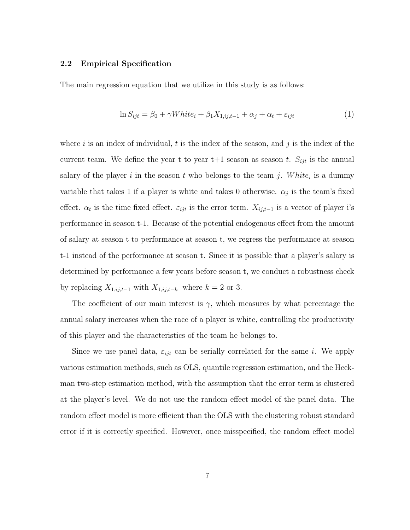#### 2.2 Empirical Specification

The main regression equation that we utilize in this study is as follows:

$$
\ln S_{ijt} = \beta_0 + \gamma White_i + \beta_1 X_{1,ij,t-1} + \alpha_j + \alpha_t + \varepsilon_{ijt}
$$
\n<sup>(1)</sup>

where i is an index of individual, t is the index of the season, and j is the index of the current team. We define the year t to year  $t+1$  season as season t.  $S_{ijt}$  is the annual salary of the player i in the season t who belongs to the team j. White<sub>i</sub> is a dummy variable that takes 1 if a player is white and takes 0 otherwise.  $\alpha_j$  is the team's fixed effect.  $\alpha_t$  is the time fixed effect.  $\varepsilon_{ijt}$  is the error term.  $X_{ij,t-1}$  is a vector of player i's performance in season t-1. Because of the potential endogenous effect from the amount of salary at season t to performance at season t, we regress the performance at season t-1 instead of the performance at season t. Since it is possible that a player's salary is determined by performance a few years before season t, we conduct a robustness check by replacing  $X_{1,ij,t-1}$  with  $X_{1,ij,t-k}$  where  $k = 2$  or 3.

The coefficient of our main interest is  $\gamma$ , which measures by what percentage the annual salary increases when the race of a player is white, controlling the productivity of this player and the characteristics of the team he belongs to.

Since we use panel data,  $\varepsilon_{ijt}$  can be serially correlated for the same i. We apply various estimation methods, such as OLS, quantile regression estimation, and the Heckman two-step estimation method, with the assumption that the error term is clustered at the player's level. We do not use the random effect model of the panel data. The random effect model is more efficient than the OLS with the clustering robust standard error if it is correctly specified. However, once misspecified, the random effect model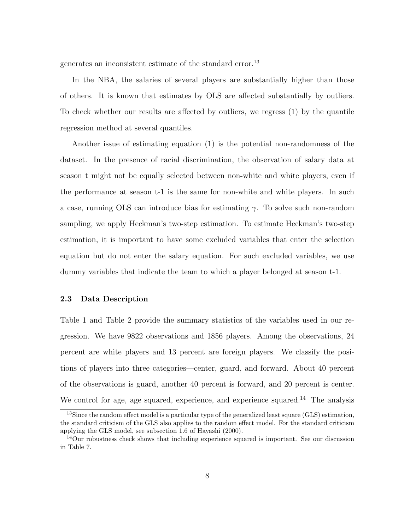generates an inconsistent estimate of the standard error.<sup>13</sup>

In the NBA, the salaries of several players are substantially higher than those of others. It is known that estimates by OLS are affected substantially by outliers. To check whether our results are affected by outliers, we regress (1) by the quantile regression method at several quantiles.

Another issue of estimating equation (1) is the potential non-randomness of the dataset. In the presence of racial discrimination, the observation of salary data at season t might not be equally selected between non-white and white players, even if the performance at season t-1 is the same for non-white and white players. In such a case, running OLS can introduce bias for estimating  $\gamma$ . To solve such non-random sampling, we apply Heckman's two-step estimation. To estimate Heckman's two-step estimation, it is important to have some excluded variables that enter the selection equation but do not enter the salary equation. For such excluded variables, we use dummy variables that indicate the team to which a player belonged at season t-1.

#### 2.3 Data Description

Table 1 and Table 2 provide the summary statistics of the variables used in our regression. We have 9822 observations and 1856 players. Among the observations, 24 percent are white players and 13 percent are foreign players. We classify the positions of players into three categories—center, guard, and forward. About 40 percent of the observations is guard, another 40 percent is forward, and 20 percent is center. We control for age, age squared, experience, and experience squared.<sup>14</sup> The analysis

<sup>&</sup>lt;sup>13</sup>Since the random effect model is a particular type of the generalized least square (GLS) estimation, the standard criticism of the GLS also applies to the random effect model. For the standard criticism applying the GLS model, see subsection 1.6 of Hayashi (2000).

<sup>&</sup>lt;sup>14</sup>Our robustness check shows that including experience squared is important. See our discussion in Table 7.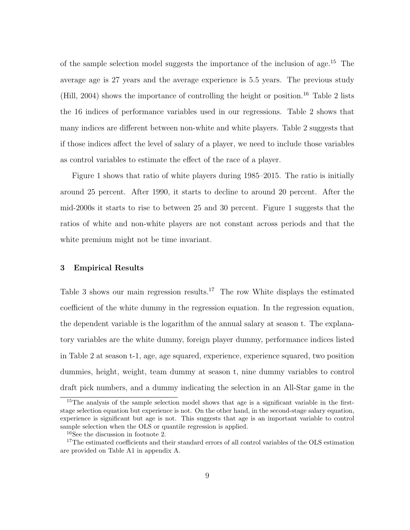of the sample selection model suggests the importance of the inclusion of age.<sup>15</sup> The average age is 27 years and the average experience is 5.5 years. The previous study (Hill, 2004) shows the importance of controlling the height or position.<sup>16</sup> Table 2 lists the 16 indices of performance variables used in our regressions. Table 2 shows that many indices are different between non-white and white players. Table 2 suggests that if those indices affect the level of salary of a player, we need to include those variables as control variables to estimate the effect of the race of a player.

Figure 1 shows that ratio of white players during 1985–2015. The ratio is initially around 25 percent. After 1990, it starts to decline to around 20 percent. After the mid-2000s it starts to rise to between 25 and 30 percent. Figure 1 suggests that the ratios of white and non-white players are not constant across periods and that the white premium might not be time invariant.

#### 3 Empirical Results

Table 3 shows our main regression results.<sup>17</sup> The row White displays the estimated coefficient of the white dummy in the regression equation. In the regression equation, the dependent variable is the logarithm of the annual salary at season t. The explanatory variables are the white dummy, foreign player dummy, performance indices listed in Table 2 at season t-1, age, age squared, experience, experience squared, two position dummies, height, weight, team dummy at season t, nine dummy variables to control draft pick numbers, and a dummy indicating the selection in an All-Star game in the

<sup>&</sup>lt;sup>15</sup>The analysis of the sample selection model shows that age is a significant variable in the firststage selection equation but experience is not. On the other hand, in the second-stage salary equation, experience is significant but age is not. This suggests that age is an important variable to control sample selection when the OLS or quantile regression is applied.

<sup>16</sup>See the discussion in footnote 2.

<sup>&</sup>lt;sup>17</sup>The estimated coefficients and their standard errors of all control variables of the OLS estimation are provided on Table A1 in appendix A.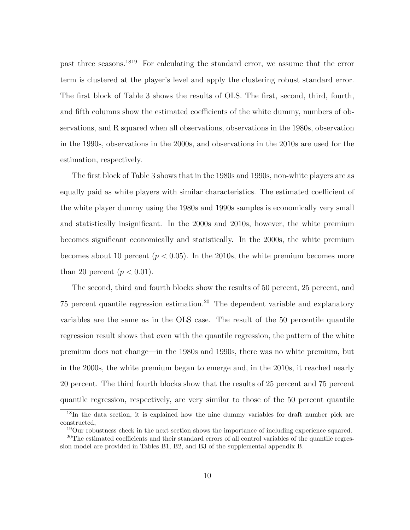past three seasons.<sup>1819</sup> For calculating the standard error, we assume that the error term is clustered at the player's level and apply the clustering robust standard error. The first block of Table 3 shows the results of OLS. The first, second, third, fourth, and fifth columns show the estimated coefficients of the white dummy, numbers of observations, and R squared when all observations, observations in the 1980s, observation in the 1990s, observations in the 2000s, and observations in the 2010s are used for the estimation, respectively.

The first block of Table 3 shows that in the 1980s and 1990s, non-white players are as equally paid as white players with similar characteristics. The estimated coefficient of the white player dummy using the 1980s and 1990s samples is economically very small and statistically insignificant. In the 2000s and 2010s, however, the white premium becomes significant economically and statistically. In the 2000s, the white premium becomes about 10 percent  $(p < 0.05)$ . In the 2010s, the white premium becomes more than 20 percent  $(p < 0.01)$ .

The second, third and fourth blocks show the results of 50 percent, 25 percent, and 75 percent quantile regression estimation.<sup>20</sup> The dependent variable and explanatory variables are the same as in the OLS case. The result of the 50 percentile quantile regression result shows that even with the quantile regression, the pattern of the white premium does not change—in the 1980s and 1990s, there was no white premium, but in the 2000s, the white premium began to emerge and, in the 2010s, it reached nearly 20 percent. The third fourth blocks show that the results of 25 percent and 75 percent quantile regression, respectively, are very similar to those of the 50 percent quantile

<sup>&</sup>lt;sup>18</sup>In the data section, it is explained how the nine dummy variables for draft number pick are constructed,

<sup>&</sup>lt;sup>19</sup>Our robustness check in the next section shows the importance of including experience squared.

<sup>&</sup>lt;sup>20</sup>The estimated coefficients and their standard errors of all control variables of the quantile regression model are provided in Tables B1, B2, and B3 of the supplemental appendix B.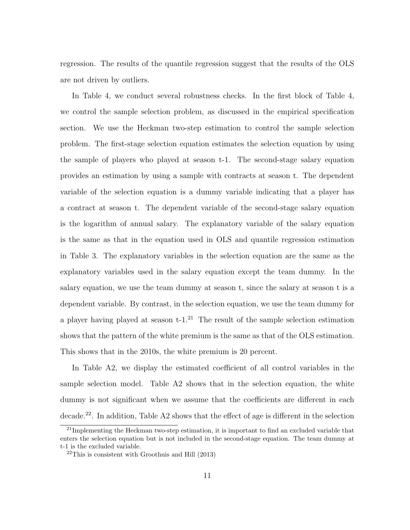regression. The results of the quantile regression suggest that the results of the OLS are not driven by outliers.

In Table 4, we conduct several robustness checks. In the first block of Table 4, we control the sample selection problem, as discussed in the empirical specification section. We use the Heckman two-step estimation to control the sample selection problem. The first-stage selection equation estimates the selection equation by using the sample of players who played at season t-1. The second-stage salary equation provides an estimation by using a sample with contracts at season t. The dependent variable of the selection equation is a dummy variable indicating that a player has a contract at season t. The dependent variable of the second-stage salary equation is the logarithm of annual salary. The explanatory variable of the salary equation is the same as that in the equation used in OLS and quantile regression estimation in Table 3. The explanatory variables in the selection equation are the same as the explanatory variables used in the salary equation except the team dummy. In the salary equation, we use the team dummy at season t, since the salary at season t is a dependent variable. By contrast, in the selection equation, we use the team dummy for a player having played at season  $t$ -1.<sup>21</sup> The result of the sample selection estimation shows that the pattern of the white premium is the same as that of the OLS estimation. This shows that in the 2010s, the white premium is 20 percent.

In Table A2, we display the estimated coefficient of all control variables in the sample selection model. Table A2 shows that in the selection equation, the white dummy is not significant when we assume that the coefficients are different in each decade.<sup>22</sup>. In addition, Table A2 shows that the effect of age is different in the selection

<sup>&</sup>lt;sup>21</sup>Implementing the Heckman two-step estimation, it is important to find an excluded variable that enters the selection equation but is not included in the second-stage equation. The team dummy at t-1 is the excluded variable.

 $22$ This is consistent with Groothuis and Hill (2013)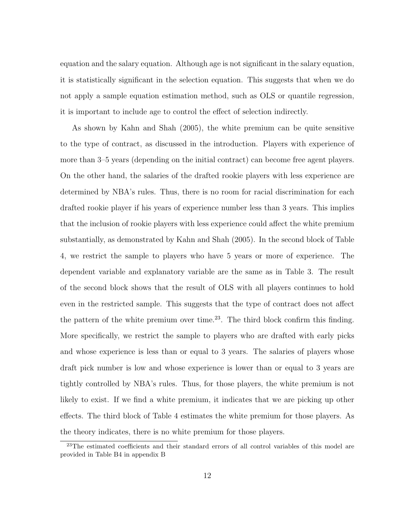equation and the salary equation. Although age is not significant in the salary equation, it is statistically significant in the selection equation. This suggests that when we do not apply a sample equation estimation method, such as OLS or quantile regression, it is important to include age to control the effect of selection indirectly.

As shown by Kahn and Shah (2005), the white premium can be quite sensitive to the type of contract, as discussed in the introduction. Players with experience of more than 3–5 years (depending on the initial contract) can become free agent players. On the other hand, the salaries of the drafted rookie players with less experience are determined by NBA's rules. Thus, there is no room for racial discrimination for each drafted rookie player if his years of experience number less than 3 years. This implies that the inclusion of rookie players with less experience could affect the white premium substantially, as demonstrated by Kahn and Shah (2005). In the second block of Table 4, we restrict the sample to players who have 5 years or more of experience. The dependent variable and explanatory variable are the same as in Table 3. The result of the second block shows that the result of OLS with all players continues to hold even in the restricted sample. This suggests that the type of contract does not affect the pattern of the white premium over time.<sup>23</sup>. The third block confirm this finding. More specifically, we restrict the sample to players who are drafted with early picks and whose experience is less than or equal to 3 years. The salaries of players whose draft pick number is low and whose experience is lower than or equal to 3 years are tightly controlled by NBA's rules. Thus, for those players, the white premium is not likely to exist. If we find a white premium, it indicates that we are picking up other effects. The third block of Table 4 estimates the white premium for those players. As the theory indicates, there is no white premium for those players.

<sup>&</sup>lt;sup>23</sup>The estimated coefficients and their standard errors of all control variables of this model are provided in Table B4 in appendix B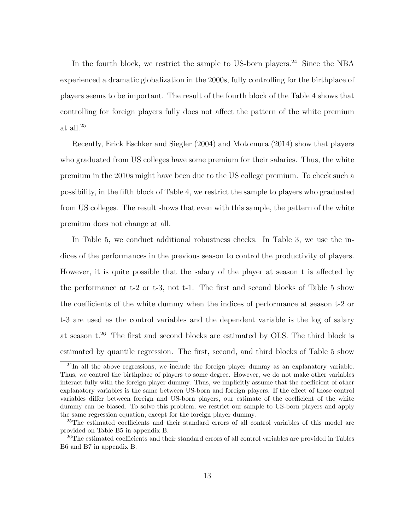In the fourth block, we restrict the sample to US-born players.<sup>24</sup> Since the NBA experienced a dramatic globalization in the 2000s, fully controlling for the birthplace of players seems to be important. The result of the fourth block of the Table 4 shows that controlling for foreign players fully does not affect the pattern of the white premium at all.<sup>25</sup>

Recently, Erick Eschker and Siegler (2004) and Motomura (2014) show that players who graduated from US colleges have some premium for their salaries. Thus, the white premium in the 2010s might have been due to the US college premium. To check such a possibility, in the fifth block of Table 4, we restrict the sample to players who graduated from US colleges. The result shows that even with this sample, the pattern of the white premium does not change at all.

In Table 5, we conduct additional robustness checks. In Table 3, we use the indices of the performances in the previous season to control the productivity of players. However, it is quite possible that the salary of the player at season t is affected by the performance at t-2 or t-3, not t-1. The first and second blocks of Table 5 show the coefficients of the white dummy when the indices of performance at season t-2 or t-3 are used as the control variables and the dependent variable is the log of salary at season t.<sup>26</sup> The first and second blocks are estimated by OLS. The third block is estimated by quantile regression. The first, second, and third blocks of Table 5 show

<sup>&</sup>lt;sup>24</sup>In all the above regressions, we include the foreign player dummy as an explanatory variable. Thus, we control the birthplace of players to some degree. However, we do not make other variables interact fully with the foreign player dummy. Thus, we implicitly assume that the coefficient of other explanatory variables is the same between US-born and foreign players. If the effect of those control variables differ between foreign and US-born players, our estimate of the coefficient of the white dummy can be biased. To solve this problem, we restrict our sample to US-born players and apply the same regression equation, except for the foreign player dummy.

<sup>&</sup>lt;sup>25</sup>The estimated coefficients and their standard errors of all control variables of this model are provided on Table B5 in appendix B.

<sup>&</sup>lt;sup>26</sup>The estimated coefficients and their standard errors of all control variables are provided in Tables B6 and B7 in appendix B.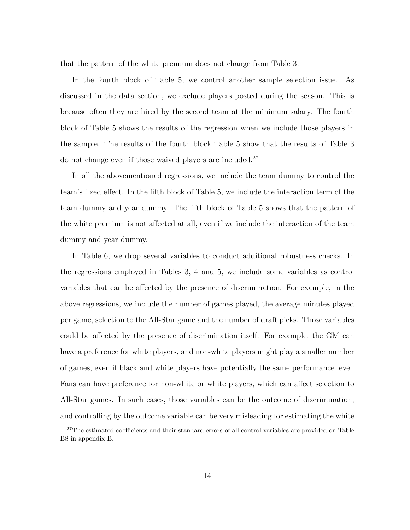that the pattern of the white premium does not change from Table 3.

In the fourth block of Table 5, we control another sample selection issue. As discussed in the data section, we exclude players posted during the season. This is because often they are hired by the second team at the minimum salary. The fourth block of Table 5 shows the results of the regression when we include those players in the sample. The results of the fourth block Table 5 show that the results of Table 3 do not change even if those waived players are included.<sup>27</sup>

In all the abovementioned regressions, we include the team dummy to control the team's fixed effect. In the fifth block of Table 5, we include the interaction term of the team dummy and year dummy. The fifth block of Table 5 shows that the pattern of the white premium is not affected at all, even if we include the interaction of the team dummy and year dummy.

In Table 6, we drop several variables to conduct additional robustness checks. In the regressions employed in Tables 3, 4 and 5, we include some variables as control variables that can be affected by the presence of discrimination. For example, in the above regressions, we include the number of games played, the average minutes played per game, selection to the All-Star game and the number of draft picks. Those variables could be affected by the presence of discrimination itself. For example, the GM can have a preference for white players, and non-white players might play a smaller number of games, even if black and white players have potentially the same performance level. Fans can have preference for non-white or white players, which can affect selection to All-Star games. In such cases, those variables can be the outcome of discrimination, and controlling by the outcome variable can be very misleading for estimating the white

<sup>&</sup>lt;sup>27</sup>The estimated coefficients and their standard errors of all control variables are provided on Table B8 in appendix B.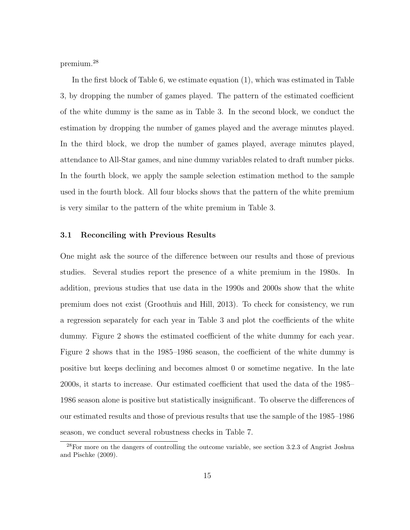premium.<sup>28</sup>

In the first block of Table 6, we estimate equation (1), which was estimated in Table 3, by dropping the number of games played. The pattern of the estimated coefficient of the white dummy is the same as in Table 3. In the second block, we conduct the estimation by dropping the number of games played and the average minutes played. In the third block, we drop the number of games played, average minutes played, attendance to All-Star games, and nine dummy variables related to draft number picks. In the fourth block, we apply the sample selection estimation method to the sample used in the fourth block. All four blocks shows that the pattern of the white premium is very similar to the pattern of the white premium in Table 3.

#### 3.1 Reconciling with Previous Results

One might ask the source of the difference between our results and those of previous studies. Several studies report the presence of a white premium in the 1980s. In addition, previous studies that use data in the 1990s and 2000s show that the white premium does not exist (Groothuis and Hill, 2013). To check for consistency, we run a regression separately for each year in Table 3 and plot the coefficients of the white dummy. Figure 2 shows the estimated coefficient of the white dummy for each year. Figure 2 shows that in the 1985–1986 season, the coefficient of the white dummy is positive but keeps declining and becomes almost 0 or sometime negative. In the late 2000s, it starts to increase. Our estimated coefficient that used the data of the 1985– 1986 season alone is positive but statistically insignificant. To observe the differences of our estimated results and those of previous results that use the sample of the 1985–1986 season, we conduct several robustness checks in Table 7.

<sup>28</sup>For more on the dangers of controlling the outcome variable, see section 3.2.3 of Angrist Joshua and Pischke (2009).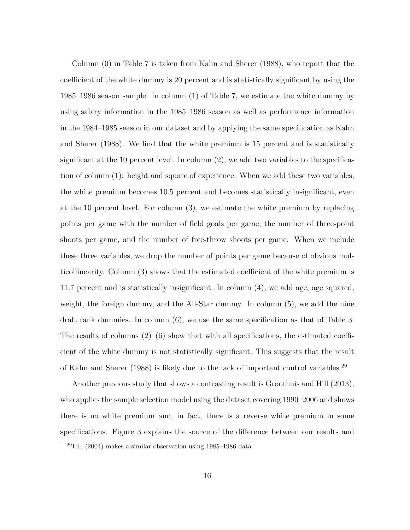Column (0) in Table 7 is taken from Kahn and Sherer (1988), who report that the coefficient of the white dummy is 20 percent and is statistically significant by using the 1985–1986 season sample. In column (1) of Table 7, we estimate the white dummy by using salary information in the 1985–1986 season as well as performance information in the 1984–1985 season in our dataset and by applying the same specification as Kahn and Sherer (1988). We find that the white premium is 15 percent and is statistically significant at the 10 percent level. In column (2), we add two variables to the specification of column (1): height and square of experience. When we add these two variables, the white premium becomes 10.5 percent and becomes statistically insignificant, even at the 10 percent level. For column (3), we estimate the white premium by replacing points per game with the number of field goals per game, the number of three-point shoots per game, and the number of free-throw shoots per game. When we include these three variables, we drop the number of points per game because of obvious multicollinearity. Column (3) shows that the estimated coefficient of the white premium is 11.7 percent and is statistically insignificant. In column (4), we add age, age squared, weight, the foreign dummy, and the All-Star dummy. In column (5), we add the nine draft rank dummies. In column (6), we use the same specification as that of Table 3. The results of columns  $(2)$ – $(6)$  show that with all specifications, the estimated coefficient of the white dummy is not statistically significant. This suggests that the result of Kahn and Sherer (1988) is likely due to the lack of important control variables.<sup>29</sup>

Another previous study that shows a contrasting result is Groothuis and Hill (2013), who applies the sample selection model using the dataset covering 1990–2006 and shows there is no white premium and, in fact, there is a reverse white premium in some specifications. Figure 3 explains the source of the difference between our results and

 $^{29}$ Hill (2004) makes a similar observation using 1985–1986 data.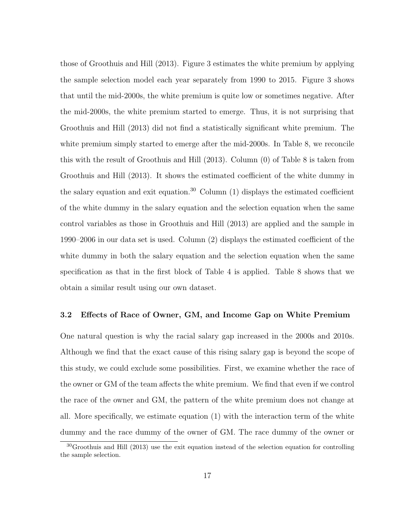those of Groothuis and Hill (2013). Figure 3 estimates the white premium by applying the sample selection model each year separately from 1990 to 2015. Figure 3 shows that until the mid-2000s, the white premium is quite low or sometimes negative. After the mid-2000s, the white premium started to emerge. Thus, it is not surprising that Groothuis and Hill (2013) did not find a statistically significant white premium. The white premium simply started to emerge after the mid-2000s. In Table 8, we reconcile this with the result of Groothuis and Hill (2013). Column (0) of Table 8 is taken from Groothuis and Hill (2013). It shows the estimated coefficient of the white dummy in the salary equation and exit equation.<sup>30</sup> Column  $(1)$  displays the estimated coefficient of the white dummy in the salary equation and the selection equation when the same control variables as those in Groothuis and Hill (2013) are applied and the sample in 1990–2006 in our data set is used. Column (2) displays the estimated coefficient of the white dummy in both the salary equation and the selection equation when the same specification as that in the first block of Table 4 is applied. Table 8 shows that we obtain a similar result using our own dataset.

#### 3.2 Effects of Race of Owner, GM, and Income Gap on White Premium

One natural question is why the racial salary gap increased in the 2000s and 2010s. Although we find that the exact cause of this rising salary gap is beyond the scope of this study, we could exclude some possibilities. First, we examine whether the race of the owner or GM of the team affects the white premium. We find that even if we control the race of the owner and GM, the pattern of the white premium does not change at all. More specifically, we estimate equation (1) with the interaction term of the white dummy and the race dummy of the owner of GM. The race dummy of the owner or

 $30G$ roothuis and Hill (2013) use the exit equation instead of the selection equation for controlling the sample selection.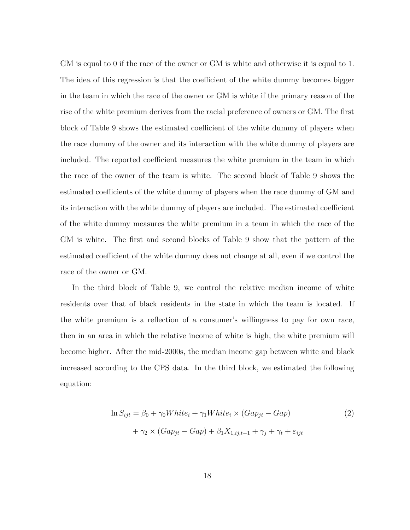GM is equal to 0 if the race of the owner or GM is white and otherwise it is equal to 1. The idea of this regression is that the coefficient of the white dummy becomes bigger in the team in which the race of the owner or GM is white if the primary reason of the rise of the white premium derives from the racial preference of owners or GM. The first block of Table 9 shows the estimated coefficient of the white dummy of players when the race dummy of the owner and its interaction with the white dummy of players are included. The reported coefficient measures the white premium in the team in which the race of the owner of the team is white. The second block of Table 9 shows the estimated coefficients of the white dummy of players when the race dummy of GM and its interaction with the white dummy of players are included. The estimated coefficient of the white dummy measures the white premium in a team in which the race of the GM is white. The first and second blocks of Table 9 show that the pattern of the estimated coefficient of the white dummy does not change at all, even if we control the race of the owner or GM.

In the third block of Table 9, we control the relative median income of white residents over that of black residents in the state in which the team is located. If the white premium is a reflection of a consumer's willingness to pay for own race, then in an area in which the relative income of white is high, the white premium will become higher. After the mid-2000s, the median income gap between white and black increased according to the CPS data. In the third block, we estimated the following equation:

$$
\ln S_{ijt} = \beta_0 + \gamma_0 White_i + \gamma_1 White_i \times (Gap_{jt} - \overline{Gap})
$$
  
+  $\gamma_2 \times (Gap_{jt} - \overline{Gap}) + \beta_1 X_{1,ij,t-1} + \gamma_j + \gamma_t + \varepsilon_{ijt}$  (2)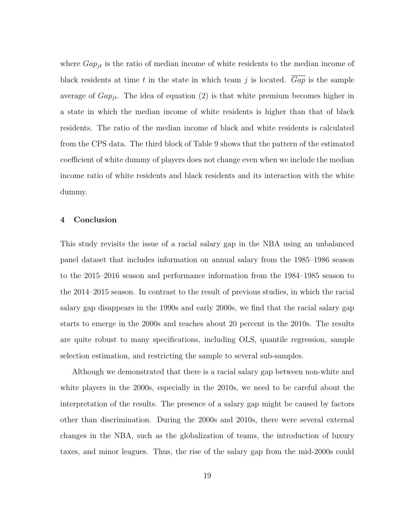where  $Gap_{jt}$  is the ratio of median income of white residents to the median income of black residents at time t in the state in which team j is located. Gap is the sample average of  $Gap_{it}$ . The idea of equation (2) is that white premium becomes higher in a state in which the median income of white residents is higher than that of black residents. The ratio of the median income of black and white residents is calculated from the CPS data. The third block of Table 9 shows that the pattern of the estimated coefficient of white dummy of players does not change even when we include the median income ratio of white residents and black residents and its interaction with the white dummy.

#### 4 Conclusion

This study revisits the issue of a racial salary gap in the NBA using an unbalanced panel dataset that includes information on annual salary from the 1985–1986 season to the 2015–2016 season and performance information from the 1984–1985 season to the 2014–2015 season. In contrast to the result of previous studies, in which the racial salary gap disappears in the 1990s and early 2000s, we find that the racial salary gap starts to emerge in the 2000s and reaches about 20 percent in the 2010s. The results are quite robust to many specifications, including OLS, quantile regression, sample selection estimation, and restricting the sample to several sub-samples.

Although we demonstrated that there is a racial salary gap between non-white and white players in the 2000s, especially in the 2010s, we need to be careful about the interpretation of the results. The presence of a salary gap might be caused by factors other than discrimination. During the 2000s and 2010s, there were several external changes in the NBA, such as the globalization of teams, the introduction of luxury taxes, and minor leagues. Thus, the rise of the salary gap from the mid-2000s could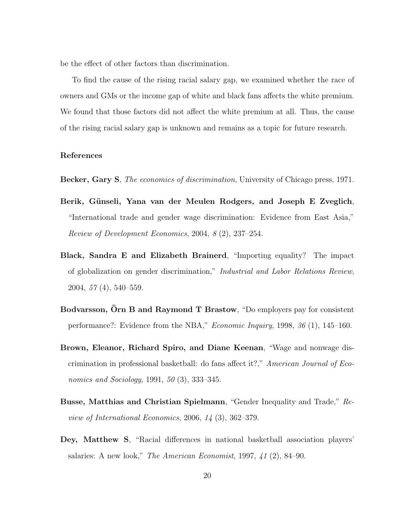be the effect of other factors than discrimination.

To find the cause of the rising racial salary gap, we examined whether the race of owners and GMs or the income gap of white and black fans affects the white premium. We found that those factors did not affect the white premium at all. Thus, the cause of the rising racial salary gap is unknown and remains as a topic for future research.

#### References

Becker, Gary S, The economics of discrimination, University of Chicago press, 1971.

- Berik, Günseli, Yana van der Meulen Rodgers, and Joseph E Zveglich, "International trade and gender wage discrimination: Evidence from East Asia," Review of Development Economics, 2004, 8 (2), 237–254.
- Black, Sandra E and Elizabeth Brainerd, "Importing equality? The impact of globalization on gender discrimination," Industrial and Labor Relations Review, 2004, 57 (4), 540–559.
- Bodvarsson, Orn B and Raymond T Brastow, "Do employers pay for consistent performance?: Evidence from the NBA," Economic Inquiry, 1998, 36 (1), 145–160.
- Brown, Eleanor, Richard Spiro, and Diane Keenan, "Wage and nonwage discrimination in professional basketball: do fans affect it?," American Journal of Economics and Sociology, 1991, 50 (3), 333–345.
- Busse, Matthias and Christian Spielmann, "Gender Inequality and Trade," Review of International Economics, 2006, 14 (3), 362–379.
- Dey, Matthew S, "Racial differences in national basketball association players' salaries: A new look," The American Economist, 1997, 41 (2), 84–90.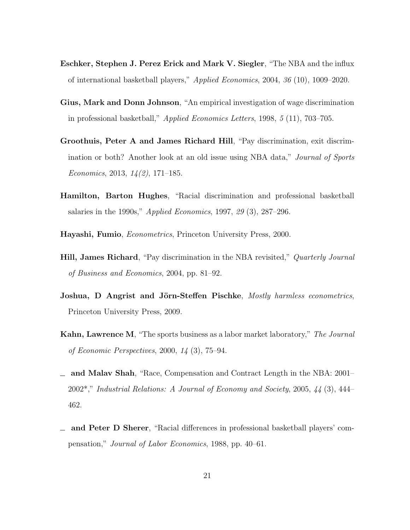- Eschker, Stephen J. Perez Erick and Mark V. Siegler, "The NBA and the influx of international basketball players," Applied Economics, 2004, 36 (10), 1009–2020.
- Gius, Mark and Donn Johnson, "An empirical investigation of wage discrimination in professional basketball," Applied Economics Letters, 1998, 5 (11), 703–705.
- Groothuis, Peter A and James Richard Hill, "Pay discrimination, exit discrimination or both? Another look at an old issue using NBA data," Journal of Sports Economics, 2013,  $14(2)$ , 171–185.
- Hamilton, Barton Hughes, "Racial discrimination and professional basketball salaries in the 1990s," Applied Economics, 1997, 29 (3), 287–296.
- Hayashi, Fumio, Econometrics, Princeton University Press, 2000.
- **Hill, James Richard**, "Pay discrimination in the NBA revisited," *Quarterly Journal* of Business and Economics, 2004, pp. 81–92.
- Joshua, D Angrist and Jörn-Steffen Pischke, Mostly harmless econometrics, Princeton University Press, 2009.
- Kahn, Lawrence M, "The sports business as a labor market laboratory," The Journal of Economic Perspectives, 2000, 14 (3), 75–94.
- and Malav Shah, "Race, Compensation and Contract Length in the NBA: 2001– 2002\*," Industrial Relations: A Journal of Economy and Society, 2005, 44 (3), 444– 462.
- and Peter D Sherer, "Racial differences in professional basketball players' compensation," Journal of Labor Economics, 1988, pp. 40–61.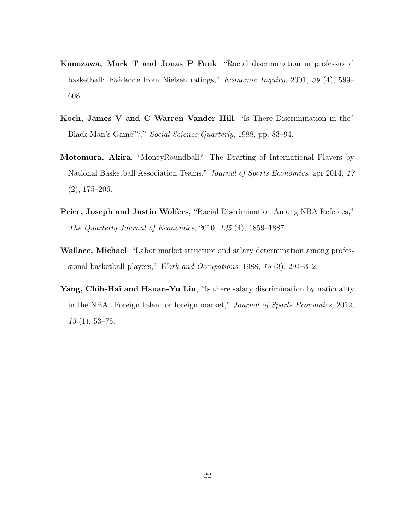- Kanazawa, Mark T and Jonas P Funk, "Racial discrimination in professional basketball: Evidence from Nielsen ratings," Economic Inquiry, 2001, 39 (4), 599– 608.
- Koch, James V and C Warren Vander Hill, "Is There Discrimination in the" Black Man's Game"?," Social Science Quarterly, 1988, pp. 83–94.
- Motomura, Akira, "MoneyRoundball? The Drafting of International Players by National Basketball Association Teams," Journal of Sports Economics, apr 2014, 17  $(2), 175-206.$
- Price, Joseph and Justin Wolfers, "Racial Discrimination Among NBA Referees," The Quarterly Journal of Economics, 2010, 125 (4), 1859–1887.
- Wallace, Michael, "Labor market structure and salary determination among professional basketball players," Work and Occupations, 1988, 15 (3), 294–312.
- Yang, Chih-Hai and Hsuan-Yu Lin, "Is there salary discrimination by nationality in the NBA? Foreign talent or foreign market," Journal of Sports Economics, 2012,  $13(1), 53-75.$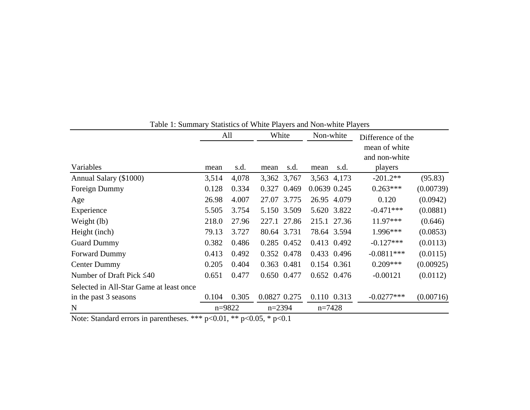|                                         |       | All        | White          | Non-white    | Difference of the              |           |
|-----------------------------------------|-------|------------|----------------|--------------|--------------------------------|-----------|
|                                         |       |            |                |              | mean of white<br>and non-white |           |
| Variables                               | mean  | s.d.       | s.d.<br>mean   | s.d.<br>mean | players                        |           |
| Annual Salary (\$1000)                  | 3,514 | 4,078      | 3,362 3,767    | 3,563 4,173  | $-201.2**$                     | (95.83)   |
| Foreign Dummy                           | 0.128 | 0.334      | 0.469<br>0.327 | 0.0639 0.245 | $0.263***$                     | (0.00739) |
| Age                                     | 26.98 | 4.007      | 27.07 3.775    | 26.95 4.079  | 0.120                          | (0.0942)  |
| Experience                              | 5.505 | 3.754      | 5.150 3.509    | 5.620 3.822  | $-0.471***$                    | (0.0881)  |
| Weight (lb)                             | 218.0 | 27.96      | 227.1 27.86    | 215.1 27.36  | 11.97***                       | (0.646)   |
| Height (inch)                           | 79.13 | 3.727      | 80.64 3.731    | 78.64 3.594  | 1.996***                       | (0.0853)  |
| <b>Guard Dummy</b>                      | 0.382 | 0.486      | 0.285 0.452    | 0.413 0.492  | $-0.127***$                    | (0.0113)  |
| <b>Forward Dummy</b>                    | 0.413 | 0.492      | 0.352 0.478    | 0.433 0.496  | $-0.0811***$                   | (0.0115)  |
| <b>Center Dummy</b>                     | 0.205 | 0.404      | 0.363 0.481    | 0.154 0.361  | $0.209***$                     | (0.00925) |
| Number of Draft Pick $\leq 40$          | 0.651 | 0.477      | 0.650 0.477    | 0.652 0.476  | $-0.00121$                     | (0.0112)  |
| Selected in All-Star Game at least once |       |            |                |              |                                |           |
| in the past 3 seasons                   | 0.104 | 0.305      | 0.0827 0.275   | 0.110 0.313  | $-0.0277***$                   | (0.00716) |
| N                                       |       | $n = 9822$ | $n = 2394$     | $n = 7428$   |                                |           |

Table 1: Summary Statistics of White Players and Non-white Players

Note: Standard errors in parentheses. \*\*\* p<0.01, \*\* p<0.05, \* p<0.1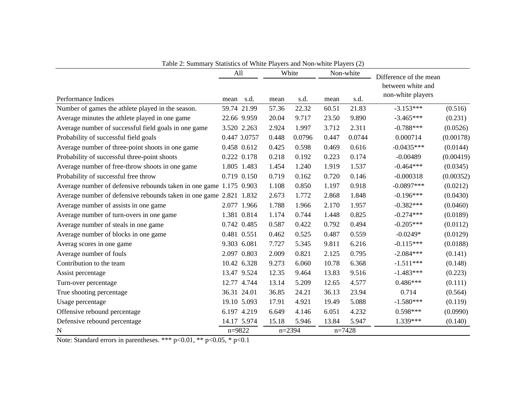|                                                                    | All         |              |       | White    |       | Non-white | Difference of the mean |           |
|--------------------------------------------------------------------|-------------|--------------|-------|----------|-------|-----------|------------------------|-----------|
|                                                                    |             |              |       |          |       |           | between white and      |           |
| Performance Indices                                                | mean        | s.d.         | mean  | s.d.     | mean  | s.d.      | non-white players      |           |
| Number of games the athlete played in the season.                  |             | 59.74 21.99  | 57.36 | 22.32    | 60.51 | 21.83     | $-3.153***$            | (0.516)   |
| Average minutes the athlete played in one game                     | 22.66 9.959 |              | 20.04 | 9.717    | 23.50 | 9.890     | $-3.465***$            | (0.231)   |
| Average number of successful field goals in one game               | 3.520 2.263 |              | 2.924 | 1.997    | 3.712 | 2.311     | $-0.788***$            | (0.0526)  |
| Probability of successful field goals                              |             | 0.447 0.0757 | 0.448 | 0.0796   | 0.447 | 0.0744    | 0.000714               | (0.00178) |
| Average number of three-point shoots in one game                   | 0.458 0.612 |              | 0.425 | 0.598    | 0.469 | 0.616     | $-0.0435***$           | (0.0144)  |
| Probability of successful three-point shoots                       | 0.222 0.178 |              | 0.218 | 0.192    | 0.223 | 0.174     | $-0.00489$             | (0.00419) |
| Average number of free-throw shoots in one game                    |             | 1.805 1.483  | 1.454 | 1.240    | 1.919 | 1.537     | $-0.464***$            | (0.0345)  |
| Probability of successful free throw                               | 0.719 0.150 |              | 0.719 | 0.162    | 0.720 | 0.146     | $-0.000318$            | (0.00352) |
| Average number of defensive rebounds taken in one game 1.175 0.903 |             |              | 1.108 | 0.850    | 1.197 | 0.918     | $-0.0897***$           | (0.0212)  |
| Average number of defensive rebounds taken in one game 2.821 1.832 |             |              | 2.673 | 1.772    | 2.868 | 1.848     | $-0.196***$            | (0.0430)  |
| Average number of assists in one game                              |             | 2.077 1.966  | 1.788 | 1.966    | 2.170 | 1.957     | $-0.382***$            | (0.0460)  |
| Average number of turn-overs in one game                           |             | 1.381 0.814  | 1.174 | 0.744    | 1.448 | 0.825     | $-0.274***$            | (0.0189)  |
| Average number of steals in one game                               | 0.742 0.485 |              | 0.587 | 0.422    | 0.792 | 0.494     | $-0.205***$            | (0.0112)  |
| Average number of blocks in one game                               | 0.481 0.551 |              | 0.462 | 0.525    | 0.487 | 0.559     | $-0.0249*$             | (0.0129)  |
| Averag scores in one game                                          | 9.303 6.081 |              | 7.727 | 5.345    | 9.811 | 6.216     | $-0.115***$            | (0.0188)  |
| Average number of fouls                                            | 2.097 0.803 |              | 2.009 | 0.821    | 2.125 | 0.795     | $-2.084***$            | (0.141)   |
| Contribution to the team                                           |             | 10.42 6.328  | 9.273 | 6.060    | 10.78 | 6.368     | $-1.511***$            | (0.148)   |
| Assist percentage                                                  |             | 13.47 9.524  | 12.35 | 9.464    | 13.83 | 9.516     | $-1.483***$            | (0.223)   |
| Turn-over percentage                                               |             | 12.77 4.744  | 13.14 | 5.209    | 12.65 | 4.577     | $0.486***$             | (0.111)   |
| True shooting percentage                                           | 36.31 24.01 |              | 36.85 | 24.21    | 36.13 | 23.94     | 0.714                  | (0.564)   |
| Usage percentage                                                   | 19.10 5.093 |              | 17.91 | 4.921    | 19.49 | 5.088     | $-1.580***$            | (0.119)   |
| Offensive rebound percentage                                       | 6.197 4.219 |              | 6.649 | 4.146    | 6.051 | 4.232     | $0.598***$             | (0.0990)  |
| Defensive rebound percentage                                       |             | 14.17 5.974  | 15.18 | 5.946    | 13.84 | 5.947     | 1.339***               | (0.140)   |
| N                                                                  | $n = 9822$  |              |       | $n=2394$ |       | $n=7428$  |                        |           |

Table 2: Summary Statistics of White Players and Non-white Players (2)

Note: Standard errors in parentheses. \*\*\* p<0.01, \*\* p<0.05, \* p<0.1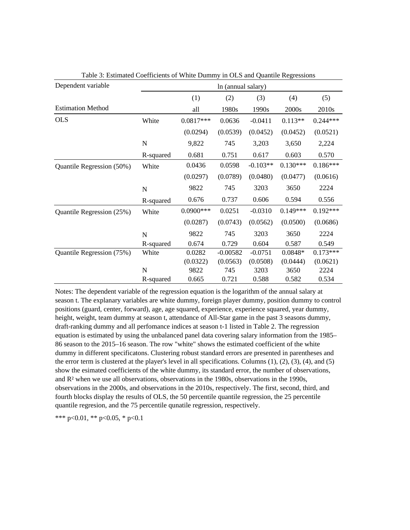| Dependent variable        | In (annual salary) |              |            |            |            |            |  |
|---------------------------|--------------------|--------------|------------|------------|------------|------------|--|
|                           |                    | (1)          | (2)        | (3)        | (4)        | (5)        |  |
| <b>Estimation Method</b>  |                    | all          | 1980s      | 1990s      | 2000s      | 2010s      |  |
| <b>OLS</b>                | White              | $0.0817***$  | 0.0636     | $-0.0411$  | $0.113**$  | $0.244***$ |  |
|                           |                    | (0.0294)     | (0.0539)   | (0.0452)   | (0.0452)   | (0.0521)   |  |
|                           | $\mathbf N$        | 9,822        | 745        | 3,203      | 3,650      | 2,224      |  |
|                           | R-squared          | 0.681        | 0.751      | 0.617      | 0.603      | 0.570      |  |
| Quantile Regression (50%) | White              | 0.0436       | 0.0598     | $-0.103**$ | $0.130***$ | $0.186***$ |  |
|                           |                    | (0.0297)     | (0.0789)   | (0.0480)   | (0.0477)   | (0.0616)   |  |
|                           | $\mathbf N$        | 9822         | 745        | 3203       | 3650       | 2224       |  |
|                           | R-squared          | 0.676        | 0.737      | 0.606      | 0.594      | 0.556      |  |
| Quantile Regression (25%) | White              | $0.0900$ *** | 0.0251     | $-0.0310$  | $0.149***$ | $0.192***$ |  |
|                           |                    | (0.0287)     | (0.0743)   | (0.0562)   | (0.0500)   | (0.0686)   |  |
|                           | $\mathbf N$        | 9822         | 745        | 3203       | 3650       | 2224       |  |
|                           | R-squared          | 0.674        | 0.729      | 0.604      | 0.587      | 0.549      |  |
| Quantile Regression (75%) | White              | 0.0282       | $-0.00582$ | $-0.0751$  | 0.0848*    | $0.173***$ |  |
|                           |                    | (0.0322)     | (0.0563)   | (0.0508)   | (0.0444)   | (0.0621)   |  |
|                           | $\mathbf N$        | 9822         | 745        | 3203       | 3650       | 2224       |  |
|                           | R-squared          | 0.665        | 0.721      | 0.588      | 0.582      | 0.534      |  |

Table 3: Estimated Coefficients of White Dummy in OLS and Quantile Regressions

Notes: The dependent variable of the regression equation is the logarithm of the annual salary at season t. The explanary variables are white dummy, foreign player dummy, position dummy to control positions (guard, center, forward), age, age squared, experience, experience squared, year dummy, height, weight, team dummy at season t, attendance of All-Star game in the past 3 seasons dummy, draft-ranking dummy and all perfomance indices at season t-1 listed in Table 2. The regression equation is estimated by using the unbalanced panel data covering salary information from the 1985– 86 season to the 2015–16 season. The row "white" shows the estimated coefficient of the white dummy in different specificatons. Clustering robust standard errors are presented in parentheses and the error term is clustered at the player's level in all specifications. Columns  $(1)$ ,  $(2)$ ,  $(3)$ ,  $(4)$ , and  $(5)$ show the esimated coefficients of the white dummy, its standard error, the number of observations, and R² when we use all observations, observations in the 1980s, observations in the 1990s, observations in the 2000s, and observations in the 2010s, respectively. The first, second, third, and fourth blocks display the results of OLS, the 50 percentile quantile regression, the 25 percentile quantile regresion, and the 75 percentile qunatile regression, respectively.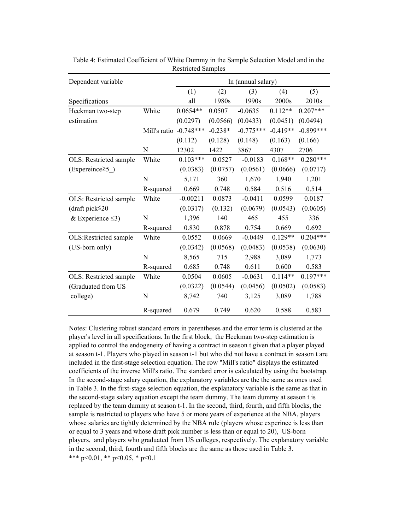| Dependent variable     |                          | In (annual salary) |           |             |            |             |  |
|------------------------|--------------------------|--------------------|-----------|-------------|------------|-------------|--|
|                        |                          | (1)                | (2)       | (3)         | (4)        | (5)         |  |
| Specifications         |                          | all                | 1980s     | 1990s       | 2000s      | 2010s       |  |
| Heckman two-step       | White                    | $0.0654**$         | 0.0507    | $-0.0635$   | $0.112**$  | $0.207***$  |  |
| estimation             |                          | (0.0297)           | (0.0566)  | (0.0433)    | (0.0451)   | (0.0494)    |  |
|                        | Mill's ratio $-0.748***$ |                    | $-0.238*$ | $-0.775***$ | $-0.419**$ | $-0.899***$ |  |
|                        |                          | (0.112)            | (0.128)   | (0.148)     | (0.163)    | (0.166)     |  |
|                        | ${\bf N}$                | 12302              | 1422      | 3867        | 4307       | 2706        |  |
| OLS: Restricted sample | White                    | $0.103***$         | 0.0527    | $-0.0183$   | $0.168**$  | $0.280***$  |  |
| $(Expereine \geq 5)$   |                          | (0.0383)           | (0.0757)  | (0.0561)    | (0.0666)   | (0.0717)    |  |
|                        | N                        | 5,171              | 360       | 1,670       | 1,940      | 1,201       |  |
|                        | R-squared                | 0.669              | 0.748     | 0.584       | 0.516      | 0.514       |  |
| OLS: Restricted sample | White                    | $-0.00211$         | 0.0873    | $-0.0411$   | 0.0599     | 0.0187      |  |
| (draft pick $\leq$ 20  |                          | (0.0317)           | (0.132)   | (0.0679)    | (0.0543)   | (0.0605)    |  |
| & Experience $\leq$ 3) | N                        | 1,396              | 140       | 465         | 455        | 336         |  |
|                        | R-squared                | 0.830              | 0.878     | 0.754       | 0.669      | 0.692       |  |
| OLS:Restricted sample  | White                    | 0.0552             | 0.0669    | $-0.0449$   | $0.129**$  | $0.204***$  |  |
| (US-born only)         |                          | (0.0342)           | (0.0568)  | (0.0483)    | (0.0538)   | (0.0630)    |  |
|                        | N                        | 8,565              | 715       | 2,988       | 3,089      | 1,773       |  |
|                        | R-squared                | 0.685              | 0.748     | 0.611       | 0.600      | 0.583       |  |
| OLS: Restricted sample | White                    | 0.0504             | 0.0605    | $-0.0631$   | $0.114**$  | $0.197***$  |  |
| (Graduated from US     |                          | (0.0322)           | (0.0544)  | (0.0456)    | (0.0502)   | (0.0583)    |  |
| college)               | N                        | 8,742              | 740       | 3,125       | 3,089      | 1,788       |  |
|                        | R-squared                | 0.679              | 0.749     | 0.620       | 0.588      | 0.583       |  |

Table 4: Estimated Coefficient of White Dummy in the Sample Selection Model and in the Restricted Samples

Notes: Clustering robust standard errors in parentheses and the error term is clustered at the player's level in all specifications. In the first block, the Heckman two-step estimation is applied to control the endogeneity of having a contract in season t given that a player played at season t-1. Players who played in season t-1 but who did not have a contract in season t are included in the first-stage selection equation. The row "Mill's ratio" displays the estimated coefficients of the inverse Mill's ratio. The standard error is calculated by using the bootstrap. In the second-stage salary equation, the explanatory variables are the the same as ones used in Table 3. In the first-stage selection equation, the explanatory variable is the same as that in the second-stage salary equation except the team dummy. The team dummy at season t is replaced by the team dummy at season t-1. In the second, third, fourth, and fifth blocks, the sample is restricted to players who have 5 or more years of experience at the NBA, players whose salaries are tightly determined by the NBA rule (players whose experince is less than or equal to 3 years and whose draft pick number is less than or equal to 20), US-born players, and players who graduated from US colleges, respectively. The explanatory variable in the second, third, fourth and fifth blocks are the same as those used in Table 3. \*\*\* p<0.01, \*\* p<0.05, \* p<0.1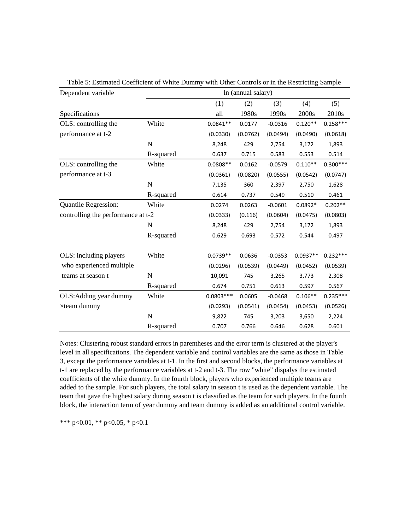| Dependent variable                 | In (annual salary) |             |          |           |            |            |  |  |  |  |
|------------------------------------|--------------------|-------------|----------|-----------|------------|------------|--|--|--|--|
|                                    |                    | (1)         | (2)      | (3)       | (4)        | (5)        |  |  |  |  |
| Specifications                     |                    | all         | 1980s    | 1990s     | 2000s      | 2010s      |  |  |  |  |
| OLS: controlling the               | White              | $0.0841**$  | 0.0177   | $-0.0316$ | $0.120**$  | $0.258***$ |  |  |  |  |
| performance at t-2                 |                    | (0.0330)    | (0.0762) | (0.0494)  | (0.0490)   | (0.0618)   |  |  |  |  |
|                                    | N                  | 8,248       | 429      | 2,754     | 3,172      | 1,893      |  |  |  |  |
|                                    | R-squared          | 0.637       | 0.715    | 0.583     | 0.553      | 0.514      |  |  |  |  |
| OLS: controlling the               | White              | $0.0808**$  | 0.0162   | $-0.0579$ | $0.110**$  | $0.300***$ |  |  |  |  |
| performance at t-3                 |                    | (0.0361)    | (0.0820) | (0.0555)  | (0.0542)   | (0.0747)   |  |  |  |  |
|                                    | $\mathbf N$        | 7,135       | 360      | 2,397     | 2,750      | 1,628      |  |  |  |  |
|                                    | R-squared          | 0.614       | 0.737    | 0.549     | 0.510      | 0.461      |  |  |  |  |
| <b>Quantile Regression:</b>        | White              | 0.0274      | 0.0263   | $-0.0601$ | $0.0892*$  | $0.202**$  |  |  |  |  |
| controlling the performance at t-2 |                    | (0.0333)    | (0.116)  | (0.0604)  | (0.0475)   | (0.0803)   |  |  |  |  |
|                                    | $\mathbf N$        | 8,248       | 429      | 2,754     | 3,172      | 1,893      |  |  |  |  |
|                                    | R-squared          | 0.629       | 0.693    | 0.572     | 0.544      | 0.497      |  |  |  |  |
|                                    | White              | $0.0739**$  | 0.0636   | $-0.0353$ | $0.0937**$ | $0.232***$ |  |  |  |  |
| OLS: including players             |                    |             |          |           |            |            |  |  |  |  |
| who experienced multiple           |                    | (0.0296)    | (0.0539) | (0.0449)  | (0.0452)   | (0.0539)   |  |  |  |  |
| teams at season t                  | $\mathbf N$        | 10,091      | 745      | 3,265     | 3,773      | 2,308      |  |  |  |  |
|                                    | R-squared          | 0.674       | 0.751    | 0.613     | 0.597      | 0.567      |  |  |  |  |
| OLS: Adding year dummy             | White              | $0.0803***$ | 0.0605   | $-0.0468$ | $0.106**$  | $0.235***$ |  |  |  |  |
| xteam dummy                        |                    | (0.0293)    | (0.0541) | (0.0454)  | (0.0453)   | (0.0526)   |  |  |  |  |
|                                    | N                  | 9,822       | 745      | 3,203     | 3,650      | 2,224      |  |  |  |  |
|                                    | R-squared          | 0.707       | 0.766    | 0.646     | 0.628      | 0.601      |  |  |  |  |

Table 5: Estimated Coefficient of White Dummy with Other Controls or in the Restricting Sample

Notes: Clustering robust standard errors in parentheses and the error term is clustered at the player's level in all specifications. The dependent variable and control variables are the same as those in Table 3, except the performance variables at t-1. In the first and second blocks, the performance variables at t-1 are replaced by the performance variables at t-2 and t-3. The row "white" dispalys the estimated coefficients of the white dummy. In the fourth block, players who experienced multiple teams are added to the sample. For such players, the total salary in season t is used as the dependent variable. The team that gave the highest salary during season t is classified as the team for such players. In the fourth block, the interaction term of year dummy and team dummy is added as an additional control variable.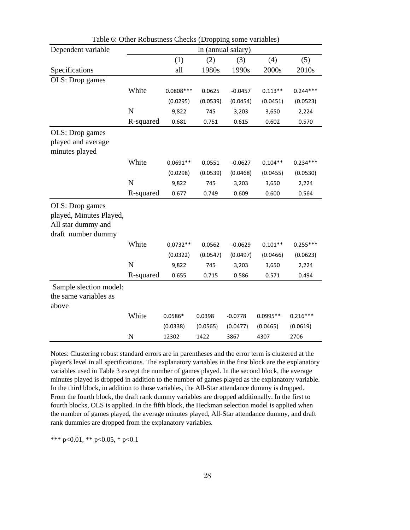| Dependent variable                                                                     | In (annual salary) |             |          |           |            |            |  |  |
|----------------------------------------------------------------------------------------|--------------------|-------------|----------|-----------|------------|------------|--|--|
|                                                                                        |                    | (1)         | (2)      | (3)       | (4)        | (5)        |  |  |
| Specifications                                                                         |                    | all         | 1980s    | 1990s     | 2000s      | 2010s      |  |  |
| OLS: Drop games                                                                        |                    |             |          |           |            |            |  |  |
|                                                                                        | White              | $0.0808***$ | 0.0625   | $-0.0457$ | $0.113**$  | $0.244***$ |  |  |
|                                                                                        |                    | (0.0295)    | (0.0539) | (0.0454)  | (0.0451)   | (0.0523)   |  |  |
|                                                                                        | N                  | 9,822       | 745      | 3,203     | 3,650      | 2,224      |  |  |
|                                                                                        | R-squared          | 0.681       | 0.751    | 0.615     | 0.602      | 0.570      |  |  |
| OLS: Drop games<br>played and average                                                  |                    |             |          |           |            |            |  |  |
| minutes played                                                                         |                    |             |          |           |            |            |  |  |
|                                                                                        | White              | $0.0691**$  | 0.0551   | $-0.0627$ | $0.104**$  | $0.234***$ |  |  |
|                                                                                        |                    | (0.0298)    | (0.0539) | (0.0468)  | (0.0455)   | (0.0530)   |  |  |
|                                                                                        | $\mathbf N$        | 9,822       | 745      | 3,203     | 3,650      | 2,224      |  |  |
|                                                                                        | R-squared          | 0.677       | 0.749    | 0.609     | 0.600      | 0.564      |  |  |
| OLS: Drop games<br>played, Minutes Played,<br>All star dummy and<br>draft number dummy |                    |             |          |           |            |            |  |  |
|                                                                                        | White              | $0.0732**$  | 0.0562   | $-0.0629$ | $0.101**$  | $0.255***$ |  |  |
|                                                                                        |                    | (0.0322)    | (0.0547) | (0.0497)  | (0.0466)   | (0.0623)   |  |  |
|                                                                                        | N                  | 9,822       | 745      | 3,203     | 3,650      | 2,224      |  |  |
|                                                                                        | R-squared          | 0.655       | 0.715    | 0.586     | 0.571      | 0.494      |  |  |
| Sample slection model:<br>the same variables as<br>above                               |                    |             |          |           |            |            |  |  |
|                                                                                        | White              | $0.0586*$   | 0.0398   | $-0.0778$ | $0.0995**$ | $0.216***$ |  |  |
|                                                                                        |                    | (0.0338)    | (0.0565) | (0.0477)  | (0.0465)   | (0.0619)   |  |  |
|                                                                                        | N                  | 12302       | 1422     | 3867      | 4307       | 2706       |  |  |

Table 6: Other Robustness Checks (Dropping some variables)

Notes: Clustering robust standard errors are in parentheses and the error term is clustered at the player's level in all specifications. The explanatory variables in the first block are the explanatory variables used in Table 3 except the number of games played. In the second block, the average minutes played is dropped in addition to the number of games played as the explanatory variable. In the third block, in addition to those variables, the All-Star attendance dummy is dropped. From the fourth block, the draft rank dummy variables are dropped additionally. In the first to fourth blocks, OLS is applied. In the fifth block, the Heckman selection model is applied when the number of games played, the average minutes played, All-Star attendance dummy, and draft rank dummies are dropped from the explanatory variables.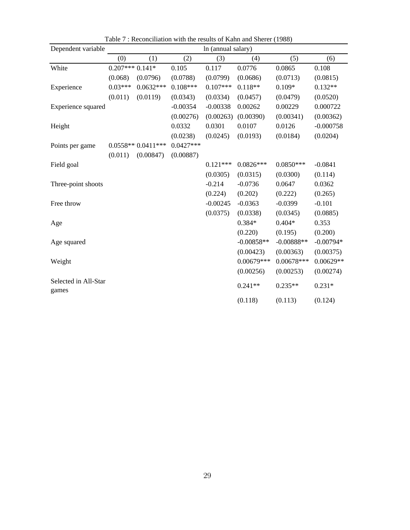| Dependent variable            |                  | In (annual salary)  |             |            |              |              |             |  |
|-------------------------------|------------------|---------------------|-------------|------------|--------------|--------------|-------------|--|
|                               | (0)              | (1)                 | (2)         | (3)        | (4)          | (5)          | (6)         |  |
| White                         | $0.207***0.141*$ |                     | 0.105       | 0.117      | 0.0776       | 0.0865       | 0.108       |  |
|                               | (0.068)          | (0.0796)            | (0.0788)    | (0.0799)   | (0.0686)     | (0.0713)     | (0.0815)    |  |
| Experience                    | $0.03***$        | $0.0632***$         | $0.108***$  | $0.107***$ | $0.118**$    | $0.109*$     | $0.132**$   |  |
|                               | (0.011)          | (0.0119)            | (0.0343)    | (0.0334)   | (0.0457)     | (0.0479)     | (0.0520)    |  |
| Experience squared            |                  |                     | $-0.00354$  | $-0.00338$ | 0.00262      | 0.00229      | 0.000722    |  |
|                               |                  |                     | (0.00276)   | (0.00263)  | (0.00390)    | (0.00341)    | (0.00362)   |  |
| Height                        |                  |                     | 0.0332      | 0.0301     | 0.0107       | 0.0126       | $-0.000758$ |  |
|                               |                  |                     | (0.0238)    | (0.0245)   | (0.0193)     | (0.0184)     | (0.0204)    |  |
| Points per game               |                  | $0.0558**0.0411***$ | $0.0427***$ |            |              |              |             |  |
|                               | (0.011)          | (0.00847)           | (0.00887)   |            |              |              |             |  |
| Field goal                    |                  |                     |             | $0.121***$ | $0.0826***$  | $0.0850***$  | $-0.0841$   |  |
|                               |                  |                     |             | (0.0305)   | (0.0315)     | (0.0300)     | (0.114)     |  |
| Three-point shoots            |                  |                     |             | $-0.214$   | $-0.0736$    | 0.0647       | 0.0362      |  |
|                               |                  |                     |             | (0.224)    | (0.202)      | (0.222)      | (0.265)     |  |
| Free throw                    |                  |                     |             | $-0.00245$ | $-0.0363$    | $-0.0399$    | $-0.101$    |  |
|                               |                  |                     |             | (0.0375)   | (0.0338)     | (0.0345)     | (0.0885)    |  |
| Age                           |                  |                     |             |            | $0.384*$     | $0.404*$     | 0.353       |  |
|                               |                  |                     |             |            | (0.220)      | (0.195)      | (0.200)     |  |
| Age squared                   |                  |                     |             |            | $-0.00858**$ | $-0.00888**$ | $-0.00794*$ |  |
|                               |                  |                     |             |            | (0.00423)    | (0.00363)    | (0.00375)   |  |
| Weight                        |                  |                     |             |            | $0.00679***$ | $0.00678***$ | $0.00629**$ |  |
|                               |                  |                     |             |            | (0.00256)    | (0.00253)    | (0.00274)   |  |
| Selected in All-Star<br>games |                  |                     |             |            | $0.241**$    | $0.235**$    | $0.231*$    |  |
|                               |                  |                     |             |            | (0.118)      | (0.113)      | (0.124)     |  |

Table 7 : Reconciliation with the results of Kahn and Sherer (1988)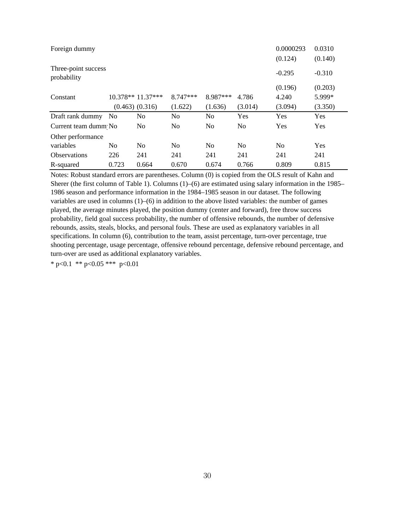| Foreign dummy                      |                |                     |                |                |                | 0.0000293<br>(0.124) | 0.0310<br>(0.140) |
|------------------------------------|----------------|---------------------|----------------|----------------|----------------|----------------------|-------------------|
| Three-point success<br>probability |                |                     |                |                |                | $-0.295$             | $-0.310$          |
|                                    |                |                     |                |                |                | (0.196)              | (0.203)           |
| Constant                           |                | $10.378**11.37***$  | $8.747***$     | 8.987***       | 4.786          | 4.240                | 5.999*            |
|                                    |                | $(0.463)$ $(0.316)$ | (1.622)        | (1.636)        | (3.014)        | (3.094)              | (3.350)           |
| Draft rank dummy                   | - No           | N <sub>0</sub>      | N <sub>0</sub> | N <sub>0</sub> | Yes            | Yes                  | Yes               |
| Current team dumm No               |                | N <sub>0</sub>      | No.            | N <sub>0</sub> | N <sub>0</sub> | Yes                  | Yes               |
| Other performance                  |                |                     |                |                |                |                      |                   |
| variables                          | N <sub>0</sub> | N <sub>0</sub>      | N <sub>0</sub> | No             | N <sub>0</sub> | No                   | Yes               |
| <b>Observations</b>                | 226            | 241                 | 241            | 241            | 241            | 241                  | 241               |
| R-squared                          | 0.723          | 0.664               | 0.670          | 0.674          | 0.766          | 0.809                | 0.815             |

Notes: Robust standard errors are parentheses. Column (0) is copied from the OLS result of Kahn and Sherer (the first column of Table 1). Columns (1)–(6) are estimated using salary information in the 1985– 1986 season and performance information in the 1984–1985 season in our dataset. The following variables are used in columns (1)–(6) in addition to the above listed variables: the number of games played, the average minutes played, the position dummy (center and forward), free throw success probability, field goal success probability, the number of offensive rebounds, the number of defensive rebounds, assits, steals, blocks, and personal fouls. These are used as explanatory variables in all specifications. In column (6), contribution to the team, assist percentage, turn-over percentage, true shooting percentage, usage percentage, offensive rebound percentage, defensive rebound percentage, and turn-over are used as additional explanatory variables.

\* p<0.1 \*\* p<0.05 \*\*\* p<0.01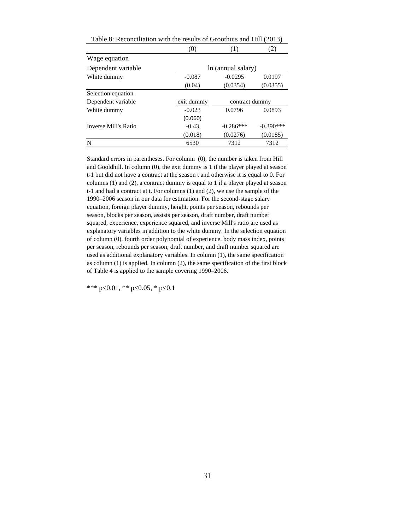| $\sigma$ . Reconcillation with the results of Groothuls and Thin $(2015)$ |                    |                |             |  |  |  |  |  |
|---------------------------------------------------------------------------|--------------------|----------------|-------------|--|--|--|--|--|
|                                                                           | (0)                | (1)            | (2)         |  |  |  |  |  |
| Wage equation                                                             |                    |                |             |  |  |  |  |  |
| Dependent variable                                                        | ln (annual salary) |                |             |  |  |  |  |  |
| White dummy                                                               | $-0.087$           | $-0.0295$      | 0.0197      |  |  |  |  |  |
|                                                                           | (0.04)             | (0.0354)       | (0.0355)    |  |  |  |  |  |
| Selection equation                                                        |                    |                |             |  |  |  |  |  |
| Dependent variable                                                        | exit dummy         | contract dummy |             |  |  |  |  |  |
| White dummy                                                               | $-0.023$           | 0.0796         | 0.0893      |  |  |  |  |  |
|                                                                           | (0.060)            |                |             |  |  |  |  |  |
| Inverse Mill's Ratio                                                      | $-0.43$            | $-0.286***$    | $-0.390***$ |  |  |  |  |  |
|                                                                           | (0.018)            | (0.0276)       | (0.0185)    |  |  |  |  |  |
| N                                                                         | 6530               | 7312           | 7312        |  |  |  |  |  |

Table 8: Reconciliation with the results of Groothuis and Hill (2013)

Standard errors in parentheses. For column (0), the number is taken from Hill and Gooldhill. In column (0), the exit dummy is 1 if the player played at season t-1 but did not have a contract at the season t and otherwise it is equal to 0. For columns (1) and (2), a contract dummy is equal to 1 if a player played at season t-1 and had a contract at t. For columns (1) and (2), we use the sample of the 1990–2006 season in our data for estimation. For the second-stage salary equation, foreign player dummy, height, points per season, rebounds per season, blocks per season, assists per season, draft number, draft number squared, experience, experience squared, and inverse Mill's ratio are used as explanatory variables in addition to the white dummy. In the selection equation of column (0), fourth order polynomial of experience, body mass index, points per season, rebounds per season, draft number, and draft number squared are used as additional explanatory variables. In column (1), the same specification as column (1) is applied. In column (2), the same specification of the first block of Table 4 is applied to the sample covering 1990–2006.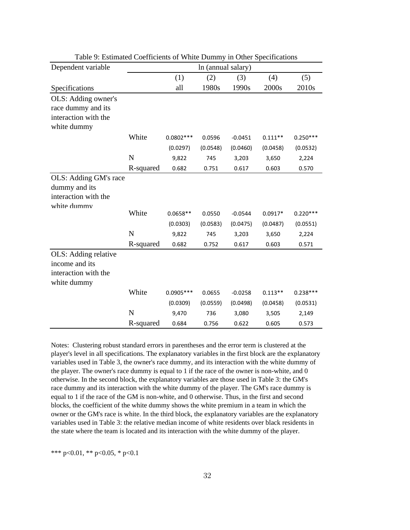| Dependent variable    |           |             | In (annual salary) |           |           |            |
|-----------------------|-----------|-------------|--------------------|-----------|-----------|------------|
|                       |           | (1)         | (2)                | (3)       | (4)       | (5)        |
| Specifications        |           | all         | 1980s              | 1990s     | 2000s     | 2010s      |
| OLS: Adding owner's   |           |             |                    |           |           |            |
| race dummy and its    |           |             |                    |           |           |            |
| interaction with the  |           |             |                    |           |           |            |
| white dummy           |           |             |                    |           |           |            |
|                       | White     | $0.0802***$ | 0.0596             | $-0.0451$ | $0.111**$ | $0.250***$ |
|                       |           | (0.0297)    | (0.0548)           | (0.0460)  | (0.0458)  | (0.0532)   |
|                       | N         | 9,822       | 745                | 3,203     | 3,650     | 2,224      |
|                       | R-squared | 0.682       | 0.751              | 0.617     | 0.603     | 0.570      |
| OLS: Adding GM's race |           |             |                    |           |           |            |
| dummy and its         |           |             |                    |           |           |            |
| interaction with the  |           |             |                    |           |           |            |
| white dummv           |           |             |                    |           |           |            |
|                       | White     | $0.0658**$  | 0.0550             | $-0.0544$ | $0.0917*$ | $0.220***$ |
|                       |           | (0.0303)    | (0.0583)           | (0.0475)  | (0.0487)  | (0.0551)   |
|                       | N         | 9,822       | 745                | 3,203     | 3,650     | 2,224      |
|                       | R-squared | 0.682       | 0.752              | 0.617     | 0.603     | 0.571      |
| OLS: Adding relative  |           |             |                    |           |           |            |
| income and its        |           |             |                    |           |           |            |
| interaction with the  |           |             |                    |           |           |            |
| white dummy           |           |             |                    |           |           |            |
|                       | White     | $0.0905***$ | 0.0655             | $-0.0258$ | $0.113**$ | $0.238***$ |
|                       |           | (0.0309)    | (0.0559)           | (0.0498)  | (0.0458)  | (0.0531)   |
|                       | N         | 9,470       | 736                | 3,080     | 3,505     | 2,149      |
|                       | R-squared | 0.684       | 0.756              | 0.622     | 0.605     | 0.573      |

Table 9: Estimated Coefficients of White Dummy in Other Specifications

Notes: Clustering robust standard errors in parentheses and the error term is clustered at the player's level in all specifications. The explanatory variables in the first block are the explanatory variables used in Table 3, the owner's race dummy, and its interaction with the white dummy of the player. The owner's race dummy is equal to 1 if the race of the owner is non-white, and 0 otherwise. In the second block, the explanatory variables are those used in Table 3: the GM's race dummy and its interaction with the white dummy of the player. The GM's race dummy is equal to 1 if the race of the GM is non-white, and 0 otherwise. Thus, in the first and second blocks, the coefficient of the white dummy shows the white premium in a team in which the owner or the GM's race is white. In the third block, the explanatory variables are the explanatory variables used in Table 3: the relative median income of white residents over black residents in the state where the team is located and its interaction with the white dummy of the player.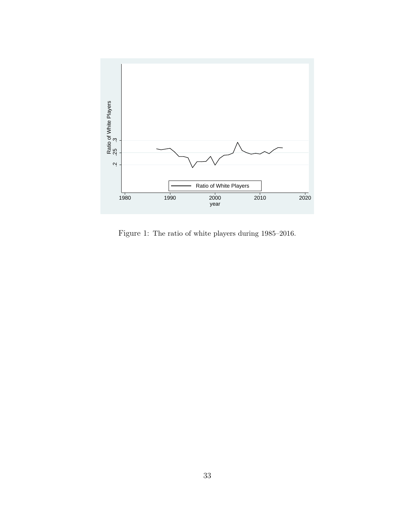

Figure 1: The ratio of white players during 1985–2016.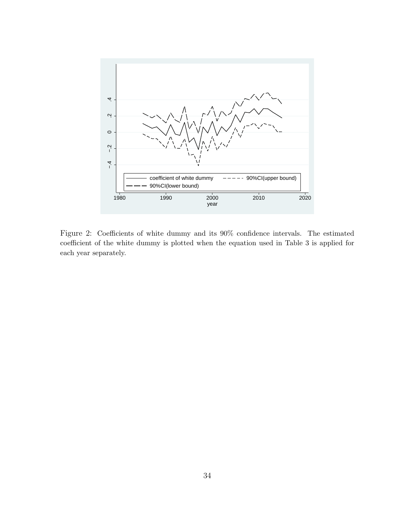

Figure 2: Coefficients of white dummy and its 90% confidence intervals. The estimated coefficient of the white dummy is plotted when the equation used in Table 3 is applied for each year separately.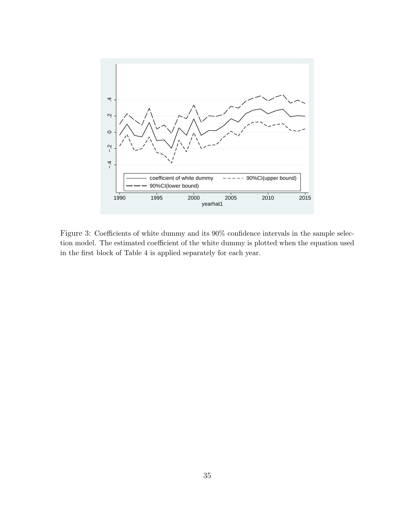

Figure 3: Coefficients of white dummy and its 90% confidence intervals in the sample selection model. The estimated coefficient of the white dummy is plotted when the equation used in the first block of Table 4 is applied separately for each year.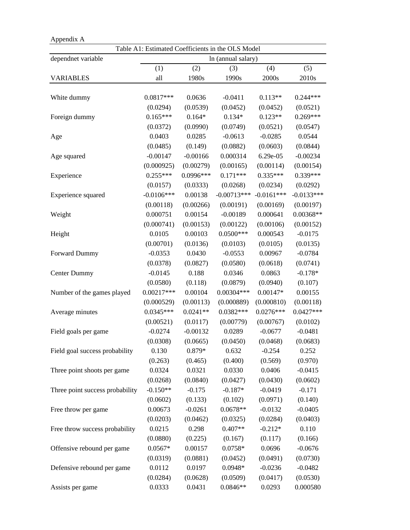| Appendix A                      |              |            |                                                   |              |              |
|---------------------------------|--------------|------------|---------------------------------------------------|--------------|--------------|
|                                 |              |            | Table A1: Estimated Coefficients in the OLS Model |              |              |
| dependnet variable              |              |            | In (annual salary)                                |              |              |
|                                 | (1)          | (2)        | (3)                                               | (4)          | (5)          |
| <b>VARIABLES</b>                | all          | 1980s      | 1990s                                             | 2000s        | 2010s        |
|                                 |              |            |                                                   |              |              |
| White dummy                     | 0.0817***    | 0.0636     | $-0.0411$                                         | $0.113**$    | $0.244***$   |
|                                 | (0.0294)     | (0.0539)   | (0.0452)                                          | (0.0452)     | (0.0521)     |
| Foreign dummy                   | $0.165***$   | $0.164*$   | $0.134*$                                          | $0.123**$    | $0.269***$   |
|                                 | (0.0372)     | (0.0990)   | (0.0749)                                          | (0.0521)     | (0.0547)     |
| Age                             | 0.0403       | 0.0285     | $-0.0613$                                         | $-0.0285$    | 0.0544       |
|                                 | (0.0485)     | (0.149)    | (0.0882)                                          | (0.0603)     | (0.0844)     |
| Age squared                     | $-0.00147$   | $-0.00166$ | 0.000314                                          | 6.29e-05     | $-0.00234$   |
|                                 | (0.000925)   | (0.00279)  | (0.00165)                                         | (0.00114)    | (0.00154)    |
| Experience                      | $0.255***$   | 0.0996 *** | $0.171***$                                        | $0.335***$   | $0.339***$   |
|                                 | (0.0157)     | (0.0333)   | (0.0268)                                          | (0.0234)     | (0.0292)     |
| Experience squared              | $-0.0106***$ | 0.00138    | $-0.00713***$                                     | $-0.0161***$ | $-0.0133***$ |
|                                 | (0.00118)    | (0.00266)  | (0.00191)                                         | (0.00169)    | (0.00197)    |
| Weight                          | 0.000751     | 0.00154    | $-0.00189$                                        | 0.000641     | 0.00368**    |
|                                 | (0.000741)   | (0.00153)  | (0.00122)                                         | (0.00106)    | (0.00152)    |
| Height                          | 0.0105       | 0.00103    | $0.0500***$                                       | 0.000543     | $-0.0175$    |
|                                 | (0.00701)    | (0.0136)   | (0.0103)                                          | (0.0105)     | (0.0135)     |
| Forward Dummy                   | $-0.0353$    | 0.0430     | $-0.0553$                                         | 0.00967      | $-0.0784$    |
|                                 | (0.0378)     | (0.0827)   | (0.0580)                                          | (0.0618)     | (0.0741)     |
| <b>Center Dummy</b>             | $-0.0145$    | 0.188      | 0.0346                                            | 0.0863       | $-0.178*$    |
|                                 | (0.0580)     | (0.118)    | (0.0879)                                          | (0.0940)     | (0.107)      |
| Number of the games played      | $0.00217***$ | 0.00104    | $0.00304***$                                      | 0.00147*     | 0.00155      |
|                                 | (0.000529)   | (0.00113)  | (0.000889)                                        | (0.000810)   | (0.00118)    |
| Average minutes                 | $0.0345***$  | $0.0241**$ | $0.0382***$                                       | $0.0276***$  | $0.0427***$  |
|                                 | (0.00521)    | (0.0117)   | (0.00779)                                         | (0.00767)    | (0.0102)     |
| Field goals per game            | $-0.0274$    | $-0.00132$ | 0.0289                                            | $-0.0677$    | $-0.0481$    |
|                                 | (0.0308)     | (0.0665)   | (0.0450)                                          | (0.0468)     | (0.0683)     |
| Field goal success probability  | 0.130        | 0.879*     | 0.632                                             | $-0.254$     | 0.252        |
|                                 | (0.263)      | (0.465)    | (0.400)                                           | (0.569)      | (0.970)      |
| Three point shoots per game     | 0.0324       | 0.0321     | 0.0330                                            | 0.0406       | $-0.0415$    |
|                                 | (0.0268)     | (0.0840)   | (0.0427)                                          | (0.0430)     | (0.0602)     |
| Three point success probability | $-0.150**$   | $-0.175$   | $-0.187*$                                         | $-0.0419$    | $-0.171$     |
|                                 | (0.0602)     | (0.133)    | (0.102)                                           | (0.0971)     | (0.140)      |
| Free throw per game             | 0.00673      | $-0.0261$  | $0.0678**$                                        | $-0.0132$    | $-0.0405$    |
|                                 | (0.0203)     | (0.0462)   | (0.0325)                                          | (0.0284)     | (0.0403)     |
| Free throw success probability  | 0.0215       | 0.298      | $0.407**$                                         | $-0.212*$    | 0.110        |
|                                 | (0.0880)     | (0.225)    | (0.167)                                           | (0.117)      | (0.166)      |
| Offensive rebound per game      | $0.0567*$    | 0.00157    | $0.0758*$                                         | 0.0696       | $-0.0676$    |
|                                 | (0.0319)     | (0.0881)   | (0.0452)                                          | (0.0491)     | (0.0730)     |
| Defensive rebound per game      | 0.0112       | 0.0197     | $0.0948*$                                         | $-0.0236$    | $-0.0482$    |
|                                 | (0.0284)     | (0.0628)   | (0.0509)                                          | (0.0417)     | (0.0530)     |
| Assists per game                | 0.0333       | 0.0431     | $0.0846**$                                        | 0.0293       | 0.000580     |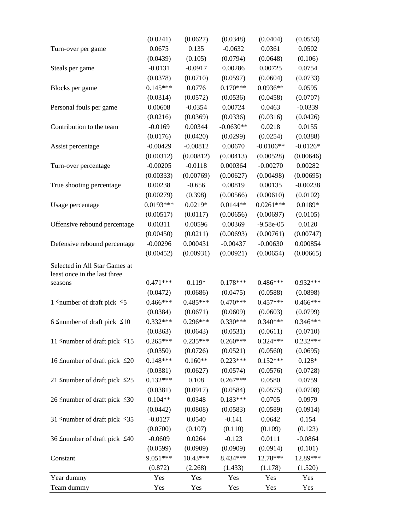| Team dummy                               | Yes         | Yes        | Yes         | Yes         | Yes        |  |
|------------------------------------------|-------------|------------|-------------|-------------|------------|--|
| Year dummy                               | Yes         | Yes        | Yes         | Yes         | Yes        |  |
|                                          | (0.872)     | (2.268)    | (1.433)     | (1.178)     | (1.520)    |  |
| Constant                                 | 9.051***    | $10.43***$ | 8.434***    | 12.78***    | 12.89***   |  |
|                                          | (0.0599)    | (0.0909)   | (0.0909)    | (0.0914)    | (0.101)    |  |
| 36 Snumber of draft pick $\leq 40$       | $-0.0609$   | 0.0264     | $-0.123$    | 0.0111      | $-0.0864$  |  |
|                                          | (0.0700)    | (0.107)    | (0.110)     | (0.109)     | (0.123)    |  |
| 31 $\leq$ number of draft pick $\leq$ 35 | $-0.0127$   | 0.0540     | $-0.141$    | 0.0642      | 0.154      |  |
|                                          | (0.0442)    | (0.0808)   | (0.0583)    | (0.0589)    | (0.0914)   |  |
| 26 ≤number of draft pick $≤30$           | $0.104**$   | 0.0348     | $0.183***$  | 0.0705      | 0.0979     |  |
|                                          | (0.0381)    | (0.0917)   | (0.0584)    | (0.0575)    | (0.0708)   |  |
| 21 $\leq$ number of draft pick $\leq$ 25 | $0.132***$  | 0.108      | $0.267***$  | 0.0580      | 0.0759     |  |
|                                          | (0.0381)    | (0.0627)   | (0.0574)    | (0.0576)    | (0.0728)   |  |
| 16 Snumber of draft pick $\leq 20$       | $0.148***$  | $0.160**$  | $0.223***$  | $0.152***$  | $0.128*$   |  |
|                                          | (0.0350)    | (0.0726)   | (0.0521)    | (0.0560)    | (0.0695)   |  |
| 11 $\leq$ number of draft pick $\leq$ 15 | $0.265***$  | $0.235***$ | $0.260***$  | $0.324***$  | $0.232***$ |  |
|                                          | (0.0363)    | (0.0643)   | (0.0531)    | (0.0611)    | (0.0710)   |  |
| 6 Snumber of draft pick $\leq 10$        | $0.332***$  | $0.296***$ | $0.330***$  | $0.340***$  | $0.346***$ |  |
|                                          | (0.0384)    | (0.0671)   | (0.0609)    | (0.0603)    | (0.0799)   |  |
| 1 $\leq$ number of draft pick $\leq$ 5   | $0.466***$  | $0.485***$ | $0.470***$  | $0.457***$  | $0.466***$ |  |
|                                          | (0.0472)    | (0.0686)   | (0.0475)    | (0.0588)    | (0.0898)   |  |
| seasons                                  | $0.471***$  | $0.119*$   | $0.178***$  | $0.486***$  | $0.932***$ |  |
| least once in the last three             |             |            |             |             |            |  |
| Selected in All Star Games at            |             |            |             |             |            |  |
|                                          | (0.00452)   | (0.00931)  | (0.00921)   | (0.00654)   | (0.00665)  |  |
| Defensive rebound percentage             | $-0.00296$  | 0.000431   | $-0.00437$  | $-0.00630$  | 0.000854   |  |
|                                          | (0.00450)   | (0.0211)   | (0.00693)   | (0.00761)   | (0.00747)  |  |
| Offensive rebound percentage             | 0.00311     | 0.00596    | 0.00369     | $-9.58e-05$ | 0.0120     |  |
|                                          | (0.00517)   | (0.0117)   | (0.00656)   | (0.00697)   | (0.0105)   |  |
| Usage percentage                         | $0.0193***$ | $0.0219*$  | $0.0144**$  | $0.0261***$ | $0.0189*$  |  |
|                                          | (0.00279)   | (0.398)    | (0.00566)   | (0.00610)   | (0.0102)   |  |
| True shooting percentage                 | 0.00238     | $-0.656$   | 0.00819     | 0.00135     | $-0.00238$ |  |
|                                          | (0.00333)   | (0.00769)  | (0.00627)   | (0.00498)   | (0.00695)  |  |
| Turn-over percentage                     | $-0.00205$  | $-0.0118$  | 0.000364    | $-0.00270$  | 0.00282    |  |
|                                          | (0.00312)   | (0.00812)  | (0.00413)   | (0.00528)   | (0.00646)  |  |
| Assist percentage                        | $-0.00429$  | $-0.00812$ | 0.00670     | $-0.0106**$ | $-0.0126*$ |  |
|                                          | (0.0176)    | (0.0420)   | (0.0299)    | (0.0254)    | (0.0388)   |  |
| Contribution to the team                 | $-0.0169$   | 0.00344    | $-0.0630**$ | 0.0218      | 0.0155     |  |
|                                          | (0.0216)    | (0.0369)   | (0.0336)    | (0.0316)    | (0.0426)   |  |
| Personal fouls per game                  | 0.00608     | $-0.0354$  | 0.00724     | 0.0463      | $-0.0339$  |  |
|                                          | (0.0314)    | (0.0572)   | (0.0536)    | (0.0458)    | (0.0707)   |  |
| Blocks per game                          | $0.145***$  | 0.0776     | $0.170***$  | $0.0936**$  | 0.0595     |  |
|                                          | (0.0378)    | (0.0710)   | (0.0597)    | (0.0604)    | (0.0733)   |  |
| Steals per game                          | $-0.0131$   | $-0.0917$  | 0.00286     | 0.00725     | 0.0754     |  |
|                                          | (0.0439)    | (0.105)    | (0.0794)    | (0.0648)    | (0.106)    |  |
| Turn-over per game                       | 0.0675      | 0.135      | $-0.0632$   | 0.0361      | 0.0502     |  |
|                                          | (0.0241)    | (0.0627)   | (0.0348)    | (0.0404)    | (0.0553)   |  |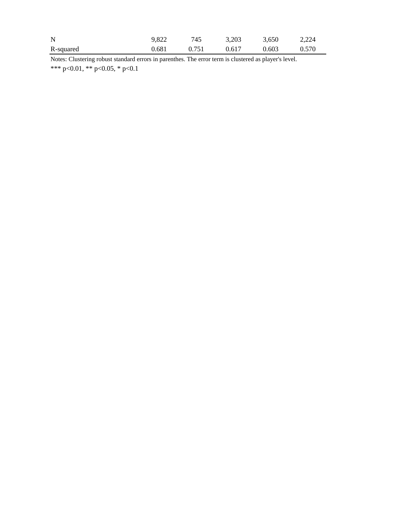| R-squared | 0.681 | 0.751 | 0.617 | 0.603 | 0.570 |
|-----------|-------|-------|-------|-------|-------|
| N         | 9.822 | 745   | 3,203 | 3,650 | 2.224 |

\*\*\* p<0.01, \*\* p<0.05, \* p<0.1 Notes: Clustering robust standard errors in parenthes. The error term is clustered as player's level.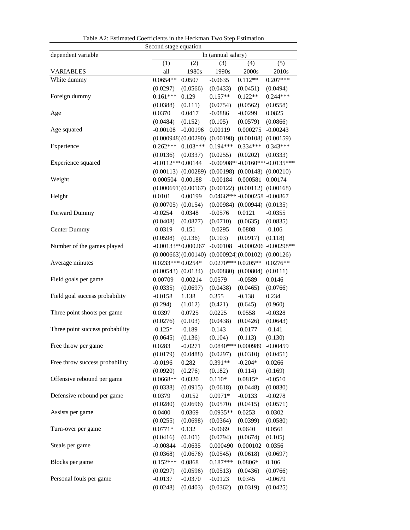| Second stage equation           |                        |                         |                     |                                     |                                  |  |  |  |
|---------------------------------|------------------------|-------------------------|---------------------|-------------------------------------|----------------------------------|--|--|--|
| dependent variable              | In (annual salary)     |                         |                     |                                     |                                  |  |  |  |
|                                 | (2)                    | (3)                     | (4)                 | (5)                                 |                                  |  |  |  |
| <b>VARIABLES</b>                | all                    | 1980s                   | 1990s               | 2000s                               | 2010s                            |  |  |  |
| White dummy                     | $0.0654**$             | 0.0507                  | $-0.0635$           | $0.112**$                           | $0.207***$                       |  |  |  |
|                                 | (0.0297)               | (0.0566)                | (0.0433)            | (0.0451)                            | (0.0494)                         |  |  |  |
| Foreign dummy                   | $0.161***$             | 0.129                   | $0.157**$           | $0.122**$                           | $0.244***$                       |  |  |  |
|                                 | (0.0388)               | (0.111)                 | (0.0754)            | (0.0562)                            | (0.0558)                         |  |  |  |
| Age                             | 0.0370                 | 0.0417                  | $-0.0886$           | $-0.0299$                           | 0.0825                           |  |  |  |
|                                 | (0.0484)               | (0.152)                 | (0.105)             | (0.0579)                            | (0.0866)                         |  |  |  |
| Age squared                     | $-0.00108$             | $-0.00196$              | 0.00119             | 0.000275                            | $-0.00243$                       |  |  |  |
|                                 |                        | (0.000948)(0.00290)     | (0.00198)           |                                     | $(0.00108)$ $(0.00159)$          |  |  |  |
| Experience                      | $0.262***$             | $0.103***$              | $0.194***$          | $0.334***$                          | $0.343***$                       |  |  |  |
|                                 | (0.0136)               | (0.0337)                | (0.0255)            | (0.0202)                            | (0.0333)                         |  |  |  |
| Experience squared              | $-0.0112**0.00144$     |                         |                     |                                     | $-0.00908**-0.0160***-0.0135***$ |  |  |  |
|                                 |                        | $(0.00113)$ $(0.00289)$ |                     | $(0.00198)$ $(0.00148)$ $(0.00210)$ |                                  |  |  |  |
| Weight                          | 0.000504 0.00188       |                         | $-0.00184$          | 0.000581                            | 0.00174                          |  |  |  |
|                                 |                        | (0.000691)(0.00167)     | (0.00122)           | $(0.00112)$ $(0.00168)$             |                                  |  |  |  |
| Height                          | 0.0101                 | 0.00199                 |                     | $0.0466*** -0.000258 -0.00867$      |                                  |  |  |  |
|                                 | $(0.00705)$ $(0.0154)$ |                         | (0.00984)           | $(0.00944)$ $(0.0135)$              |                                  |  |  |  |
| Forward Dummy                   | $-0.0254$              | 0.0348                  | $-0.0576$           | 0.0121                              | $-0.0355$                        |  |  |  |
|                                 | (0.0408)               | (0.0877)                | (0.0710)            | (0.0635)                            | (0.0835)                         |  |  |  |
| <b>Center Dummy</b>             | $-0.0319$              | 0.151                   | $-0.0295$           | 0.0808                              | $-0.106$                         |  |  |  |
|                                 | (0.0598)               | (0.136)                 | (0.103)             | (0.0917)                            | (0.118)                          |  |  |  |
| Number of the games played      | $-0.00133**0.000267$   |                         | $-0.00108$          |                                     | $-0.000206 - 0.00298**$          |  |  |  |
|                                 |                        | (0.000663)(0.00140)     |                     | $(0.000924)(0.00102)$ $(0.00126)$   |                                  |  |  |  |
| Average minutes                 | $0.0233***0.0254*$     |                         | $0.0270***0.0205**$ |                                     | $0.0276**$                       |  |  |  |
|                                 | $(0.00543)$ $(0.0134)$ |                         | (0.00880)           | (0.00804)                           | (0.0111)                         |  |  |  |
| Field goals per game            | 0.00709                | 0.00214                 | 0.0579              | $-0.0589$                           | 0.0146                           |  |  |  |
|                                 | (0.0335)               | (0.0697)                | (0.0438)            | (0.0465)                            | (0.0766)                         |  |  |  |
| Field goal success probability  | $-0.0158$              | 1.138                   | 0.355               | $-0.138$                            | 0.234                            |  |  |  |
|                                 | (0.294)                | (1.012)                 | (0.421)             | (0.645)                             | (0.960)                          |  |  |  |
| Three point shoots per game     | 0.0397                 | 0.0725                  | 0.0225              | 0.0558                              | $-0.0328$                        |  |  |  |
|                                 | (0.0276)               | (0.103)                 | (0.0438)            | (0.0426)                            | (0.0643)                         |  |  |  |
| Three point success probability | $-0.125*$              | $-0.189$                | $-0.143$            | $-0.0177$                           | $-0.141$                         |  |  |  |
|                                 | (0.0645)               | (0.136)                 | (0.104)             | (0.113)                             | (0.130)                          |  |  |  |
| Free throw per game             | 0.0283                 | $-0.0271$               | $0.0840***$         | 0.000989                            | $-0.00459$                       |  |  |  |
|                                 | (0.0179)               | (0.0488)                | (0.0297)            | (0.0310)                            | (0.0451)                         |  |  |  |
| Free throw success probability  | $-0.0196$              | 0.282                   | $0.391**$           | $-0.204*$                           | 0.0266                           |  |  |  |
|                                 | (0.0920)               | (0.276)                 | (0.182)             | (0.114)                             | (0.169)                          |  |  |  |
| Offensive rebound per game      | $0.0668**$             | 0.0320                  | $0.110*$            | $0.0815*$                           | $-0.0510$                        |  |  |  |
|                                 | (0.0338)               | (0.0915)                | (0.0618)            | (0.0448)                            | (0.0830)                         |  |  |  |
| Defensive rebound per game      | 0.0379                 | 0.0152                  | 0.0971*             | $-0.0133$                           | $-0.0278$                        |  |  |  |
|                                 | (0.0280)               | (0.0696)                | (0.0570)            | (0.0415)                            | (0.0571)                         |  |  |  |
| Assists per game                | 0.0400                 | 0.0369                  | $0.0935**$          | 0.0253                              | 0.0302                           |  |  |  |
|                                 | (0.0255)               | (0.0698)                | (0.0364)            | (0.0399)                            | (0.0580)                         |  |  |  |
| Turn-over per game              | $0.0771*$              | 0.132                   | $-0.0669$           | 0.0640                              | 0.0561                           |  |  |  |
|                                 | (0.0416)               | (0.101)                 | (0.0794)            | (0.0674)                            | (0.105)                          |  |  |  |
| Steals per game                 | $-0.00844$             | $-0.0635$               | 0.000490            | 0.000102                            | 0.0356                           |  |  |  |
|                                 | (0.0368)               | (0.0676)                | (0.0545)            | (0.0618)                            | (0.0697)                         |  |  |  |
| Blocks per game                 | $0.152***$             | 0.0868                  | $0.187***$          | $0.0806*$                           | 0.106                            |  |  |  |
|                                 | (0.0297)               | (0.0596)                | (0.0513)            | (0.0436)                            | (0.0766)                         |  |  |  |
| Personal fouls per game         | $-0.0137$              | $-0.0370$               | $-0.0123$           | 0.0345                              | $-0.0679$                        |  |  |  |
|                                 | (0.0248)               | (0.0403)                | (0.0362)            | (0.0319)                            | (0.0425)                         |  |  |  |

Table A2: Estimated Coefficients in the Heckman Two Step Estimation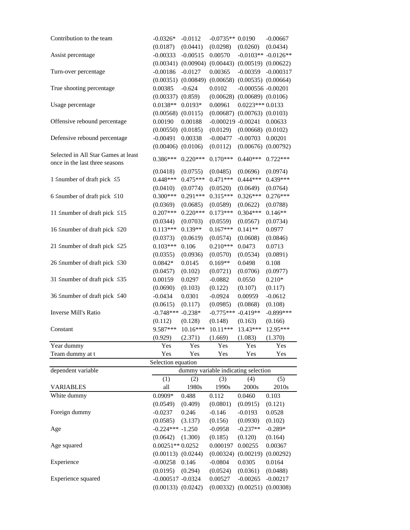| Contribution to the team                                              | $-0.0326*$             | $-0.0112$  | $-0.0735**0.0190$                   |                                     | $-0.00667$              |
|-----------------------------------------------------------------------|------------------------|------------|-------------------------------------|-------------------------------------|-------------------------|
|                                                                       | (0.0187)               | (0.0441)   | (0.0298)                            | (0.0260)                            | (0.0434)                |
| Assist percentage                                                     | $-0.00333$             | $-0.00515$ | 0.00570                             |                                     | $-0.0103**$ $-0.0126**$ |
|                                                                       | (0.00341)              | (0.00904)  |                                     | $(0.00443)$ $(0.00519)$ $(0.00622)$ |                         |
| Turn-over percentage                                                  | $-0.00186$             | $-0.0127$  | 0.00365                             | $-0.00359$                          | $-0.000317$             |
|                                                                       | (0.00351)              | (0.00849)  | (0.00658)                           | $(0.00535)$ $(0.00664)$             |                         |
| True shooting percentage                                              | 0.00385                | $-0.624$   | 0.0102                              | $-0.000556 - 0.00201$               |                         |
|                                                                       | $(0.00337)$ $(0.859)$  |            | (0.00628)                           | $(0.00689)$ $(0.0106)$              |                         |
| Usage percentage                                                      | $0.0138**$             | $0.0193*$  | 0.00961                             | $0.0223***0.0133$                   |                         |
|                                                                       | $(0.00568)$ $(0.0115)$ |            | (0.00687)                           | $(0.00763)$ $(0.0103)$              |                         |
| Offensive rebound percentage                                          | 0.00190                | 0.00188    | $-0.000219 - 0.00241$               |                                     | 0.00633                 |
|                                                                       | $(0.00550)$ $(0.0185)$ |            | (0.0129)                            | $(0.00668)$ $(0.0102)$              |                         |
| Defensive rebound percentage                                          | $-0.00491$             | 0.00338    | $-0.00477$                          | $-0.00703$                          | 0.00201                 |
|                                                                       | $(0.00406)$ $(0.0106)$ |            | (0.0112)                            | $(0.00676)$ $(0.00792)$             |                         |
| Selected in All Star Games at least<br>once in the last three seasons | $0.386***$             | $0.220***$ | $0.170***$                          | $0.440***$                          | $0.722***$              |
|                                                                       | (0.0418)               | (0.0755)   | (0.0485)                            | (0.0696)                            | (0.0974)                |
| 1 $\leq$ number of draft pick $\leq$ 5                                | $0.448***$             | $0.475***$ | $0.471***$                          | $0.444***$                          | $0.439***$              |
|                                                                       | (0.0410)               | (0.0774)   | (0.0520)                            | (0.0649)                            | (0.0764)                |
| 6 Snumber of draft pick $\leq 10$                                     | $0.300***$             | $0.291***$ | $0.315***$                          | $0.326***$                          | $0.276***$              |
|                                                                       | (0.0369)               | (0.0685)   | (0.0589)                            | (0.0622)                            | (0.0788)                |
| 11 $\leq$ number of draft pick $\leq$ 15                              | $0.207***$             | $0.220***$ | $0.173***$                          | $0.304***$                          | $0.146**$               |
|                                                                       | (0.0344)               | (0.0703)   | (0.0559)                            | (0.0567)                            | (0.0734)                |
| 16 ≤number of draft pick ≤20                                          | $0.113***$             | $0.139**$  | $0.167***$                          | $0.141**$                           | 0.0977                  |
|                                                                       | (0.0373)               | (0.0619)   | (0.0574)                            | (0.0608)                            | (0.0846)                |
| 21 $\leq$ number of draft pick $\leq$ 25                              | $0.103***$             | 0.106      | $0.210***$                          | 0.0473                              | 0.0713                  |
|                                                                       | (0.0355)               | (0.0936)   | (0.0570)                            | (0.0534)                            | (0.0891)                |
| 26 Snumber of draft pick $\leq 30$                                    | $0.0842*$              | 0.0145     | $0.169**$                           | 0.0498                              | 0.108                   |
|                                                                       | (0.0457)               | (0.102)    | (0.0721)                            | (0.0706)                            | (0.0977)                |
| 31 $\leq$ number of draft pick $\leq$ 35                              | 0.00159                | 0.0297     | $-0.0882$                           | 0.0550                              | $0.210*$                |
|                                                                       |                        |            |                                     |                                     |                         |
| 36 $\leq$ number of draft pick $\leq 40$                              | (0.0690)               | (0.103)    | (0.122)                             | (0.107)                             | (0.117)                 |
|                                                                       | $-0.0434$              | 0.0301     | $-0.0924$                           | 0.00959                             | $-0.0612$               |
|                                                                       | (0.0615)               | (0.117)    | (0.0985)                            | (0.0868)                            | (0.108)                 |
| Inverse Mill's Ratio                                                  | $-0.748***$            | $-0.238*$  | $-0.775***$                         | $-0.419**$                          | $-0.899***$             |
|                                                                       | (0.112)                | (0.128)    | (0.148)                             | (0.163)                             | (0.166)                 |
| Constant                                                              | 9.587***               | 10.16***   | 10.11***                            | 13.43***                            | 12.95***                |
|                                                                       | (0.929)                | (2.371)    | (1.669)                             | (1.083)                             | (1.370)                 |
| Year dummy                                                            | Yes                    | Yes        | Yes                                 | Yes                                 | Yes                     |
| Team dummy at t                                                       | Yes                    | Yes        | Yes                                 | Yes                                 | Yes                     |
|                                                                       | Selection equation     |            |                                     |                                     |                         |
| dependent variable                                                    |                        |            | dummy variable indicating selection |                                     |                         |
|                                                                       | (1)                    | (2)        | (3)                                 | (4)                                 | (5)                     |
| <b>VARIABLES</b>                                                      | all                    | 1980s      | 1990s                               | 2000s                               | 2010s                   |
| White dummy                                                           | $0.0909*$              | 0.488      | 0.112                               | 0.0460                              | 0.103                   |
|                                                                       | (0.0549)               | (0.409)    | (0.0801)                            | (0.0915)                            | (0.121)                 |
| Foreign dummy                                                         | $-0.0237$              | 0.246      | $-0.146$                            | $-0.0193$                           | 0.0528                  |
|                                                                       | (0.0585)               | (3.137)    | (0.156)                             | (0.0930)                            | (0.102)                 |
| Age                                                                   | $-0.224*** -1.250$     |            | $-0.0958$                           | $-0.237**$                          | $-0.289*$               |
|                                                                       | (0.0642)               | (1.300)    | (0.185)                             | (0.120)                             | (0.164)                 |
| Age squared                                                           | $0.00251**0.0252$      |            | 0.000197                            | 0.00255                             | 0.00367                 |
|                                                                       | $(0.00113)$ $(0.0244)$ |            | (0.00324)                           | (0.00219)                           | (0.00292)               |
| Experience                                                            | $-0.00258$             | 0.146      | $-0.0804$                           | 0.0305                              | 0.0164                  |
|                                                                       | (0.0195)               | (0.294)    | (0.0524)                            | (0.0361)                            | (0.0488)                |
| Experience squared                                                    | $-0.000517 - 0.0324$   |            | 0.00527                             | $-0.00265$                          | $-0.00217$              |
|                                                                       | $(0.00133)$ $(0.0242)$ |            |                                     | $(0.00332)$ $(0.00251)$ $(0.00308)$ |                         |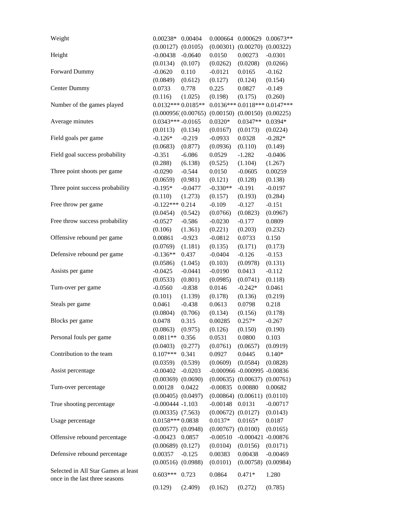| Weight                              | $0.00238*$                                    | 0.00404             | 0.000664                | 0.000629                         | $0.00673**$                   |
|-------------------------------------|-----------------------------------------------|---------------------|-------------------------|----------------------------------|-------------------------------|
|                                     | (0.00127)                                     | (0.0105)            | (0.00301)               | (0.00270)                        | (0.00322)                     |
| Height                              | $-0.00438$                                    | $-0.0640$           | 0.0150                  | 0.00273                          | $-0.0301$                     |
|                                     | (0.0134)                                      | (0.107)             | (0.0262)                | (0.0208)                         | (0.0266)                      |
| Forward Dummy                       | $-0.0620$                                     | 0.110               | $-0.0121$               | 0.0165                           | $-0.162$                      |
|                                     | (0.0849)                                      | (0.612)             | (0.127)                 | (0.124)                          | (0.154)                       |
| Center Dummy                        | 0.0733                                        | 0.778               | 0.225                   | 0.0827                           | $-0.149$                      |
|                                     | (0.116)                                       | (1.025)             | (0.198)                 | (0.175)                          | (0.260)                       |
| Number of the games played          | $0.0132***0.0185**$                           |                     |                         |                                  | 0.0136*** 0.0118*** 0.0147*** |
|                                     |                                               | (0.000956)(0.00765) | (0.00150)               | (0.00150)                        | (0.00225)                     |
| Average minutes                     | $0.0343***-0.0165$                            |                     | $0.0320*$               | $0.0347**$                       | $0.0394*$                     |
|                                     | (0.0113)                                      | (0.134)             | (0.0167)                | (0.0173)                         | (0.0224)                      |
| Field goals per game                | $-0.126*$                                     | $-0.219$            | $-0.0933$               | 0.0328                           | $-0.282*$                     |
|                                     | (0.0683)                                      | (0.877)             | (0.0936)                | (0.110)                          | (0.149)                       |
| Field goal success probability      | $-0.351$                                      | $-6.086$            | 0.0529                  | $-1.282$                         | $-0.0406$                     |
|                                     | (0.288)                                       | (6.138)             | (0.525)                 | (1.104)                          | (1.267)                       |
| Three point shoots per game         | $-0.0290$                                     | $-0.544$            | 0.0150                  | $-0.0605$                        | 0.00259                       |
|                                     | (0.0659)                                      | (0.981)             | (0.121)                 | (0.128)                          | (0.138)                       |
| Three point success probability     | $-0.195*$                                     | $-0.0477$           | $-0.330**$              | $-0.191$                         | $-0.0197$                     |
|                                     | (0.110)                                       | (1.273)             | (0.157)                 | (0.193)                          | (0.284)                       |
| Free throw per game                 | $-0.122***0.214$                              |                     | $-0.109$                | $-0.127$                         | $-0.151$                      |
|                                     | (0.0454)                                      | (0.542)             | (0.0766)                | (0.0823)                         | (0.0967)                      |
| Free throw success probability      | $-0.0527$                                     | $-0.586$            | $-0.0230$               | $-0.177$                         | 0.0809                        |
|                                     | (0.106)                                       | (1.361)             | (0.221)                 | (0.203)                          | (0.232)                       |
| Offensive rebound per game          | 0.00861                                       | $-0.923$            | $-0.0812$               | 0.0733                           | 0.150                         |
|                                     | (0.0769)                                      | (1.181)             | (0.135)                 | (0.171)                          | (0.173)                       |
| Defensive rebound per game          | $-0.136**$                                    | 0.437               | $-0.0404$               | $-0.126$                         | $-0.153$                      |
|                                     | (0.0586)                                      | (1.045)             | (0.103)                 | (0.0978)                         | (0.131)                       |
| Assists per game                    | $-0.0425$                                     | $-0.0441$           | $-0.0190$               | 0.0413                           | $-0.112$                      |
|                                     | (0.0533)                                      | (0.801)             | (0.0985)                | (0.0741)                         | (0.118)                       |
| Turn-over per game                  | $-0.0560$                                     | $-0.838$            | 0.0146                  | $-0.242*$                        | 0.0461                        |
|                                     | (0.101)                                       | (1.139)             | (0.178)                 | (0.136)                          | (0.219)                       |
| Steals per game                     | 0.0461                                        | $-0.438$            | 0.0613                  | 0.0798                           | 0.218                         |
|                                     | (0.0804)                                      | (0.706)             | (0.134)                 | (0.156)                          | (0.178)                       |
| Blocks per game                     | 0.0478                                        | 0.315               | 0.00285                 | $0.257*$                         | $-0.267$                      |
|                                     | (0.0863)                                      | (0.975)             | (0.126)                 | (0.150)                          | (0.190)                       |
| Personal fouls per game             | $0.0811**$                                    | 0.356               | 0.0531                  | 0.0800                           | 0.103                         |
|                                     | (0.0403)                                      | (0.277)             | (0.0761)                | (0.0657)                         | (0.0919)                      |
| Contribution to the team            | $0.107***$                                    | 0.341               | 0.0927                  | 0.0445                           | $0.140*$                      |
|                                     | (0.0359)                                      | (0.539)             | (0.0609)                | (0.0584)                         | (0.0828)                      |
| Assist percentage                   | $-0.00402$                                    | $-0.0203$           |                         | $-0.000966 - 0.000995 - 0.00836$ |                               |
|                                     | $(0.00369)$ $(0.0690)$                        |                     | $(0.00635)$ $(0.00637)$ |                                  | (0.00761)                     |
| Turn-over percentage                | 0.00128                                       | 0.0422              | $-0.00835$              | 0.00880                          | 0.00682                       |
|                                     |                                               |                     |                         |                                  |                               |
|                                     | $(0.00405)$ $(0.0497)$<br>$-0.000444 - 1.103$ |                     |                         | $(0.00864)$ $(0.00611)$          | (0.0110)                      |
| True shooting percentage            |                                               |                     | $-0.00148$              | 0.0131                           | $-0.00717$                    |
|                                     | $(0.00335)$ $(7.563)$                         |                     | (0.00672)               | (0.0127)                         | (0.0143)                      |
| Usage percentage                    | $0.0158***0.0838$                             |                     | $0.0137*$               | $0.0165*$                        | 0.0187                        |
|                                     | $(0.00577)$ $(0.0948)$                        |                     | (0.00767)               | (0.0100)                         | (0.0165)                      |
| Offensive rebound percentage        | $-0.00423$                                    | 0.0857              | $-0.00510$              | $-0.000421 - 0.00876$            |                               |
|                                     | (0.00689)                                     | (0.127)             | (0.0104)                | (0.0156)                         | (0.0171)                      |
| Defensive rebound percentage        | 0.00357                                       | $-0.125$            | 0.00383                 | 0.00438                          | $-0.00469$                    |
|                                     | (0.00516)                                     | (0.0988)            | (0.0101)                | (0.00758)                        | (0.00984)                     |
| Selected in All Star Games at least | $0.603***$                                    | 0.723               | 0.0864                  | $0.471*$                         | 1.280                         |
| once in the last three seasons      |                                               |                     |                         |                                  |                               |
|                                     | (0.129)                                       | (2.409)             | (0.162)                 | (0.272)                          | (0.785)                       |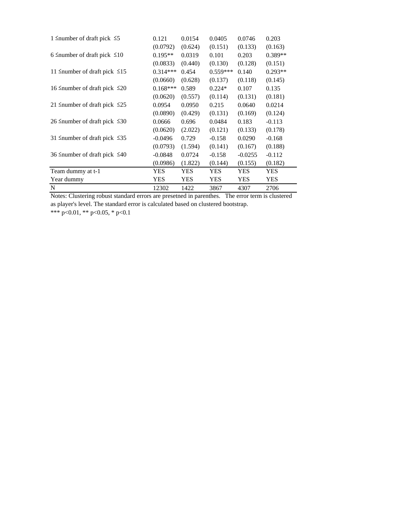| 1 $\leq$ number of draft pick $\leq$ 5   | 0.121      | 0.0154     | 0.0405     | 0.0746     | 0.203      |
|------------------------------------------|------------|------------|------------|------------|------------|
|                                          | (0.0792)   | (0.624)    | (0.151)    | (0.133)    | (0.163)    |
| 6 ≤number of draft pick $≤10$            | $0.195**$  | 0.0319     | 0.101      | 0.203      | $0.389**$  |
|                                          | (0.0833)   | (0.440)    | (0.130)    | (0.128)    | (0.151)    |
| 11 Snumber of draft pick $\leq 15$       | $0.314***$ | 0.454      | $0.559***$ | 0.140      | $0.293**$  |
|                                          | (0.0660)   | (0.628)    | (0.137)    | (0.118)    | (0.145)    |
| 16 Snumber of draft pick $\leq 20$       | $0.168***$ | 0.589      | $0.224*$   | 0.107      | 0.135      |
|                                          | (0.0620)   | (0.557)    | (0.114)    | (0.131)    | (0.181)    |
| 21 Snumber of draft pick $\leq 25$       | 0.0954     | 0.0950     | 0.215      | 0.0640     | 0.0214     |
|                                          | (0.0890)   | (0.429)    | (0.131)    | (0.169)    | (0.124)    |
| 26 Snumber of draft pick $\leq 30$       | 0.0666     | 0.696      | 0.0484     | 0.183      | $-0.113$   |
|                                          | (0.0620)   | (2.022)    | (0.121)    | (0.133)    | (0.178)    |
| 31 $\leq$ number of draft pick $\leq$ 35 | $-0.0496$  | 0.729      | $-0.158$   | 0.0290     | $-0.168$   |
|                                          | (0.0793)   | (1.594)    | (0.141)    | (0.167)    | (0.188)    |
| 36 $\leq$ number of draft pick $\leq 40$ | $-0.0848$  | 0.0724     | $-0.158$   | $-0.0255$  | $-0.112$   |
|                                          | (0.0986)   | (1.822)    | (0.144)    | (0.155)    | (0.182)    |
| Team dummy at t-1                        | YES        | YES        | YES.       | <b>YES</b> | <b>YES</b> |
| Year dummy                               | YES        | <b>YES</b> | <b>YES</b> | <b>YES</b> | <b>YES</b> |
| N                                        | 12302      | 1422       | 3867       | 4307       | 2706       |

Notes: Clustering robust standard errors are presetned in parenthes. The error term is clustered as player's level. The standard error is calculated based on clustered bootstrap.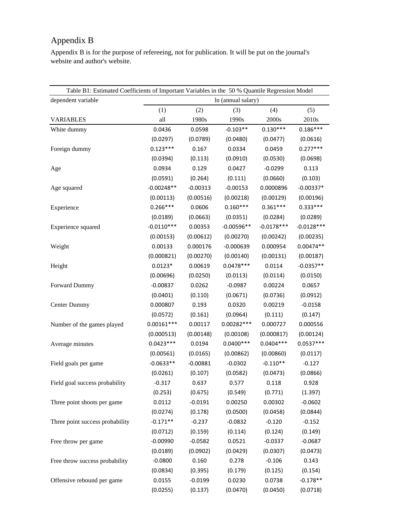# Appendix B

Appendix B is for the purpose of refereeing, not for publication. It will be put on the journal's website and author's website.

| Table B1: Estimated Coefficients of Important Variables in the 50 % Quantile Regression Model |              |            |                    |              |              |
|-----------------------------------------------------------------------------------------------|--------------|------------|--------------------|--------------|--------------|
| dependent variable                                                                            |              |            | In (annual salary) |              |              |
|                                                                                               | (1)          | (2)        | (3)                | (4)          | (5)          |
| <b>VARIABLES</b>                                                                              | all          | 1980s      | 1990s              | 2000s        | 2010s        |
| White dummy                                                                                   | 0.0436       | 0.0598     | $-0.103**$         | $0.130***$   | $0.186***$   |
|                                                                                               | (0.0297)     | (0.0789)   | (0.0480)           | (0.0477)     | (0.0616)     |
| Foreign dummy                                                                                 | $0.123***$   | 0.167      | 0.0334             | 0.0459       | $0.277***$   |
|                                                                                               | (0.0394)     | (0.113)    | (0.0910)           | (0.0530)     | (0.0698)     |
| Age                                                                                           | 0.0934       | 0.129      | 0.0427             | $-0.0299$    | 0.113        |
|                                                                                               | (0.0591)     | (0.264)    | (0.111)            | (0.0660)     | (0.103)      |
| Age squared                                                                                   | $-0.00248**$ | $-0.00313$ | $-0.00153$         | 0.0000896    | $-0.00337*$  |
|                                                                                               | (0.00113)    | (0.00516)  | (0.00218)          | (0.00129)    | (0.00196)    |
| Experience                                                                                    | $0.266***$   | 0.0606     | $0.160***$         | $0.361***$   | $0.333***$   |
|                                                                                               | (0.0189)     | (0.0663)   | (0.0351)           | (0.0284)     | (0.0289)     |
| Experience squared                                                                            | $-0.0110***$ | 0.00353    | $-0.00596**$       | $-0.0178***$ | $-0.0128***$ |
|                                                                                               | (0.00153)    | (0.00612)  | (0.00270)          | (0.00242)    | (0.00235)    |
| Weight                                                                                        | 0.00133      | 0.000176   | $-0.000639$        | 0.000954     | $0.00474**$  |
|                                                                                               | (0.000821)   | (0.00270)  | (0.00140)          | (0.00131)    | (0.00187)    |
| Height                                                                                        | $0.0123*$    | 0.00619    | $0.0478***$        | 0.0114       | $-0.0357**$  |
|                                                                                               | (0.00696)    | (0.0250)   | (0.0113)           | (0.0114)     | (0.0150)     |
| Forward Dummy                                                                                 | $-0.00837$   | 0.0262     | $-0.0987$          | 0.00224      | 0.0657       |
|                                                                                               | (0.0401)     | (0.110)    | (0.0671)           | (0.0736)     | (0.0912)     |
| <b>Center Dummy</b>                                                                           | 0.000807     | 0.193      | 0.0320             | 0.00219      | $-0.0158$    |
|                                                                                               | (0.0572)     | (0.161)    | (0.0964)           | (0.111)      | (0.147)      |
| Number of the games played                                                                    | $0.00161***$ | 0.00117    | $0.00282***$       | 0.000727     | 0.000556     |
|                                                                                               | (0.000513)   | (0.00148)  | (0.00108)          | (0.000817)   | (0.00124)    |
| Average minutes                                                                               | $0.0423***$  | 0.0194     | $0.0400***$        | $0.0404***$  | $0.0537***$  |
|                                                                                               | (0.00561)    | (0.0165)   | (0.00862)          | (0.00860)    | (0.0117)     |
| Field goals per game                                                                          | $-0.0633**$  | $-0.00881$ | $-0.0302$          | $-0.110**$   | $-0.127$     |
|                                                                                               | (0.0261)     | (0.107)    | (0.0582)           | (0.0473)     | (0.0866)     |
| Field goal success probability                                                                | $-0.317$     | 0.637      | 0.577              | 0.118        | 0.928        |
|                                                                                               | (0.253)      | (0.675)    | (0.549)            | (0.771)      | (1.397)      |
| Three point shoots per game                                                                   | 0.0112       | $-0.0191$  | 0.00250            | 0.00302      | $-0.0602$    |
|                                                                                               | (0.0274)     | (0.178)    | (0.0500)           | (0.0458)     | (0.0844)     |
| Three point success probability                                                               | $-0.171**$   | $-0.237$   | $-0.0832$          | $-0.120$     | $-0.152$     |
|                                                                                               | (0.0712)     | (0.159)    | (0.114)            | (0.124)      | (0.149)      |
| Free throw per game                                                                           | $-0.00990$   | $-0.0582$  | 0.0521             | $-0.0337$    | $-0.0687$    |
|                                                                                               | (0.0189)     | (0.0902)   | (0.0429)           | (0.0307)     | (0.0473)     |
| Free throw success probability                                                                | $-0.0800$    | 0.160      | 0.278              | $-0.106$     | 0.143        |
|                                                                                               | (0.0834)     | (0.395)    | (0.179)            | (0.125)      | (0.154)      |
| Offensive rebound per game                                                                    | 0.0155       | $-0.0199$  | 0.0230             | 0.0738       | $-0.178**$   |
|                                                                                               | (0.0255)     | (0.137)    | (0.0470)           | (0.0450)     | (0.0718)     |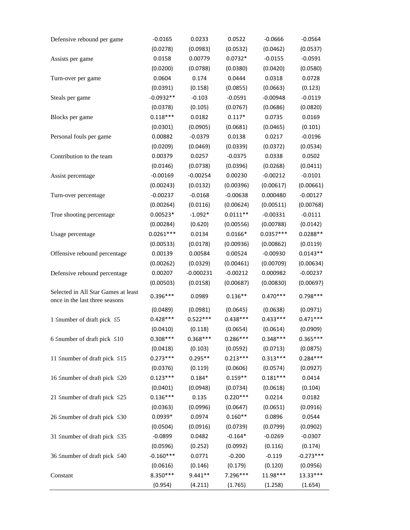| Defensive rebound per game               | $-0.0165$   | 0.0233      | 0.0522     | $-0.0666$   | $-0.0564$   |
|------------------------------------------|-------------|-------------|------------|-------------|-------------|
|                                          | (0.0278)    | (0.0983)    | (0.0532)   | (0.0462)    | (0.0537)    |
| Assists per game                         | 0.0158      | 0.00779     | $0.0732*$  | $-0.0155$   | $-0.0591$   |
|                                          | (0.0200)    | (0.0788)    | (0.0380)   | (0.0420)    | (0.0580)    |
| Turn-over per game                       | 0.0604      | 0.174       | 0.0444     | 0.0318      | 0.0728      |
|                                          | (0.0391)    | (0.158)     | (0.0855)   | (0.0663)    | (0.123)     |
| Steals per game                          | $-0.0932**$ | $-0.103$    | $-0.0591$  | $-0.00948$  | $-0.0119$   |
|                                          | (0.0378)    | (0.105)     | (0.0767)   | (0.0686)    | (0.0820)    |
| Blocks per game                          | $0.118***$  | 0.0182      | $0.117*$   | 0.0735      | 0.0169      |
|                                          | (0.0301)    | (0.0905)    | (0.0681)   | (0.0465)    | (0.101)     |
| Personal fouls per game                  | 0.00882     | $-0.0379$   | 0.0138     | 0.0217      | $-0.0196$   |
|                                          | (0.0209)    | (0.0469)    | (0.0339)   | (0.0372)    | (0.0534)    |
| Contribution to the team                 | 0.00379     | 0.0257      | $-0.0375$  | 0.0338      | 0.0502      |
|                                          | (0.0146)    | (0.0738)    | (0.0396)   | (0.0268)    | (0.0411)    |
| Assist percentage                        | $-0.00169$  | $-0.00254$  | 0.00230    | $-0.00212$  | $-0.0101$   |
|                                          | (0.00243)   | (0.0132)    | (0.00396)  | (0.00617)   | (0.00661)   |
| Turn-over percentage                     | $-0.00237$  | $-0.0168$   | $-0.00638$ | 0.000480    | $-0.00127$  |
|                                          | (0.00264)   | (0.0116)    | (0.00624)  | (0.00511)   | (0.00768)   |
| True shooting percentage                 | $0.00523*$  | $-1.092*$   | $0.0111**$ | $-0.00331$  | $-0.0111$   |
|                                          | (0.00284)   | (0.620)     | (0.00556)  | (0.00788)   | (0.0142)    |
| Usage percentage                         | $0.0261***$ | 0.0134      | $0.0166*$  | $0.0357***$ | $0.0288**$  |
|                                          | (0.00533)   | (0.0178)    | (0.00936)  | (0.00862)   | (0.0119)    |
| Offensive rebound percentage             | 0.00139     | 0.00584     | 0.00524    | $-0.00930$  | $0.0143**$  |
|                                          | (0.00262)   | (0.0329)    | (0.00461)  | (0.00709)   | (0.00634)   |
| Defensive rebound percentage             | 0.00207     | $-0.000231$ | $-0.00212$ | 0.000982    | $-0.00237$  |
|                                          | (0.00503)   | (0.0158)    | (0.00687)  | (0.00830)   | (0.00697)   |
| Selected in All Star Games at least      | $0.396***$  | 0.0989      | $0.136**$  | $0.470***$  | $0.798***$  |
| once in the last three seasons           |             |             |            |             |             |
|                                          | (0.0489)    | (0.0981)    | (0.0645)   | (0.0638)    | (0.0971)    |
| 1 $\leq$ number of draft pick $\leq$ 5   | $0.428***$  | $0.522***$  | $0.438***$ | $0.433***$  | $0.471***$  |
|                                          | (0.0410)    | (0.118)     | (0.0654)   | (0.0614)    | (0.0909)    |
| 6 Snumber of draft pick $\leq 10$        | $0.308***$  | $0.368***$  | $0.286***$ | $0.348***$  | $0.365***$  |
|                                          | (0.0418)    | (0.103)     | (0.0592)   | (0.0713)    | (0.0875)    |
| 11 $\leq$ number of draft pick $\leq$ 15 | $0.273***$  | $0.295**$   | $0.213***$ | $0.313***$  | $0.284***$  |
|                                          | (0.0376)    | (0.119)     | (0.0606)   | (0.0574)    | (0.0927)    |
| 16 ≤number of draft pick ≤20             | $0.123***$  | $0.184*$    | $0.159**$  | $0.181***$  | 0.0414      |
|                                          | (0.0401)    | (0.0948)    | (0.0734)   | (0.0618)    | (0.104)     |
| 21 $\leq$ number of draft pick $\leq$ 25 | $0.136***$  | 0.135       | $0.220***$ | 0.0214      | 0.0182      |
|                                          | (0.0363)    | (0.0996)    | (0.0647)   | (0.0651)    | (0.0916)    |
| 26 Snumber of draft pick $\leq 30$       | $0.0939*$   | 0.0974      | $0.160**$  | 0.0896      | 0.0544      |
|                                          | (0.0504)    | (0.0916)    | (0.0739)   | (0.0799)    | (0.0902)    |
| 31 $\leq$ number of draft pick $\leq$ 35 | $-0.0899$   | 0.0482      | $-0.164*$  | $-0.0269$   | $-0.0307$   |
|                                          | (0.0596)    | (0.252)     | (0.0992)   | (0.116)     | (0.174)     |
| 36 Snumber of draft pick $\leq 40$       | $-0.160***$ | 0.0771      | $-0.200$   | $-0.119$    | $-0.273***$ |
|                                          | (0.0616)    | (0.146)     | (0.179)    | (0.120)     | (0.0956)    |
| Constant                                 | 8.350***    | $9.441**$   | 7.296***   | 11.98***    | 13.33***    |
|                                          | (0.954)     | (4.211)     | (1.765)    | (1.258)     | (1.654)     |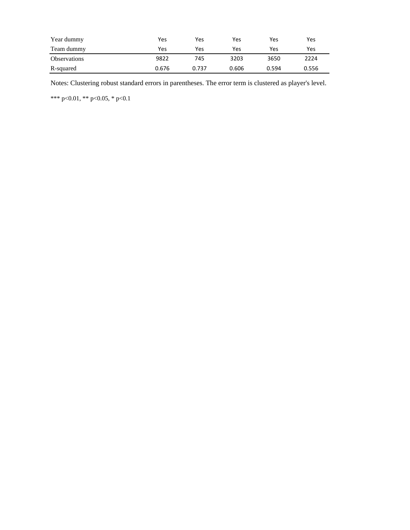| Year dummy          | Yes   | Yes   | Yes   | Yes   | Yes   |
|---------------------|-------|-------|-------|-------|-------|
| Team dummy          | Yes   | Yes   | Yes   | Yes   | Yes   |
| <b>Observations</b> | 9822  | 745   | 3203  | 3650  | 2224  |
| R-squared           | 0.676 | 0.737 | 0.606 | 0.594 | 0.556 |

Notes: Clustering robust standard errors in parentheses. The error term is clustered as player's level.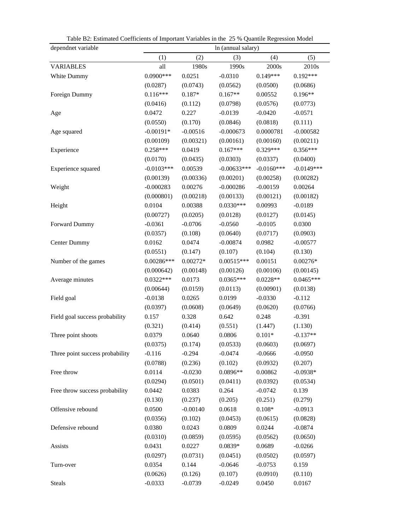| Table D2. Estimated Coernelents of important Variables in the 25 % Quantite regression Moder<br>dependnet variable |              |            | In (annual salary) |              |              |
|--------------------------------------------------------------------------------------------------------------------|--------------|------------|--------------------|--------------|--------------|
|                                                                                                                    | (1)          | (2)        | (3)                | (4)          | (5)          |
| <b>VARIABLES</b>                                                                                                   | all          | 1980s      | 1990s              | 2000s        | 2010s        |
| White Dummy                                                                                                        | $0.0900***$  | 0.0251     | $-0.0310$          | $0.149***$   | $0.192***$   |
|                                                                                                                    | (0.0287)     | (0.0743)   | (0.0562)           | (0.0500)     | (0.0686)     |
| Foreign Dummy                                                                                                      | $0.116***$   | $0.187*$   | $0.167**$          | 0.00552      | $0.196**$    |
|                                                                                                                    | (0.0416)     | (0.112)    | (0.0798)           | (0.0576)     | (0.0773)     |
| Age                                                                                                                | 0.0472       | 0.227      | $-0.0139$          | $-0.0420$    | $-0.0571$    |
|                                                                                                                    | (0.0550)     | (0.170)    | (0.0846)           | (0.0818)     | (0.111)      |
| Age squared                                                                                                        | $-0.00191*$  | $-0.00516$ | $-0.000673$        | 0.0000781    | $-0.000582$  |
|                                                                                                                    | (0.00109)    | (0.00321)  | (0.00161)          | (0.00160)    | (0.00211)    |
| Experience                                                                                                         | $0.258***$   | 0.0419     | $0.167***$         | $0.329***$   | $0.356***$   |
|                                                                                                                    | (0.0170)     | (0.0435)   | (0.0303)           | (0.0337)     | (0.0400)     |
| Experience squared                                                                                                 | $-0.0103***$ | 0.00539    | $-0.00633***$      | $-0.0160***$ | $-0.0149***$ |
|                                                                                                                    | (0.00139)    | (0.00336)  | (0.00201)          | (0.00258)    | (0.00282)    |
| Weight                                                                                                             | $-0.000283$  | 0.00276    | $-0.000286$        | $-0.00159$   | 0.00264      |
|                                                                                                                    | (0.000801)   | (0.00218)  | (0.00133)          | (0.00121)    | (0.00182)    |
| Height                                                                                                             | 0.0104       | 0.00388    | $0.0330***$        | 0.00993      | $-0.0189$    |
|                                                                                                                    | (0.00727)    | (0.0205)   | (0.0128)           | (0.0127)     | (0.0145)     |
| Forward Dummy                                                                                                      | $-0.0361$    | $-0.0706$  | $-0.0560$          | $-0.0105$    | 0.0300       |
|                                                                                                                    | (0.0357)     | (0.108)    | (0.0640)           | (0.0717)     | (0.0903)     |
| <b>Center Dummy</b>                                                                                                | 0.0162       | 0.0474     | $-0.00874$         | 0.0982       | $-0.00577$   |
|                                                                                                                    | (0.0551)     | (0.147)    | (0.107)            | (0.104)      | (0.130)      |
| Number of the games                                                                                                | $0.00286***$ | $0.00272*$ | $0.00515***$       | 0.00151      | $0.00276*$   |
|                                                                                                                    | (0.000642)   | (0.00148)  | (0.00126)          | (0.00106)    | (0.00145)    |
| Average minutes                                                                                                    | $0.0322***$  | 0.0173     | $0.0365***$        | $0.0228**$   | $0.0465***$  |
|                                                                                                                    | (0.00644)    | (0.0159)   | (0.0113)           | (0.00901)    | (0.0138)     |
| Field goal                                                                                                         | $-0.0138$    | 0.0265     | 0.0199             | $-0.0330$    | $-0.112$     |
|                                                                                                                    | (0.0397)     | (0.0608)   | (0.0649)           | (0.0620)     | (0.0766)     |
| Field goal success probability                                                                                     | 0.157        | 0.328      | 0.642              | 0.248        | $-0.391$     |
|                                                                                                                    | (0.321)      | (0.414)    | (0.551)            | (1.447)      | (1.130)      |
| Three point shoots                                                                                                 | 0.0379       | 0.0640     | 0.0806             | $0.101*$     | $-0.137**$   |
|                                                                                                                    | (0.0375)     | (0.174)    | (0.0533)           | (0.0603)     | (0.0697)     |
| Three point success probability                                                                                    | $-0.116$     | $-0.294$   | $-0.0474$          | $-0.0666$    | $-0.0950$    |
|                                                                                                                    | (0.0788)     | (0.236)    | (0.102)            | (0.0932)     | (0.207)      |
| Free throw                                                                                                         | 0.0114       | $-0.0230$  | $0.0896**$         | 0.00862      | $-0.0938*$   |
|                                                                                                                    | (0.0294)     | (0.0501)   | (0.0411)           | (0.0392)     | (0.0534)     |
| Free throw success probability                                                                                     | 0.0442       | 0.0383     | 0.264              | $-0.0742$    | 0.139        |
|                                                                                                                    | (0.130)      | (0.237)    | (0.205)            | (0.251)      | (0.279)      |
| Offensive rebound                                                                                                  | 0.0500       | $-0.00140$ | 0.0618             | $0.108*$     | $-0.0913$    |
|                                                                                                                    | (0.0356)     | (0.102)    | (0.0453)           | (0.0615)     | (0.0828)     |
| Defensive rebound                                                                                                  | 0.0380       | 0.0243     | 0.0809             | 0.0244       | $-0.0874$    |
|                                                                                                                    | (0.0310)     | (0.0859)   | (0.0595)           | (0.0562)     | (0.0650)     |
| Assists                                                                                                            | 0.0431       | 0.0227     | 0.0839*            | 0.0689       | $-0.0266$    |
|                                                                                                                    | (0.0297)     | (0.0731)   | (0.0451)           | (0.0502)     | (0.0597)     |
| Turn-over                                                                                                          | 0.0354       | 0.144      | $-0.0646$          | $-0.0753$    | 0.159        |
|                                                                                                                    | (0.0626)     | (0.126)    | (0.107)            | (0.0910)     | (0.110)      |
| <b>Steals</b>                                                                                                      | $-0.0333$    | $-0.0739$  | $-0.0249$          | 0.0450       | 0.0167       |

Table B2: Estimated Coefficients of Important Variables in the 25 % Quantile Regression Model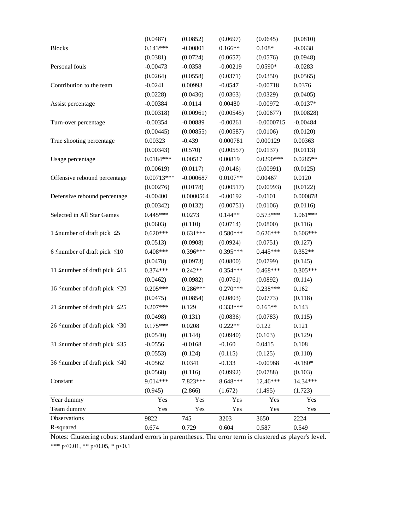|                                          | (0.0487)     | (0.0852)    | (0.0697)   | (0.0645)     | (0.0810)   |
|------------------------------------------|--------------|-------------|------------|--------------|------------|
| <b>Blocks</b>                            | $0.143***$   | $-0.00801$  | $0.166**$  | $0.108*$     | $-0.0638$  |
|                                          | (0.0381)     | (0.0724)    | (0.0657)   | (0.0576)     | (0.0948)   |
| Personal fouls                           | $-0.00473$   | $-0.0358$   | $-0.00219$ | $0.0590*$    | $-0.0283$  |
|                                          | (0.0264)     | (0.0558)    | (0.0371)   | (0.0350)     | (0.0565)   |
| Contribution to the team                 | $-0.0241$    | 0.00993     | $-0.0547$  | $-0.00718$   | 0.0376     |
|                                          | (0.0228)     | (0.0436)    | (0.0363)   | (0.0329)     | (0.0405)   |
| Assist percentage                        | $-0.00384$   | $-0.0114$   | 0.00480    | $-0.00972$   | $-0.0137*$ |
|                                          | (0.00318)    | (0.00961)   | (0.00545)  | (0.00677)    | (0.00828)  |
| Turn-over percentage                     | $-0.00354$   | $-0.00889$  | $-0.00261$ | $-0.0000715$ | $-0.00484$ |
|                                          | (0.00445)    | (0.00855)   | (0.00587)  | (0.0106)     | (0.0120)   |
| True shooting percentage                 | 0.00323      | $-0.439$    | 0.000781   | 0.000129     | 0.00363    |
|                                          | (0.00343)    | (0.570)     | (0.00557)  | (0.0137)     | (0.0113)   |
| Usage percentage                         | $0.0184***$  | 0.00517     | 0.00819    | $0.0290***$  | $0.0285**$ |
|                                          | (0.00619)    | (0.0117)    | (0.0146)   | (0.00991)    | (0.0125)   |
| Offensive rebound percentage             | $0.00713***$ | $-0.000687$ | $0.0107**$ | 0.00467      | 0.0120     |
|                                          | (0.00276)    | (0.0178)    | (0.00517)  | (0.00993)    | (0.0122)   |
| Defensive rebound percentage             | $-0.00400$   | 0.0000564   | $-0.00192$ | $-0.0101$    | 0.000878   |
|                                          | (0.00342)    | (0.0132)    | (0.00751)  | (0.0106)     | (0.0116)   |
| Selected in All Star Games               | $0.445***$   | 0.0273      | $0.144**$  | $0.573***$   | $1.061***$ |
|                                          | (0.0603)     | (0.110)     | (0.0714)   | (0.0800)     | (0.116)    |
| 1 $\leq$ number of draft pick $\leq$ 5   | $0.620***$   | $0.631***$  | $0.580***$ | $0.626***$   | $0.606***$ |
|                                          | (0.0513)     | (0.0908)    | (0.0924)   | (0.0751)     | (0.127)    |
| 6 Snumber of draft pick $\leq 10$        | $0.408***$   | $0.396***$  | $0.395***$ | $0.445***$   | $0.352**$  |
|                                          | (0.0478)     | (0.0973)    | (0.0800)   | (0.0799)     | (0.145)    |
| 11 $\leq$ number of draft pick $\leq$ 15 | $0.374***$   | $0.242**$   | $0.354***$ | $0.468***$   | $0.305***$ |
|                                          | (0.0462)     | (0.0982)    | (0.0761)   | (0.0892)     | (0.114)    |
| 16 Snumber of draft pick $\leq 20$       | $0.205***$   | $0.286***$  | $0.270***$ | $0.238***$   | 0.162      |
|                                          | (0.0475)     | (0.0854)    | (0.0803)   | (0.0773)     | (0.118)    |
| 21 $\leq$ number of draft pick $\leq$ 25 | $0.207***$   | 0.129       | $0.333***$ | $0.165**$    | 0.143      |
|                                          | (0.0498)     | (0.131)     | (0.0836)   | (0.0783)     | (0.115)    |
| 26 $\leq$ number of draft pick $\leq$ 30 | $0.175***$   | 0.0208      | $0.222**$  | 0.122        | 0.121      |
|                                          | (0.0540)     | (0.144)     | (0.0940)   | (0.103)      | (0.129)    |
| 31 $\leq$ number of draft pick $\leq$ 35 | $-0.0556$    | $-0.0168$   | $-0.160$   | 0.0415       | 0.108      |
|                                          | (0.0553)     | (0.124)     | (0.115)    | (0.125)      | (0.110)    |
| 36 $\leq$ number of draft pick $\leq$ 40 | $-0.0562$    | 0.0341      | $-0.133$   | $-0.00968$   | $-0.180*$  |
|                                          | (0.0568)     | (0.116)     | (0.0992)   | (0.0788)     | (0.103)    |
| Constant                                 | 9.014***     | 7.823***    | 8.648***   | 12.46***     | 14.34***   |
|                                          | (0.945)      | (2.866)     | (1.672)    | (1.495)      | (1.723)    |
| Year dummy                               | Yes          | Yes         | Yes        | Yes          | Yes        |
| Team dummy                               | Yes          | Yes         | Yes        | Yes          | Yes        |
| Observations                             | 9822         | 745         | 3203       | 3650         | 2224       |
| R-squared                                | 0.674        | 0.729       | 0.604      | 0.587        | 0.549      |

\*\*\* p<0.01, \*\* p<0.05, \* p<0.1 Notes: Clustering robust standard errors in parentheses. The error term is clustered as player's level.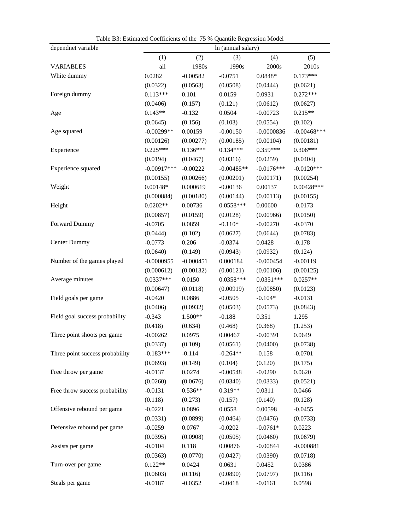| dependnet variable              | Table D., Estimated Coefficients of the 15 % Quantite regression model<br>In (annual salary) |             |              |              |                |  |
|---------------------------------|----------------------------------------------------------------------------------------------|-------------|--------------|--------------|----------------|--|
|                                 | (1)                                                                                          | (2)         | (3)          | (4)          | (5)            |  |
| <b>VARIABLES</b>                | all                                                                                          | 1980s       | 1990s        | 2000s        | 2010s          |  |
| White dummy                     | 0.0282                                                                                       | $-0.00582$  | $-0.0751$    | $0.0848*$    | $0.173***$     |  |
|                                 | (0.0322)                                                                                     | (0.0563)    | (0.0508)     | (0.0444)     | (0.0621)       |  |
| Foreign dummy                   | $0.113***$                                                                                   | 0.101       | 0.0159       | 0.0931       | $0.272***$     |  |
|                                 | (0.0406)                                                                                     | (0.157)     | (0.121)      | (0.0612)     | (0.0627)       |  |
| Age                             | $0.143**$                                                                                    | $-0.132$    | 0.0504       | $-0.00723$   | $0.215**$      |  |
|                                 | (0.0645)                                                                                     | (0.156)     | (0.103)      | (0.0554)     | (0.102)        |  |
| Age squared                     | $-0.00299**$                                                                                 | 0.00159     | $-0.00150$   | $-0.0000836$ | $-0.00468$ *** |  |
|                                 | (0.00126)                                                                                    | (0.00277)   | (0.00185)    | (0.00104)    | (0.00181)      |  |
| Experience                      | $0.225***$                                                                                   | $0.136***$  | $0.134***$   | $0.359***$   | $0.306***$     |  |
|                                 | (0.0194)                                                                                     | (0.0467)    | (0.0316)     | (0.0259)     | (0.0404)       |  |
| Experience squared              | $-0.00917***$                                                                                | $-0.00222$  | $-0.00485**$ | $-0.0176***$ | $-0.0120***$   |  |
|                                 | (0.00155)                                                                                    | (0.00266)   | (0.00201)    | (0.00171)    | (0.00254)      |  |
| Weight                          | $0.00148*$                                                                                   | 0.000619    | $-0.00136$   | 0.00137      | $0.00428***$   |  |
|                                 | (0.000884)                                                                                   | (0.00180)   | (0.00144)    | (0.00113)    | (0.00155)      |  |
| Height                          | $0.0202**$                                                                                   | 0.00736     | $0.0558***$  | 0.00600      | $-0.0173$      |  |
|                                 | (0.00857)                                                                                    | (0.0159)    | (0.0128)     | (0.00966)    | (0.0150)       |  |
| Forward Dummy                   | $-0.0705$                                                                                    | 0.0859      | $-0.110*$    | $-0.00270$   | $-0.0370$      |  |
|                                 | (0.0444)                                                                                     | (0.102)     | (0.0627)     | (0.0644)     | (0.0783)       |  |
| Center Dummy                    | $-0.0773$                                                                                    | 0.206       | $-0.0374$    | 0.0428       | $-0.178$       |  |
|                                 | (0.0640)                                                                                     | (0.149)     | (0.0943)     | (0.0932)     | (0.124)        |  |
| Number of the games played      | $-0.0000955$                                                                                 | $-0.000451$ | 0.000184     | $-0.000454$  | $-0.00119$     |  |
|                                 | (0.000612)                                                                                   | (0.00132)   | (0.00121)    | (0.00106)    | (0.00125)      |  |
| Average minutes                 | $0.0337***$                                                                                  | 0.0150      | $0.0358***$  | $0.0351***$  | $0.0257**$     |  |
|                                 | (0.00647)                                                                                    | (0.0118)    | (0.00919)    | (0.00850)    | (0.0123)       |  |
| Field goals per game            | $-0.0420$                                                                                    | 0.0886      | $-0.0505$    | $-0.104*$    | $-0.0131$      |  |
|                                 | (0.0406)                                                                                     | (0.0932)    | (0.0503)     | (0.0573)     | (0.0843)       |  |
| Field goal success probability  | $-0.343$                                                                                     | 1.500**     | $-0.188$     | 0.351        | 1.295          |  |
|                                 | (0.418)                                                                                      | (0.634)     | (0.468)      | (0.368)      | (1.253)        |  |
| Three point shoots per game     | $-0.00262$                                                                                   | 0.0975      | 0.00467      | $-0.00391$   | 0.0649         |  |
|                                 | (0.0337)                                                                                     | (0.109)     | (0.0561)     | (0.0400)     | (0.0738)       |  |
| Three point success probability | $-0.183***$                                                                                  | $-0.114$    | $-0.264**$   | $-0.158$     | $-0.0701$      |  |
|                                 | (0.0693)                                                                                     | (0.149)     | (0.104)      | (0.120)      | (0.175)        |  |
| Free throw per game             | $-0.0137$                                                                                    | 0.0274      | $-0.00548$   | $-0.0290$    | 0.0620         |  |
|                                 | (0.0260)                                                                                     | (0.0676)    | (0.0340)     | (0.0333)     | (0.0521)       |  |
| Free throw success probability  | $-0.0131$                                                                                    | $0.536**$   | 0.319**      | 0.0311       | 0.0466         |  |
|                                 | (0.118)                                                                                      | (0.273)     | (0.157)      | (0.140)      | (0.128)        |  |
| Offensive rebound per game      | $-0.0221$                                                                                    | 0.0896      | 0.0558       | 0.00598      | $-0.0455$      |  |
|                                 | (0.0331)                                                                                     | (0.0899)    | (0.0464)     | (0.0476)     | (0.0733)       |  |
| Defensive rebound per game      | $-0.0259$                                                                                    | 0.0767      | $-0.0202$    | $-0.0761*$   | 0.0223         |  |
|                                 | (0.0395)                                                                                     | (0.0908)    | (0.0505)     | (0.0460)     | (0.0679)       |  |
| Assists per game                | $-0.0104$                                                                                    | 0.118       | 0.00876      | $-0.00844$   | $-0.000881$    |  |
|                                 | (0.0363)                                                                                     | (0.0770)    | (0.0427)     | (0.0390)     | (0.0718)       |  |
| Turn-over per game              | $0.122**$                                                                                    | 0.0424      | 0.0631       | 0.0452       | 0.0386         |  |
|                                 | (0.0603)                                                                                     | (0.116)     | (0.0890)     | (0.0797)     | (0.116)        |  |
| Steals per game                 | $-0.0187$                                                                                    | $-0.0352$   | $-0.0418$    | $-0.0161$    | 0.0598         |  |

Table B3: Estimated Coefficients of the 75 % Quantile Regression Model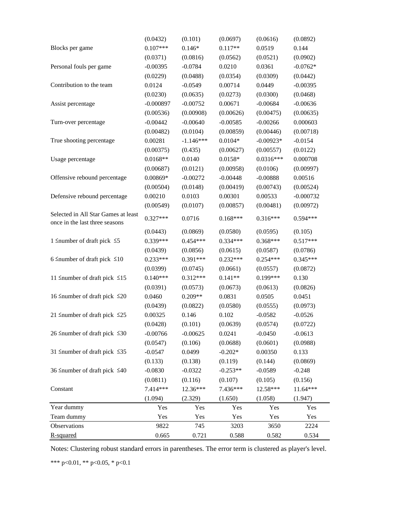|                                                                       | (0.0432)    | (0.101)     | (0.0697)   | (0.0616)    | (0.0892)    |
|-----------------------------------------------------------------------|-------------|-------------|------------|-------------|-------------|
| Blocks per game                                                       | $0.107***$  | $0.146*$    | $0.117**$  | 0.0519      | 0.144       |
|                                                                       | (0.0371)    | (0.0816)    | (0.0562)   | (0.0521)    | (0.0902)    |
| Personal fouls per game                                               | $-0.00395$  | $-0.0784$   | 0.0210     | 0.0361      | $-0.0762*$  |
|                                                                       | (0.0229)    | (0.0488)    | (0.0354)   | (0.0309)    | (0.0442)    |
| Contribution to the team                                              | 0.0124      | $-0.0549$   | 0.00714    | 0.0449      | $-0.00395$  |
|                                                                       | (0.0230)    | (0.0635)    | (0.0273)   | (0.0300)    | (0.0468)    |
| Assist percentage                                                     | $-0.000897$ | $-0.00752$  | 0.00671    | $-0.00684$  | $-0.00636$  |
|                                                                       | (0.00536)   | (0.00908)   | (0.00626)  | (0.00475)   | (0.00635)   |
| Turn-over percentage                                                  | $-0.00442$  | $-0.00640$  | $-0.00585$ | $-0.00266$  | 0.000603    |
|                                                                       | (0.00482)   | (0.0104)    | (0.00859)  | (0.00446)   | (0.00718)   |
| True shooting percentage                                              | 0.00281     | $-1.146***$ | $0.0104*$  | $-0.00923*$ | $-0.0154$   |
|                                                                       | (0.00375)   | (0.435)     | (0.00627)  | (0.00557)   | (0.0122)    |
| Usage percentage                                                      | $0.0168**$  | 0.0140      | $0.0158*$  | $0.0316***$ | 0.000708    |
|                                                                       | (0.00687)   | (0.0121)    | (0.00958)  | (0.0106)    | (0.00997)   |
| Offensive rebound percentage                                          | 0.00869*    | $-0.00272$  | $-0.00448$ | $-0.00888$  | 0.00516     |
|                                                                       | (0.00504)   | (0.0148)    | (0.00419)  | (0.00743)   | (0.00524)   |
| Defensive rebound percentage                                          | 0.00210     | 0.0103      | 0.00301    | 0.00533     | $-0.000732$ |
|                                                                       | (0.00549)   | (0.0107)    | (0.00857)  | (0.00481)   | (0.00972)   |
| Selected in All Star Games at least<br>once in the last three seasons | $0.327***$  | 0.0716      | $0.168***$ | $0.316***$  | $0.594***$  |
|                                                                       | (0.0443)    | (0.0869)    | (0.0580)   | (0.0595)    | (0.105)     |
| 1 $\leq$ number of draft pick $\leq$ 5                                | 0.339***    | $0.454***$  | $0.334***$ | $0.368***$  | $0.517***$  |
|                                                                       | (0.0439)    | (0.0856)    | (0.0615)   | (0.0587)    | (0.0786)    |
| 6 Snumber of draft pick $\leq 10$                                     | $0.233***$  | $0.391***$  | $0.232***$ | $0.254***$  | 0.345***    |
|                                                                       | (0.0399)    | (0.0745)    | (0.0661)   | (0.0557)    | (0.0872)    |
| 11 $\leq$ number of draft pick $\leq$ 15                              | $0.140***$  | $0.312***$  | $0.141**$  | $0.199***$  | 0.130       |
|                                                                       | (0.0391)    | (0.0573)    | (0.0673)   | (0.0613)    | (0.0826)    |
| 16 ≤number of draft pick ≤20                                          | 0.0460      | $0.209**$   | 0.0831     | 0.0505      | 0.0451      |
|                                                                       | (0.0439)    | (0.0822)    | (0.0580)   | (0.0555)    | (0.0973)    |
| 21 $\leq$ number of draft pick $\leq$ 25                              | 0.00325     | 0.146       | 0.102      | $-0.0582$   | $-0.0526$   |
|                                                                       | (0.0428)    | (0.101)     | (0.0639)   | (0.0574)    | (0.0722)    |
| 26 ≤number of draft pick ≤30                                          | $-0.00766$  | $-0.00625$  | 0.0241     | $-0.0450$   | $-0.0613$   |
|                                                                       | (0.0547)    | (0.106)     | (0.0688)   | (0.0601)    | (0.0988)    |
| 31 $\leq$ number of draft pick $\leq$ 35                              | $-0.0547$   | 0.0499      | $-0.202*$  | 0.00350     | 0.133       |
|                                                                       | (0.133)     | (0.138)     | (0.119)    | (0.144)     | (0.0869)    |
| 36 $\leq$ number of draft pick $\leq$ 40                              | $-0.0830$   | $-0.0322$   | $-0.253**$ | $-0.0589$   | $-0.248$    |
|                                                                       | (0.0811)    | (0.116)     | (0.107)    | (0.105)     | (0.156)     |
| Constant                                                              | 7.414***    | 12.36***    | 7.436***   | 12.58***    | 11.64***    |
|                                                                       | (1.094)     | (2.329)     | (1.650)    | (1.058)     | (1.947)     |
| Year dummy                                                            | Yes         | Yes         | Yes        | Yes         | Yes         |
| Team dummy                                                            | Yes         | Yes         | Yes        | Yes         | Yes         |
| Observations                                                          | 9822        | 745         | 3203       | 3650        | 2224        |
| R-squared                                                             | 0.665       | 0.721       | 0.588      | 0.582       | 0.534       |

Notes: Clustering robust standard errors in parentheses. The error term is clustered as player's level.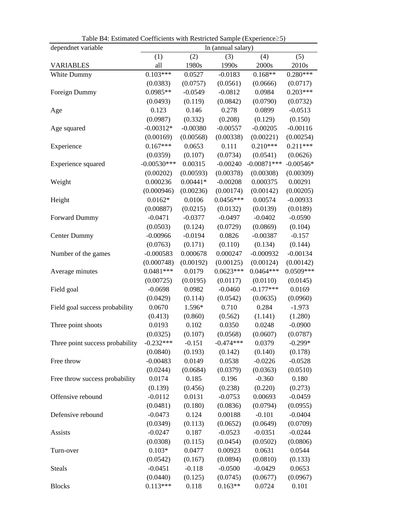| dependnet variable              | In (annual salary) |            |             |               |             |
|---------------------------------|--------------------|------------|-------------|---------------|-------------|
|                                 | (1)                | (2)        | (3)         | (4)           | (5)         |
| <b>VARIABLES</b>                | all                | 1980s      | 1990s       | 2000s         | 2010s       |
| White Dummy                     | $0.103***$         | 0.0527     | $-0.0183$   | $0.168**$     | $0.280***$  |
|                                 | (0.0383)           | (0.0757)   | (0.0561)    | (0.0666)      | (0.0717)    |
| Foreign Dummy                   | $0.0985**$         | $-0.0549$  | $-0.0812$   | 0.0984        | $0.203***$  |
|                                 | (0.0493)           | (0.119)    | (0.0842)    | (0.0790)      | (0.0732)    |
| Age                             | 0.123              | 0.146      | 0.278       | 0.0899        | $-0.0513$   |
|                                 | (0.0987)           | (0.332)    | (0.208)     | (0.129)       | (0.150)     |
| Age squared                     | $-0.00312*$        | $-0.00380$ | $-0.00557$  | $-0.00205$    | $-0.00116$  |
|                                 | (0.00169)          | (0.00568)  | (0.00338)   | (0.00221)     | (0.00254)   |
| Experience                      | $0.167***$         | 0.0653     | 0.111       | $0.210***$    | $0.211***$  |
|                                 | (0.0359)           | (0.107)    | (0.0734)    | (0.0541)      | (0.0626)    |
| Experience squared              | $-0.00530***$      | 0.00315    | $-0.00240$  | $-0.00871***$ | $-0.00546*$ |
|                                 | (0.00202)          | (0.00593)  | (0.00378)   | (0.00308)     | (0.00309)   |
| Weight                          | 0.000236           | $0.00441*$ | $-0.00208$  | 0.000375      | 0.00291     |
|                                 | (0.000946)         | (0.00236)  | (0.00174)   | (0.00142)     | (0.00205)   |
| Height                          | $0.0162*$          | 0.0106     | $0.0456***$ | 0.00574       | $-0.00933$  |
|                                 | (0.00887)          | (0.0215)   | (0.0132)    | (0.0139)      | (0.0189)    |
| Forward Dummy                   | $-0.0471$          | $-0.0377$  | $-0.0497$   | $-0.0402$     | $-0.0590$   |
|                                 | (0.0503)           | (0.124)    | (0.0729)    | (0.0869)      | (0.104)     |
| <b>Center Dummy</b>             | $-0.00966$         | $-0.0194$  | 0.0826      | $-0.00387$    | $-0.157$    |
|                                 | (0.0763)           | (0.171)    | (0.110)     | (0.134)       | (0.144)     |
| Number of the games             | $-0.000583$        | 0.000678   | 0.000247    | $-0.000932$   | $-0.00134$  |
|                                 | (0.000748)         | (0.00192)  | (0.00125)   | (0.00124)     | (0.00142)   |
| Average minutes                 | $0.0481***$        | 0.0179     | $0.0623***$ | $0.0464***$   | $0.0509***$ |
|                                 | (0.00725)          | (0.0195)   | (0.0117)    | (0.0110)      | (0.0145)    |
| Field goal                      | $-0.0698$          | 0.0982     | $-0.0460$   | $-0.177***$   | 0.0169      |
|                                 | (0.0429)           | (0.114)    | (0.0542)    | (0.0635)      | (0.0960)    |
| Field goal success probability  | 0.0670             | 1.596*     | 0.710       | 0.284         | $-1.973$    |
|                                 | (0.413)            | (0.860)    | (0.562)     | (1.141)       | (1.280)     |
| Three point shoots              | 0.0193             | 0.102      | 0.0350      | 0.0248        | $-0.0900$   |
|                                 | (0.0325)           | (0.107)    | (0.0568)    | (0.0607)      | (0.0787)    |
| Three point success probability | $-0.232***$        | $-0.151$   | -0.474***   | 0.0379        | $-0.299*$   |
|                                 | (0.0840)           | (0.193)    | (0.142)     | (0.140)       | (0.178)     |
| Free throw                      | $-0.00483$         | 0.0149     | 0.0538      | $-0.0226$     | $-0.0528$   |
|                                 | (0.0244)           | (0.0684)   | (0.0379)    | (0.0363)      | (0.0510)    |
| Free throw success probability  | 0.0174             | 0.185      | 0.196       | $-0.360$      | 0.180       |
|                                 | (0.139)            | (0.456)    | (0.238)     | (0.220)       | (0.273)     |
| Offensive rebound               | $-0.0112$          | 0.0131     | $-0.0753$   | 0.00693       | $-0.0459$   |
|                                 | (0.0481)           | (0.180)    | (0.0836)    | (0.0794)      | (0.0955)    |
| Defensive rebound               | $-0.0473$          | 0.124      | 0.00188     | $-0.101$      | $-0.0404$   |
|                                 | (0.0349)           | (0.113)    | (0.0652)    | (0.0649)      | (0.0709)    |
| Assists                         | $-0.0247$          | 0.187      | $-0.0523$   | $-0.0351$     | $-0.0244$   |
|                                 | (0.0308)           | (0.115)    | (0.0454)    | (0.0502)      | (0.0806)    |
| Turn-over                       | $0.103*$           | 0.0477     | 0.00923     | 0.0631        | 0.0544      |
|                                 | (0.0542)           | (0.167)    | (0.0894)    | (0.0810)      | (0.133)     |
| <b>Steals</b>                   | $-0.0451$          | $-0.118$   | $-0.0500$   | $-0.0429$     | 0.0653      |
|                                 | (0.0440)           | (0.125)    | (0.0745)    | (0.0677)      | (0.0967)    |
| <b>Blocks</b>                   | $0.113***$         | 0.118      | $0.163**$   | 0.0724        | 0.101       |

Table B4: Estimated Coefficients with Restricted Sample (Experience≥5)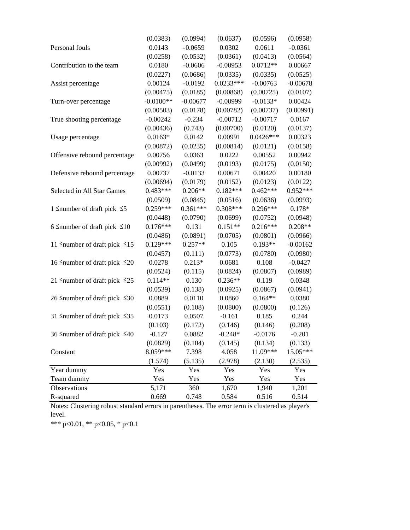|                                          | (0.0383)    | (0.0994)   | (0.0637)    | (0.0596)    | (0.0958)   |
|------------------------------------------|-------------|------------|-------------|-------------|------------|
| Personal fouls                           | 0.0143      | $-0.0659$  | 0.0302      | 0.0611      | $-0.0361$  |
|                                          | (0.0258)    | (0.0532)   | (0.0361)    | (0.0413)    | (0.0564)   |
| Contribution to the team                 | 0.0180      | $-0.0606$  | $-0.00953$  | $0.0712**$  | 0.00667    |
|                                          | (0.0227)    | (0.0686)   | (0.0335)    | (0.0335)    | (0.0525)   |
| Assist percentage                        | 0.00124     | $-0.0192$  | $0.0233***$ | $-0.00763$  | $-0.00678$ |
|                                          | (0.00475)   | (0.0185)   | (0.00868)   | (0.00725)   | (0.0107)   |
| Turn-over percentage                     | $-0.0100**$ | $-0.00677$ | $-0.00999$  | $-0.0133*$  | 0.00424    |
|                                          | (0.00503)   | (0.0178)   | (0.00782)   | (0.00737)   | (0.00991)  |
| True shooting percentage                 | $-0.00242$  | $-0.234$   | $-0.00712$  | $-0.00717$  | 0.0167     |
|                                          | (0.00436)   | (0.743)    | (0.00700)   | (0.0120)    | (0.0137)   |
| Usage percentage                         | $0.0163*$   | 0.0142     | 0.00991     | $0.0426***$ | 0.00323    |
|                                          | (0.00872)   | (0.0235)   | (0.00814)   | (0.0121)    | (0.0158)   |
| Offensive rebound percentage             | 0.00756     | 0.0363     | 0.0222      | 0.00552     | 0.00942    |
|                                          | (0.00992)   | (0.0499)   | (0.0193)    | (0.0175)    | (0.0150)   |
| Defensive rebound percentage             | 0.00737     | $-0.0133$  | 0.00671     | 0.00420     | 0.00180    |
|                                          | (0.00694)   | (0.0179)   | (0.0152)    | (0.0123)    | (0.0122)   |
| Selected in All Star Games               | $0.483***$  | $0.206**$  | $0.182***$  | $0.462***$  | $0.952***$ |
|                                          | (0.0509)    | (0.0845)   | (0.0516)    | (0.0636)    | (0.0993)   |
| 1 $\leq$ number of draft pick $\leq$ 5   | $0.259***$  | $0.361***$ | $0.308***$  | $0.296***$  | $0.178*$   |
|                                          | (0.0448)    | (0.0790)   | (0.0699)    | (0.0752)    | (0.0948)   |
| 6 Snumber of draft pick $\leq 10$        | $0.176***$  | 0.131      | $0.151**$   | $0.216***$  | $0.208**$  |
|                                          | (0.0486)    | (0.0891)   | (0.0705)    | (0.0801)    | (0.0966)   |
| 11 $\leq$ number of draft pick $\leq$ 15 | $0.129***$  | $0.257**$  | 0.105       | $0.193**$   | $-0.00162$ |
|                                          | (0.0457)    | (0.111)    | (0.0773)    | (0.0780)    | (0.0980)   |
| 16 Snumber of draft pick $\leq 20$       | 0.0278      | $0.213*$   | 0.0681      | 0.108       | $-0.0427$  |
|                                          | (0.0524)    | (0.115)    | (0.0824)    | (0.0807)    | (0.0989)   |
| 21 $\leq$ number of draft pick $\leq$ 25 | $0.114**$   | 0.130      | $0.236**$   | 0.119       | 0.0348     |
|                                          | (0.0539)    | (0.138)    | (0.0925)    | (0.0867)    | (0.0941)   |
| 26 $\leq$ number of draft pick $\leq$ 30 | 0.0889      | 0.0110     | 0.0860      | $0.164**$   | 0.0380     |
|                                          | (0.0551)    | (0.108)    | (0.0800)    | (0.0800)    | (0.126)    |
| 31 $\leq$ number of draft pick $\leq$ 35 | 0.0173      | 0.0507     | $-0.161$    | 0.185       | 0.244      |
|                                          | (0.103)     | (0.172)    | (0.146)     | (0.146)     | (0.208)    |
| 36 $\leq$ number of draft pick $\leq 40$ | $-0.127$    | 0.0882     | $-0.248*$   | $-0.0176$   | $-0.201$   |
|                                          | (0.0829)    | (0.104)    | (0.145)     | (0.134)     | (0.133)    |
| Constant                                 | 8.059***    | 7.398      | 4.058       | 11.09***    | 15.05***   |
|                                          | (1.574)     | (5.135)    | (2.978)     | (2.130)     | (2.535)    |
| Year dummy                               | Yes         | Yes        | Yes         | Yes         | Yes        |
| Team dummy                               | Yes         | Yes        | Yes         | Yes         | Yes        |
| Observations                             | 5,171       | 360        | 1,670       | 1,940       | 1,201      |
| R-squared                                | 0.669       | 0.748      | 0.584       | 0.516       | 0.514      |

Notes: Clustering robust standard errors in parentheses. The error term is clustered as player's level.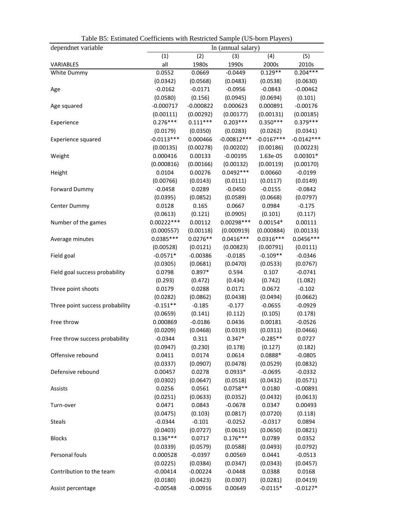| dependnet variable              | Table D., Estimated Cocritereius with restricted Sample (OS-born Flayers)<br>In (annual salary) |                    |                          |                       |                    |
|---------------------------------|-------------------------------------------------------------------------------------------------|--------------------|--------------------------|-----------------------|--------------------|
|                                 | (1)                                                                                             | (2)                | (3)                      | (4)                   | (5)                |
| VARIABLES                       | all                                                                                             | 1980s              | 1990s                    | 2000s                 | 2010s              |
| White Dummy                     | 0.0552                                                                                          | 0.0669             | $-0.0449$                | $0.129**$             | $0.204***$         |
|                                 | (0.0342)                                                                                        | (0.0568)           | (0.0483)                 | (0.0538)              | (0.0630)           |
| Age                             | $-0.0162$                                                                                       | $-0.0171$          | $-0.0956$                | $-0.0843$             | $-0.00462$         |
|                                 | (0.0580)                                                                                        | (0.156)            | (0.0945)                 | (0.0694)              | (0.101)            |
| Age squared                     | $-0.000717$                                                                                     | $-0.000822$        | 0.000623                 | 0.000891              | $-0.00176$         |
|                                 | (0.00111)                                                                                       | (0.00292)          | (0.00177)                | (0.00131)             | (0.00185)          |
| Experience                      | $0.276***$                                                                                      | $0.111***$         | $0.203***$               | $0.350***$            | $0.379***$         |
|                                 | (0.0179)                                                                                        | (0.0350)           | (0.0283)                 | (0.0262)              | (0.0341)           |
| Experience squared              | $-0.0113***$                                                                                    | 0.000466           | $-0.00812***$            | $-0.0167***$          | $-0.0142***$       |
|                                 | (0.00135)                                                                                       | (0.00278)          | (0.00202)                | (0.00186)             | (0.00223)          |
| Weight                          | 0.000416                                                                                        | 0.00133            | $-0.00195$               | 1.63e-05              | $0.00301*$         |
|                                 | (0.000816)                                                                                      | (0.00166)          | (0.00132)                | (0.00119)             | (0.00170)          |
| Height                          | 0.0104                                                                                          | 0.00276            | $0.0492***$              | 0.00660               | $-0.0199$          |
|                                 | (0.00766)                                                                                       | (0.0143)           | (0.0111)                 | (0.0117)              | (0.0149)           |
|                                 | $-0.0458$                                                                                       | 0.0289             | $-0.0450$                | $-0.0155$             | $-0.0842$          |
| <b>Forward Dummy</b>            | (0.0395)                                                                                        | (0.0852)           | (0.0589)                 |                       | (0.0797)           |
|                                 | 0.0128                                                                                          | 0.165              | 0.0667                   | (0.0668)<br>0.0984    | $-0.175$           |
| Center Dummy                    |                                                                                                 |                    |                          |                       |                    |
|                                 | (0.0613)<br>$0.00222***$                                                                        | (0.121)<br>0.00112 | (0.0905)<br>$0.00298***$ | (0.101)<br>$0.00154*$ | (0.117)<br>0.00111 |
| Number of the games             |                                                                                                 |                    |                          |                       |                    |
|                                 | (0.000557)                                                                                      | (0.00118)          | (0.000919)               | (0.000884)            | (0.00133)          |
| Average minutes                 | $0.0385***$                                                                                     | $0.0276**$         | $0.0416***$              | $0.0316***$           | $0.0456***$        |
|                                 | (0.00528)                                                                                       | (0.0121)           | (0.00823)                | (0.00791)             | (0.0111)           |
| Field goal                      | $-0.0571*$                                                                                      | $-0.00386$         | $-0.0185$                | $-0.109**$            | $-0.0346$          |
|                                 | (0.0305)                                                                                        | (0.0681)           | (0.0470)                 | (0.0533)              | (0.0767)           |
| Field goal success probability  | 0.0798                                                                                          | $0.897*$           | 0.594                    | 0.107                 | $-0.0741$          |
|                                 | (0.293)                                                                                         | (0.472)            | (0.434)                  | (0.742)               | (1.082)            |
| Three point shoots              | 0.0179                                                                                          | 0.0288             | 0.0171                   | 0.0672                | $-0.102$           |
|                                 | (0.0282)                                                                                        | (0.0862)           | (0.0438)                 | (0.0494)              | (0.0662)           |
| Three point success probability | $-0.151**$                                                                                      | $-0.185$           | $-0.177$                 | $-0.0655$             | $-0.0929$          |
|                                 | (0.0659)                                                                                        | (0.141)            | (0.112)                  | (0.105)               | (0.178)            |
| Free throw                      | 0.000869                                                                                        | $-0.0186$          | 0.0436                   | 0.00181               | $-0.0526$          |
|                                 | (0.0209)                                                                                        | (0.0468)           | (0.0319)                 | (0.0311)              | (0.0466)           |
| Free throw success probability  | $-0.0344$                                                                                       | 0.311              | $0.347*$                 | $-0.285**$            | 0.0727             |
|                                 | (0.0947)                                                                                        | (0.230)            | (0.178)                  | (0.127)               | (0.182)            |
| Offensive rebound               | 0.0411                                                                                          | 0.0174             | 0.0614                   | $0.0888*$             | $-0.0805$          |
|                                 | (0.0337)                                                                                        | (0.0907)           | (0.0478)                 | (0.0529)              | (0.0832)           |
| Defensive rebound               | 0.00457                                                                                         | 0.0278             | $0.0933*$                | $-0.0695$             | $-0.0332$          |
|                                 | (0.0302)                                                                                        | (0.0647)           | (0.0518)                 | (0.0432)              | (0.0571)           |
| Assists                         | 0.0256                                                                                          | 0.0561             | $0.0758**$               | 0.0180                | $-0.00891$         |
|                                 | (0.0251)                                                                                        | (0.0633)           | (0.0352)                 | (0.0432)              | (0.0613)           |
| Turn-over                       | 0.0471                                                                                          | 0.0843             | $-0.0678$                | 0.0347                | 0.00493            |
|                                 | (0.0475)                                                                                        | (0.103)            | (0.0817)                 | (0.0720)              | (0.118)            |
| <b>Steals</b>                   | $-0.0344$                                                                                       | $-0.101$           | $-0.0252$                | $-0.0317$             | 0.0894             |
|                                 | (0.0403)                                                                                        | (0.0727)           | (0.0615)                 | (0.0650)              | (0.0821)           |
| <b>Blocks</b>                   | $0.136***$                                                                                      | 0.0717             | $0.176***$               | 0.0789                | 0.0352             |
|                                 | (0.0339)                                                                                        | (0.0579)           | (0.0588)                 | (0.0493)              | (0.0792)           |
| Personal fouls                  | 0.000528                                                                                        | $-0.0397$          | 0.00569                  | 0.0441                | $-0.0513$          |
|                                 | (0.0225)                                                                                        | (0.0384)           | (0.0347)                 | (0.0343)              | (0.0457)           |
| Contribution to the team        | $-0.00414$                                                                                      | $-0.00224$         | $-0.0448$                | 0.0388                | 0.0168             |
|                                 | (0.0180)                                                                                        | (0.0423)           | (0.0307)                 | (0.0281)              | (0.0419)           |
| Assist percentage               | $-0.00548$                                                                                      | $-0.00916$         | 0.00649                  | $-0.0115*$            | $-0.0127*$         |

Table B5: Estimated Coefficients with Restricted Sample (US-born Players)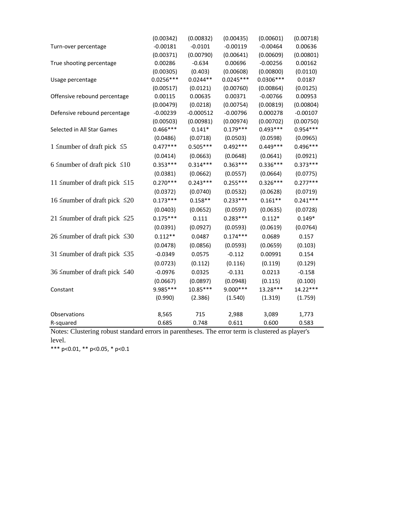|                                          | (0.00342)   | (0.00832)   | (0.00435)   | (0.00601)   | (0.00718)  |
|------------------------------------------|-------------|-------------|-------------|-------------|------------|
| Turn-over percentage                     | $-0.00181$  | $-0.0101$   | $-0.00119$  | $-0.00464$  | 0.00636    |
|                                          | (0.00371)   | (0.00790)   | (0.00641)   | (0.00609)   | (0.00801)  |
| True shooting percentage                 | 0.00286     | $-0.634$    | 0.00696     | $-0.00256$  | 0.00162    |
|                                          | (0.00305)   | (0.403)     | (0.00608)   | (0.00800)   | (0.0110)   |
| Usage percentage                         | $0.0256***$ | $0.0244**$  | $0.0245***$ | $0.0306***$ | 0.0187     |
|                                          | (0.00517)   | (0.0121)    | (0.00760)   | (0.00864)   | (0.0125)   |
| Offensive rebound percentage             | 0.00115     | 0.00635     | 0.00371     | $-0.00766$  | 0.00953    |
|                                          | (0.00479)   | (0.0218)    | (0.00754)   | (0.00819)   | (0.00804)  |
| Defensive rebound percentage             | $-0.00239$  | $-0.000512$ | $-0.00796$  | 0.000278    | $-0.00107$ |
|                                          | (0.00503)   | (0.00981)   | (0.00974)   | (0.00702)   | (0.00750)  |
| Selected in All Star Games               | $0.466***$  | $0.141*$    | $0.179***$  | $0.493***$  | $0.954***$ |
|                                          | (0.0486)    | (0.0718)    | (0.0503)    | (0.0598)    | (0.0965)   |
| 1 $\leq$ number of draft pick $\leq$ 5   | $0.477***$  | $0.505***$  | $0.492***$  | $0.449***$  | $0.496***$ |
|                                          | (0.0414)    | (0.0663)    | (0.0648)    | (0.0641)    | (0.0921)   |
| 6 Snumber of draft pick $\leq 10$        | $0.353***$  | $0.314***$  | $0.363***$  | $0.336***$  | $0.373***$ |
|                                          | (0.0381)    | (0.0662)    | (0.0557)    | (0.0664)    | (0.0775)   |
| 11 Snumber of draft pick $\leq 15$       | $0.270***$  | $0.243***$  | $0.255***$  | $0.326***$  | $0.277***$ |
|                                          | (0.0372)    | (0.0740)    | (0.0532)    | (0.0628)    | (0.0719)   |
| 16 Snumber of draft pick $\leq 20$       | $0.173***$  | $0.158**$   | $0.233***$  | $0.161**$   | $0.241***$ |
|                                          | (0.0403)    | (0.0652)    | (0.0597)    | (0.0635)    | (0.0728)   |
| 21 $\leq$ number of draft pick $\leq$ 25 | $0.175***$  | 0.111       | $0.283***$  | $0.112*$    | $0.149*$   |
|                                          | (0.0391)    | (0.0927)    | (0.0593)    | (0.0619)    | (0.0764)   |
| 26 ≤number of draft pick ≤30             | $0.112**$   | 0.0487      | $0.174***$  | 0.0689      | 0.157      |
|                                          | (0.0478)    | (0.0856)    | (0.0593)    | (0.0659)    | (0.103)    |
| 31 $\leq$ number of draft pick $\leq$ 35 | $-0.0349$   | 0.0575      | $-0.112$    | 0.00991     | 0.154      |
|                                          | (0.0723)    | (0.112)     | (0.116)     | (0.119)     | (0.129)    |
| 36 ≤number of draft pick ≤40             | $-0.0976$   | 0.0325      | $-0.131$    | 0.0213      | $-0.158$   |
|                                          | (0.0667)    | (0.0897)    | (0.0948)    | (0.115)     | (0.100)    |
| Constant                                 | 9.985 ***   | 10.85***    | 9.000 ***   | 13.28***    | 14.22***   |
|                                          | (0.990)     | (2.386)     | (1.540)     | (1.319)     | (1.759)    |
| Observations                             | 8,565       | 715         | 2,988       | 3,089       | 1,773      |
| R-squared                                | 0.685       | 0.748       | 0.611       | 0.600       | 0.583      |

Notes: Clustering robust standard errors in parentheses. The error term is clustered as player's level.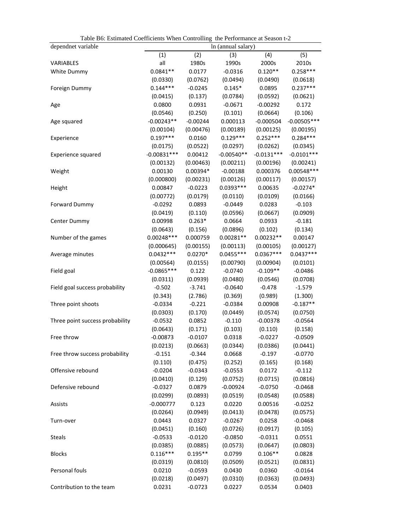| Table Bo: Estimated Coefficients When Controlling the Performance at Season t-2 |               |            |                    |              |               |
|---------------------------------------------------------------------------------|---------------|------------|--------------------|--------------|---------------|
| dependnet variable                                                              |               |            | In (annual salary) |              |               |
|                                                                                 | (1)           | (2)        | (3)                | (4)          | (5)           |
| <b>VARIABLES</b>                                                                | all           | 1980s      | 1990s              | 2000s        | 2010s         |
| White Dummy                                                                     | $0.0841**$    | 0.0177     | $-0.0316$          | $0.120**$    | $0.258***$    |
|                                                                                 | (0.0330)      | (0.0762)   | (0.0494)           | (0.0490)     | (0.0618)      |
| Foreign Dummy                                                                   | $0.144***$    | $-0.0245$  | $0.145*$           | 0.0895       | $0.237***$    |
|                                                                                 | (0.0415)      | (0.137)    | (0.0784)           | (0.0592)     | (0.0621)      |
| Age                                                                             | 0.0800        | 0.0931     | $-0.0671$          | $-0.00292$   | 0.172         |
|                                                                                 | (0.0546)      | (0.250)    | (0.101)            | (0.0664)     | (0.106)       |
| Age squared                                                                     | $-0.00243**$  | $-0.00244$ | 0.000113           | $-0.000504$  | $-0.00505***$ |
|                                                                                 | (0.00104)     | (0.00476)  | (0.00189)          | (0.00125)    | (0.00195)     |
| Experience                                                                      | $0.197***$    | 0.0160     | $0.129***$         | $0.252***$   | $0.284***$    |
|                                                                                 | (0.0175)      | (0.0522)   | (0.0297)           | (0.0262)     | (0.0345)      |
| Experience squared                                                              | $-0.00831***$ | 0.00412    | $-0.00540**$       | $-0.0131***$ | $-0.0101***$  |
|                                                                                 | (0.00132)     | (0.00463)  | (0.00211)          | (0.00196)    | (0.00241)     |
| Weight                                                                          | 0.00130       | $0.00394*$ | $-0.00188$         | 0.000376     | $0.00548***$  |
|                                                                                 | (0.000800)    | (0.00231)  | (0.00126)          | (0.00117)    | (0.00157)     |
| Height                                                                          | 0.00847       | $-0.0223$  | $0.0393***$        | 0.00635      | $-0.0274*$    |
|                                                                                 | (0.00772)     | (0.0179)   | (0.0110)           | (0.0109)     | (0.0166)      |
| Forward Dummy                                                                   | $-0.0292$     | 0.0893     | $-0.0449$          | 0.0283       | $-0.103$      |
|                                                                                 | (0.0419)      | (0.110)    | (0.0596)           | (0.0667)     | (0.0909)      |
| Center Dummy                                                                    | 0.00998       | $0.263*$   | 0.0664             | 0.0933       | $-0.181$      |
|                                                                                 | (0.0643)      | (0.156)    | (0.0896)           | (0.102)      | (0.134)       |
| Number of the games                                                             | $0.00248***$  | 0.000759   | $0.00281**$        | $0.00232**$  | 0.00147       |
|                                                                                 | (0.000645)    | (0.00155)  | (0.00113)          | (0.00105)    | (0.00127)     |
| Average minutes                                                                 | $0.0432***$   | $0.0270*$  | $0.0455***$        | $0.0367***$  | $0.0437***$   |
|                                                                                 | (0.00564)     | (0.0155)   | (0.00790)          | (0.00904)    | (0.0101)      |
| Field goal                                                                      | $-0.0865***$  | 0.122      | $-0.0740$          | $-0.109**$   | $-0.0486$     |
|                                                                                 | (0.0311)      | (0.0939)   | (0.0480)           | (0.0546)     | (0.0708)      |
| Field goal success probability                                                  | $-0.502$      | $-3.741$   | $-0.0640$          | $-0.478$     | $-1.579$      |
|                                                                                 | (0.343)       | (2.786)    | (0.369)            | (0.989)      | (1.300)       |
| Three point shoots                                                              | $-0.0334$     | $-0.221$   | $-0.0384$          | 0.00908      | $-0.187**$    |
|                                                                                 | (0.0303)      | (0.170)    | (0.0449)           | (0.0574)     | (0.0750)      |
| Three point success probability                                                 | $-0.0532$     | 0.0852     | $-0.110$           | $-0.00378$   | $-0.0564$     |
|                                                                                 | (0.0643)      | (0.171)    | (0.103)            | (0.110)      | (0.158)       |
| Free throw                                                                      | $-0.00873$    | -0.0107    | 0.0318             | $-0.0227$    | $-0.0509$     |
|                                                                                 | (0.0213)      | (0.0663)   | (0.0344)           | (0.0386)     | (0.0441)      |
| Free throw success probability                                                  | $-0.151$      | $-0.344$   | 0.0668             | $-0.197$     | $-0.0770$     |
|                                                                                 | (0.110)       | (0.475)    | (0.252)            | (0.165)      | (0.168)       |
| Offensive rebound                                                               | $-0.0204$     | $-0.0343$  | $-0.0553$          | 0.0172       | $-0.112$      |
|                                                                                 | (0.0410)      | (0.129)    | (0.0752)           | (0.0715)     | (0.0816)      |
| Defensive rebound                                                               | $-0.0327$     | 0.0879     | $-0.00924$         | $-0.0750$    | $-0.0468$     |
|                                                                                 | (0.0299)      | (0.0893)   | (0.0519)           | (0.0548)     | (0.0588)      |
| Assists                                                                         | $-0.000777$   | 0.123      | 0.0220             | 0.00516      | $-0.0252$     |
|                                                                                 | (0.0264)      | (0.0949)   | (0.0413)           | (0.0478)     | (0.0575)      |
| Turn-over                                                                       | 0.0443        | 0.0327     | $-0.0267$          | 0.0258       | $-0.0468$     |
|                                                                                 | (0.0451)      | (0.160)    | (0.0726)           | (0.0917)     | (0.105)       |
| <b>Steals</b>                                                                   | $-0.0533$     | $-0.0120$  | $-0.0850$          | $-0.0311$    | 0.0551        |
|                                                                                 | (0.0385)      | (0.0885)   | (0.0573)           | (0.0647)     | (0.0803)      |
| <b>Blocks</b>                                                                   | $0.116***$    | $0.195**$  | 0.0799             | $0.106**$    | 0.0828        |
|                                                                                 | (0.0319)      | (0.0810)   | (0.0509)           | (0.0521)     | (0.0831)      |
| Personal fouls                                                                  | 0.0210        | $-0.0593$  | 0.0430             | 0.0360       | $-0.0164$     |
|                                                                                 | (0.0218)      | (0.0497)   | (0.0310)           | (0.0363)     | (0.0493)      |
| Contribution to the team                                                        | 0.0231        | $-0.0723$  | 0.0227             | 0.0534       | 0.0403        |
|                                                                                 |               |            |                    |              |               |

Table B6: Estimated Coefficients When Controlling the Performance at Season t-2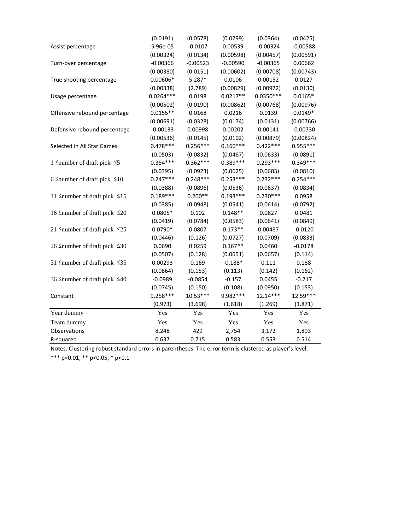|                                          | (0.0191)    | (0.0578)   | (0.0299)   | (0.0364)    | (0.0425)   |
|------------------------------------------|-------------|------------|------------|-------------|------------|
| Assist percentage                        | 5.96e-05    | $-0.0107$  | 0.00539    | $-0.00324$  | $-0.00588$ |
|                                          | (0.00324)   | (0.0134)   | (0.00598)  | (0.00457)   | (0.00591)  |
| Turn-over percentage                     | $-0.00366$  | $-0.00523$ | $-0.00590$ | $-0.00365$  | 0.00662    |
|                                          | (0.00380)   | (0.0151)   | (0.00602)  | (0.00708)   | (0.00743)  |
| True shooting percentage                 | $0.00606*$  | $5.287*$   | 0.0106     | 0.00152     | 0.0127     |
|                                          | (0.00338)   | (2.789)    | (0.00829)  | (0.00972)   | (0.0130)   |
| Usage percentage                         | $0.0264***$ | 0.0198     | $0.0217**$ | $0.0350***$ | $0.0165*$  |
|                                          | (0.00502)   | (0.0190)   | (0.00862)  | (0.00768)   | (0.00976)  |
| Offensive rebound percentage             | $0.0155**$  | 0.0168     | 0.0216     | 0.0139      | $0.0149*$  |
|                                          | (0.00691)   | (0.0328)   | (0.0174)   | (0.0131)    | (0.00766)  |
| Defensive rebound percentage             | $-0.00133$  | 0.00998    | 0.00202    | 0.00141     | $-0.00730$ |
|                                          | (0.00536)   | (0.0145)   | (0.0102)   | (0.00879)   | (0.00824)  |
| Selected in All Star Games               | $0.478***$  | $0.256***$ | $0.160***$ | $0.422***$  | $0.955***$ |
|                                          | (0.0503)    | (0.0832)   | (0.0467)   | (0.0633)    | (0.0891)   |
| 1 $\leq$ number of draft pick $\leq$ 5   | $0.354***$  | $0.362***$ | $0.389***$ | $0.293***$  | $0.349***$ |
|                                          | (0.0395)    | (0.0923)   | (0.0625)   | (0.0603)    | (0.0810)   |
| 6 Snumber of draft pick $\leq 10$        | $0.247***$  | $0.248***$ | $0.253***$ | $0.232***$  | $0.254***$ |
|                                          | (0.0388)    | (0.0896)   | (0.0536)   | (0.0637)    | (0.0834)   |
| 11 $\leq$ number of draft pick $\leq$ 15 | $0.189***$  | $0.200**$  | $0.193***$ | $0.230***$  | 0.0958     |
|                                          | (0.0385)    | (0.0948)   | (0.0541)   | (0.0614)    | (0.0792)   |
| 16 ≤number of draft pick ≤20             | $0.0805*$   | 0.102      | $0.148**$  | 0.0827      | 0.0481     |
|                                          | (0.0419)    | (0.0784)   | (0.0583)   | (0.0641)    | (0.0849)   |
| 21 $\leq$ number of draft pick $\leq$ 25 | $0.0790*$   | 0.0807     | $0.173**$  | 0.00487     | $-0.0120$  |
|                                          | (0.0446)    | (0.126)    | (0.0727)   | (0.0709)    | (0.0833)   |
| 26 Snumber of draft pick $\leq 30$       | 0.0690      | 0.0259     | $0.167**$  | 0.0460      | $-0.0178$  |
|                                          | (0.0507)    | (0.128)    | (0.0651)   | (0.0657)    | (0.114)    |
| 31 ≤number of draft pick ≤35             | 0.00293     | 0.169      | $-0.188*$  | 0.111       | 0.188      |
|                                          | (0.0864)    | (0.153)    | (0.113)    | (0.142)     | (0.162)    |
| 36 ≤number of draft pick ≤40             | $-0.0989$   | $-0.0854$  | $-0.157$   | 0.0455      | $-0.217$   |
|                                          | (0.0745)    | (0.150)    | (0.108)    | (0.0950)    | (0.153)    |
| Constant                                 | $9.258***$  | $10.53***$ | 9.982 ***  | $12.14***$  | 12.59***   |
|                                          | (0.973)     | (3.698)    | (1.618)    | (1.269)     | (1.871)    |
| Year dummy                               | Yes         | Yes        | Yes        | Yes         | Yes        |
| Team dummy                               | Yes         | Yes        | Yes        | Yes         | Yes        |
| Observations                             | 8,248       | 429        | 2,754      | 3,172       | 1,893      |
| R-squared                                | 0.637       | 0.715      | 0.583      | 0.553       | 0.514      |
|                                          |             |            |            |             |            |

\*\*\* p<0.01, \*\* p<0.05, \* p<0.1 Notes: Clustering robust standard errors in parentheses. The error term is clustered as player's level.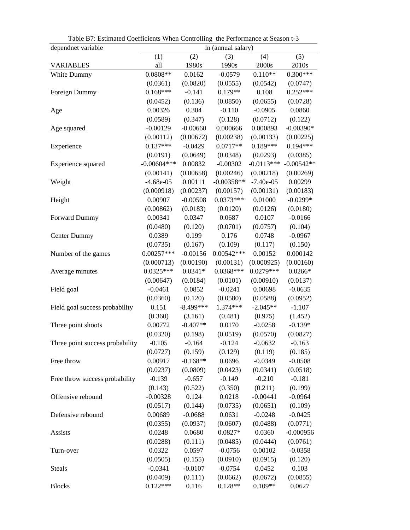| dependnet variable              | In (annual salary) |             |              |              |              |
|---------------------------------|--------------------|-------------|--------------|--------------|--------------|
|                                 | (1)                | (2)         | (3)          | (4)          | (5)          |
| <b>VARIABLES</b>                | all                | 1980s       | 1990s        | 2000s        | 2010s        |
| White Dummy                     | $0.0808**$         | 0.0162      | $-0.0579$    | $0.110**$    | $0.300***$   |
|                                 | (0.0361)           | (0.0820)    | (0.0555)     | (0.0542)     | (0.0747)     |
| Foreign Dummy                   | $0.168***$         | $-0.141$    | $0.179**$    | 0.108        | $0.252***$   |
|                                 | (0.0452)           | (0.136)     | (0.0850)     | (0.0655)     | (0.0728)     |
| Age                             | 0.00326            | 0.304       | $-0.110$     | $-0.0905$    | 0.0860       |
|                                 | (0.0589)           | (0.347)     | (0.128)      | (0.0712)     | (0.122)      |
| Age squared                     | $-0.00129$         | $-0.00660$  | 0.000666     | 0.000893     | $-0.00390*$  |
|                                 | (0.00112)          | (0.00672)   | (0.00238)    | (0.00133)    | (0.00225)    |
| Experience                      | $0.137***$         | $-0.0429$   | $0.0717**$   | $0.189***$   | $0.194***$   |
|                                 | (0.0191)           | (0.0649)    | (0.0348)     | (0.0293)     | (0.0385)     |
| Experience squared              | $-0.00604***$      | 0.00832     | $-0.00302$   | $-0.0113***$ | $-0.00542**$ |
|                                 | (0.00141)          | (0.00658)   | (0.00246)    | (0.00218)    | (0.00269)    |
| Weight                          | $-4.68e-05$        | 0.00111     | $-0.00358**$ | $-7.40e-05$  | 0.00299      |
|                                 | (0.000918)         | (0.00237)   | (0.00157)    | (0.00131)    | (0.00183)    |
| Height                          | 0.00907            | $-0.00508$  | $0.0373***$  | 0.01000      | $-0.0299*$   |
|                                 | (0.00862)          | (0.0183)    | (0.0120)     | (0.0126)     | (0.0180)     |
| Forward Dummy                   | 0.00341            | 0.0347      | 0.0687       | 0.0107       | $-0.0166$    |
|                                 | (0.0480)           | (0.120)     | (0.0701)     | (0.0757)     | (0.104)      |
| Center Dummy                    | 0.0389             | 0.199       | 0.176        | 0.0748       | $-0.0967$    |
|                                 | (0.0735)           | (0.167)     | (0.109)      | (0.117)      | (0.150)      |
| Number of the games             | $0.00257***$       | $-0.00156$  | $0.00542***$ | 0.00152      | 0.000142     |
|                                 | (0.000713)         | (0.00190)   | (0.00131)    | (0.000925)   | (0.00160)    |
| Average minutes                 | $0.0325***$        | $0.0341*$   | $0.0368***$  | $0.0279***$  | $0.0266*$    |
|                                 | (0.00647)          | (0.0184)    | (0.0101)     | (0.00910)    | (0.0137)     |
| Field goal                      | $-0.0461$          | 0.0852      | $-0.0241$    | 0.00698      | $-0.0635$    |
|                                 | (0.0360)           | (0.120)     | (0.0580)     | (0.0588)     | (0.0952)     |
| Field goal success probability  | 0.151              | $-8.499***$ | 1.374***     | $-2.045**$   | $-1.107$     |
|                                 | (0.360)            | (3.161)     | (0.481)      | (0.975)      | (1.452)      |
| Three point shoots              | 0.00772            | $-0.407**$  | 0.0170       | $-0.0258$    | $-0.139*$    |
|                                 | (0.0320)           | (0.198)     | (0.0519)     | (0.0570)     | (0.0827)     |
| Three point success probability | $-0.105$           | $-0.164$    | $-0.124$     | $-0.0632$    | $-0.163$     |
|                                 | (0.0727)           | (0.159)     | (0.129)      | (0.119)      | (0.185)      |
| Free throw                      | 0.00917            | $-0.168**$  | 0.0696       | $-0.0349$    | $-0.0508$    |
|                                 | (0.0237)           | (0.0809)    | (0.0423)     | (0.0341)     | (0.0518)     |
| Free throw success probability  | $-0.139$           | $-0.657$    | $-0.149$     | $-0.210$     | $-0.181$     |
|                                 | (0.143)            | (0.522)     | (0.350)      | (0.211)      | (0.199)      |
| Offensive rebound               | $-0.00328$         | 0.124       | 0.0218       | $-0.00441$   | $-0.0964$    |
|                                 | (0.0517)           | (0.144)     | (0.0735)     | (0.0651)     | (0.109)      |
| Defensive rebound               | 0.00689            | $-0.0688$   | 0.0631       | $-0.0248$    | $-0.0425$    |
|                                 | (0.0355)           | (0.0937)    | (0.0607)     | (0.0488)     | (0.0771)     |
| Assists                         | 0.0248             | 0.0680      | $0.0827*$    | 0.0360       | $-0.000956$  |
|                                 | (0.0288)           | (0.111)     | (0.0485)     | (0.0444)     | (0.0761)     |
| Turn-over                       | 0.0322             | 0.0597      | $-0.0756$    | 0.00102      | $-0.0358$    |
|                                 | (0.0505)           | (0.155)     | (0.0910)     | (0.0915)     | (0.120)      |
| <b>Steals</b>                   | $-0.0341$          | $-0.0107$   | $-0.0754$    | 0.0452       | 0.103        |
|                                 | (0.0409)           | (0.111)     | (0.0662)     | (0.0672)     | (0.0855)     |
| <b>Blocks</b>                   | $0.122***$         | 0.116       | $0.128**$    | $0.109**$    | 0.0627       |

Table B7: Estimated Coefficients When Controlling the Performance at Season t-3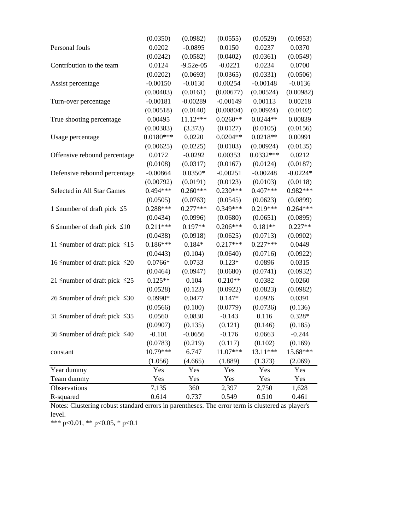|                                          | (0.0350)    | (0.0982)    | (0.0555)   | (0.0529)    | (0.0953)   |
|------------------------------------------|-------------|-------------|------------|-------------|------------|
| Personal fouls                           | 0.0202      | $-0.0895$   | 0.0150     | 0.0237      | 0.0370     |
|                                          | (0.0242)    | (0.0582)    | (0.0402)   | (0.0361)    | (0.0549)   |
| Contribution to the team                 | 0.0124      | $-9.52e-05$ | $-0.0221$  | 0.0234      | 0.0700     |
|                                          | (0.0202)    | (0.0693)    | (0.0365)   | (0.0331)    | (0.0506)   |
| Assist percentage                        | $-0.00150$  | $-0.0130$   | 0.00254    | $-0.00148$  | $-0.0136$  |
|                                          | (0.00403)   | (0.0161)    | (0.00677)  | (0.00524)   | (0.00982)  |
| Turn-over percentage                     | $-0.00181$  | $-0.00289$  | $-0.00149$ | 0.00113     | 0.00218    |
|                                          | (0.00518)   | (0.0140)    | (0.00804)  | (0.00924)   | (0.0102)   |
| True shooting percentage                 | 0.00495     | 11.12***    | $0.0260**$ | $0.0244**$  | 0.00839    |
|                                          | (0.00383)   | (3.373)     | (0.0127)   | (0.0105)    | (0.0156)   |
| Usage percentage                         | $0.0180***$ | 0.0220      | $0.0204**$ | $0.0218**$  | 0.00991    |
|                                          | (0.00625)   | (0.0225)    | (0.0103)   | (0.00924)   | (0.0135)   |
| Offensive rebound percentage             | 0.0172      | $-0.0292$   | 0.00353    | $0.0332***$ | 0.0212     |
|                                          | (0.0108)    | (0.0317)    | (0.0167)   | (0.0124)    | (0.0187)   |
| Defensive rebound percentage             | $-0.00864$  | $0.0350*$   | $-0.00251$ | $-0.00248$  | $-0.0224*$ |
|                                          | (0.00792)   | (0.0191)    | (0.0123)   | (0.0103)    | (0.0118)   |
| Selected in All Star Games               | $0.494***$  | $0.260***$  | $0.230***$ | $0.407***$  | $0.982***$ |
|                                          | (0.0505)    | (0.0763)    | (0.0545)   | (0.0623)    | (0.0899)   |
| 1 $\leq$ number of draft pick $\leq$ 5   | $0.288***$  | $0.277***$  | $0.349***$ | $0.219***$  | $0.264***$ |
|                                          | (0.0434)    | (0.0996)    | (0.0680)   | (0.0651)    | (0.0895)   |
| 6 Snumber of draft pick $\leq 10$        | $0.211***$  | $0.197**$   | $0.206***$ | $0.181**$   | $0.227**$  |
|                                          | (0.0438)    | (0.0918)    | (0.0625)   | (0.0713)    | (0.0902)   |
| 11 $\leq$ number of draft pick $\leq$ 15 | $0.186***$  | $0.184*$    | $0.217***$ | $0.227***$  | 0.0449     |
|                                          | (0.0443)    | (0.104)     | (0.0640)   | (0.0716)    | (0.0922)   |
| 16 Snumber of draft pick $\leq 20$       | $0.0766*$   | 0.0733      | $0.123*$   | 0.0896      | 0.0315     |
|                                          | (0.0464)    | (0.0947)    | (0.0680)   | (0.0741)    | (0.0932)   |
| 21 $\leq$ number of draft pick $\leq$ 25 | $0.125**$   | 0.104       | $0.210**$  | 0.0382      | 0.0260     |
|                                          | (0.0528)    | (0.123)     | (0.0922)   | (0.0823)    | (0.0982)   |
| 26 $\leq$ number of draft pick $\leq$ 30 | 0.0990*     | 0.0477      | $0.147*$   | 0.0926      | 0.0391     |
|                                          | (0.0566)    | (0.100)     | (0.0779)   | (0.0736)    | (0.136)    |
| 31 $\leq$ number of draft pick $\leq$ 35 | 0.0560      | 0.0830      | $-0.143$   | 0.116       | $0.328*$   |
|                                          | (0.0907)    | (0.135)     | (0.121)    | (0.146)     | (0.185)    |
| 36 ≤number of draft pick ≤40             | $-0.101$    | $-0.0656$   | $-0.176$   | 0.0663      | $-0.244$   |
|                                          | (0.0783)    | (0.219)     | (0.117)    | (0.102)     | (0.169)    |
| constant                                 | 10.79***    | 6.747       | 11.07***   | 13.11***    | 15.68***   |
|                                          | (1.056)     | (4.665)     | (1.889)    | (1.373)     | (2.069)    |
| Year dummy                               | Yes         | Yes         | Yes        | Yes         | Yes        |
| Team dummy                               | Yes         | Yes         | Yes        | Yes         | Yes        |
| Observations                             | 7,135       | 360         | 2,397      | 2,750       | 1,628      |
| R-squared                                | 0.614       | 0.737       | 0.549      | 0.510       | 0.461      |

Notes: Clustering robust standard errors in parentheses. The error term is clustered as player's level.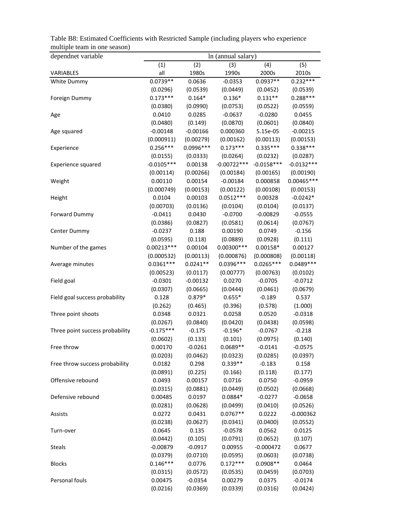| dependnet variable              | In (annual salary) |             |               |              |              |
|---------------------------------|--------------------|-------------|---------------|--------------|--------------|
|                                 | (1)                | (2)         | (3)           | (4)          | (5)          |
| VARIABLES                       | all                | 1980s       | 1990s         | 2000s        | 2010s        |
| White Dummy                     | $0.0739**$         | 0.0636      | $-0.0353$     | $0.0937**$   | $0.232***$   |
|                                 | (0.0296)           | (0.0539)    | (0.0449)      | (0.0452)     | (0.0539)     |
| Foreign Dummy                   | $0.173***$         | $0.164*$    | $0.136*$      | $0.131**$    | $0.288***$   |
|                                 | (0.0380)           | (0.0990)    | (0.0753)      | (0.0522)     | (0.0559)     |
| Age                             | 0.0410             | 0.0285      | $-0.0637$     | $-0.0280$    | 0.0455       |
|                                 | (0.0480)           | (0.149)     | (0.0870)      | (0.0601)     | (0.0840)     |
| Age squared                     | $-0.00148$         | $-0.00166$  | 0.000360      | 5.15e-05     | $-0.00215$   |
|                                 | (0.000911)         | (0.00279)   | (0.00162)     | (0.00113)    | (0.00153)    |
| Experience                      | $0.256***$         | $0.0996***$ | $0.173***$    | $0.335***$   | $0.338***$   |
|                                 | (0.0155)           | (0.0333)    | (0.0264)      | (0.0232)     | (0.0287)     |
| Experience squared              | $-0.0105***$       | 0.00138     | $-0.00722***$ | $-0.0158***$ | $-0.0132***$ |
|                                 | (0.00114)          | (0.00266)   | (0.00184)     | (0.00165)    | (0.00190)    |
| Weight                          | 0.00110            | 0.00154     | $-0.00184$    | 0.000858     | $0.00465***$ |
|                                 | (0.000749)         | (0.00153)   | (0.00122)     | (0.00108)    | (0.00153)    |
| Height                          | 0.0104             | 0.00103     | $0.0512***$   | 0.00328      | $-0.0242*$   |
|                                 | (0.00703)          | (0.0136)    | (0.0104)      | (0.0104)     | (0.0137)     |
| <b>Forward Dummy</b>            | $-0.0411$          | 0.0430      | $-0.0700$     | $-0.00829$   | $-0.0555$    |
|                                 | (0.0386)           | (0.0827)    | (0.0581)      | (0.0614)     | (0.0767)     |
| Center Dummy                    | $-0.0237$          | 0.188       | 0.00190       | 0.0749       | $-0.156$     |
|                                 | (0.0595)           | (0.118)     | (0.0889)      | (0.0928)     | (0.111)      |
| Number of the games             | $0.00213***$       | 0.00104     | $0.00300***$  | $0.00158*$   | 0.00127      |
|                                 | (0.000532)         | (0.00113)   | (0.000876)    | (0.000808)   | (0.00118)    |
| Average minutes                 | $0.0361***$        | $0.0241**$  | 0.0396 ***    | $0.0265***$  | 0.0489 ***   |
|                                 | (0.00523)          | (0.0117)    | (0.00777)     | (0.00763)    | (0.0102)     |
| Field goal                      | $-0.0301$          | $-0.00132$  | 0.0270        | $-0.0705$    | $-0.0712$    |
|                                 | (0.0307)           | (0.0665)    | (0.0444)      | (0.0461)     | (0.0679)     |
| Field goal success probability  | 0.128              | $0.879*$    | $0.655*$      | $-0.189$     | 0.537        |
|                                 | (0.262)            | (0.465)     | (0.396)       | (0.578)      | (1.000)      |
| Three point shoots              | 0.0348             | 0.0321      | 0.0258        | 0.0520       | $-0.0318$    |
|                                 | (0.0267)           | (0.0840)    | (0.0420)      | (0.0438)     | (0.0598)     |
| Three point success probability | $-0.175***$        | $-0.175$    | $-0.196*$     | $-0.0767$    | $-0.218$     |
|                                 | (0.0602)           | (0.133)     | (0.101)       | (0.0975)     | (0.140)      |
| Free throw                      | 0.00170            | $-0.0261$   | $0.0689**$    | $-0.0141$    | $-0.0575$    |
|                                 | (0.0203)           | (0.0462)    | (0.0323)      | (0.0285)     | (0.0397)     |
| Free throw success probability  | 0.0182             | 0.298       | $0.339**$     | $-0.183$     | 0.158        |
|                                 | (0.0891)           | (0.225)     | (0.166)       | (0.118)      | (0.177)      |
| Offensive rebound               | 0.0493             | 0.00157     | 0.0716        | 0.0750       | $-0.0959$    |
|                                 | (0.0315)           | (0.0881)    | (0.0449)      | (0.0502)     | (0.0668)     |
| Defensive rebound               | 0.00485            | 0.0197      | $0.0884*$     | $-0.0277$    | $-0.0658$    |
|                                 | (0.0281)           | (0.0628)    | (0.0499)      | (0.0410)     | (0.0526)     |
| Assists                         | 0.0272             | 0.0431      | $0.0767**$    | 0.0222       | $-0.000362$  |
|                                 | (0.0238)           | (0.0627)    | (0.0341)      | (0.0400)     | (0.0552)     |
| Turn-over                       | 0.0645             | 0.135       | $-0.0578$     | 0.0562       | 0.0125       |
|                                 | (0.0442)           | (0.105)     | (0.0791)      | (0.0652)     | (0.107)      |
| <b>Steals</b>                   | $-0.00879$         | $-0.0917$   | 0.00955       | $-0.000472$  | 0.0677       |
|                                 | (0.0379)           | (0.0710)    | (0.0595)      | (0.0603)     | (0.0738)     |
| <b>Blocks</b>                   | $0.146***$         | 0.0776      | $0.172***$    | $0.0908**$   | 0.0464       |
|                                 | (0.0315)           | (0.0572)    | (0.0535)      | (0.0459)     | (0.0703)     |
| Personal fouls                  | 0.00475            | $-0.0354$   | 0.00279       | 0.0375       | $-0.0174$    |
|                                 | (0.0216)           | (0.0369)    | (0.0339)      | (0.0316)     | (0.0424)     |

Table B8: Estimated Coefficients with Restricted Sample (including players who experience multiple team in one season)